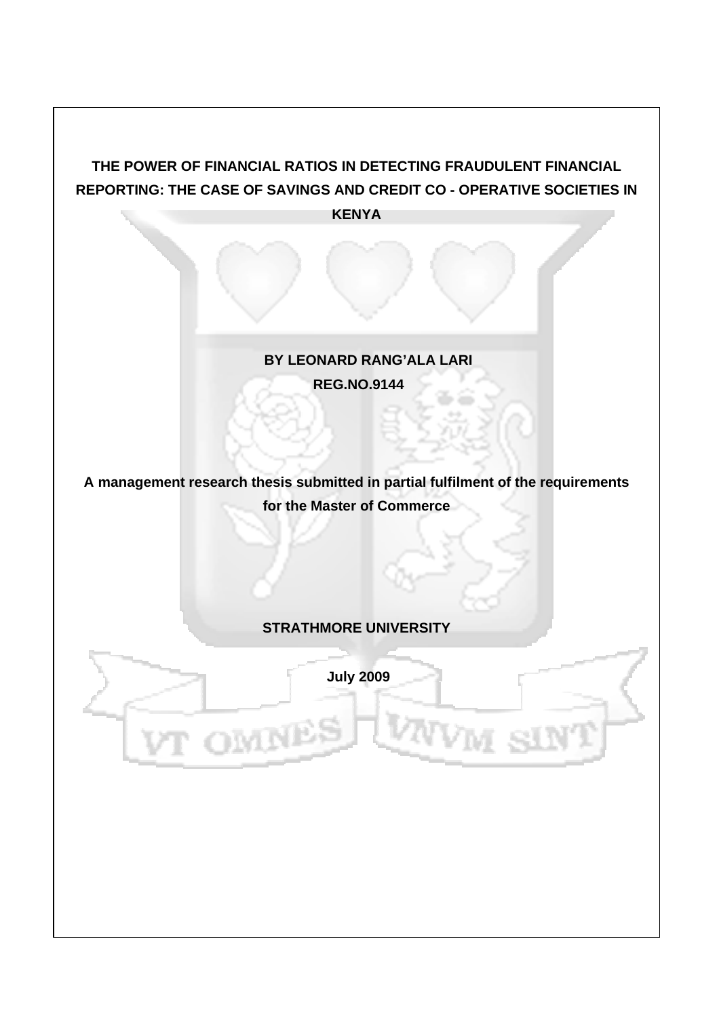# **THE POWER OF FINANCIAL RATIOS IN DETECTING FRAUDULENT FINANCIAL REPORTING: THE CASE OF SAVINGS AND CREDIT CO - OPERATIVE SOCIETIES IN KENYA**

# **BY LEONARD RANG'ALA LARI REG.NO.9144**

# **A management research thesis submitted in partial fulfilment of the requirements for the Master of Commerce**

## **STRATHMORE UNIVERSITY**

 **July 2009**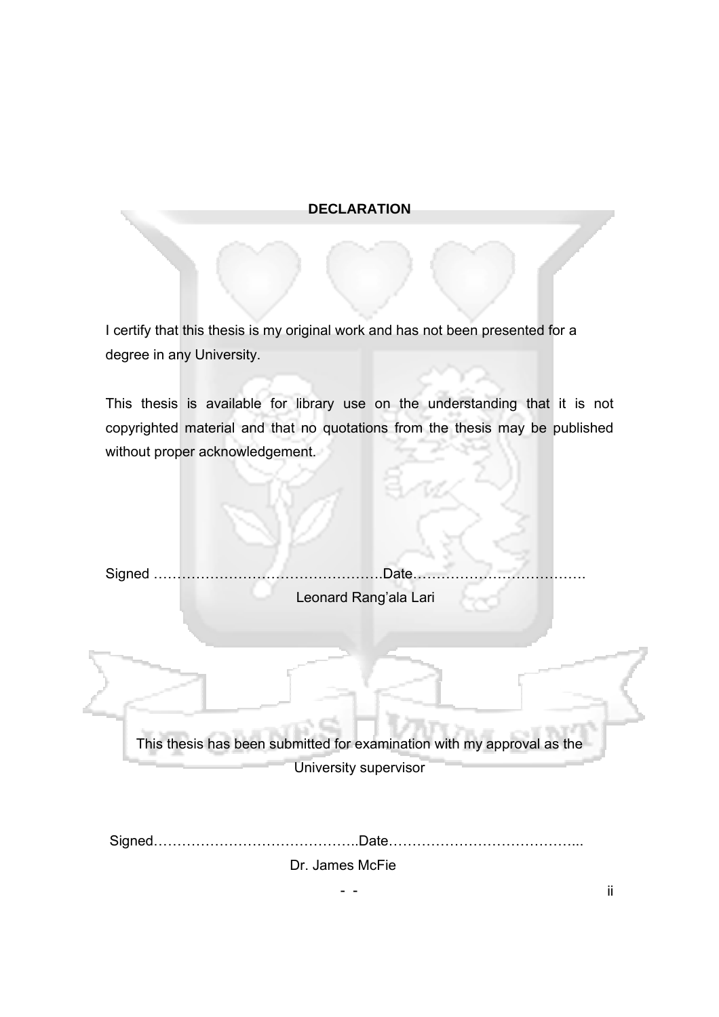## **DECLARATION**

I certify that this thesis is my original work and has not been presented for a degree in any University.

This thesis is available for library use on the understanding that it is not copyrighted material and that no quotations from the thesis may be published without proper acknowledgement.

Signed ………………………………………….Date………………………………. Leonard Rang'ala Lari

This thesis has been submitted for examination with my approval as the University supervisor

 Signed……………………………………..Date…………………………………... Dr. James McFie

- - ii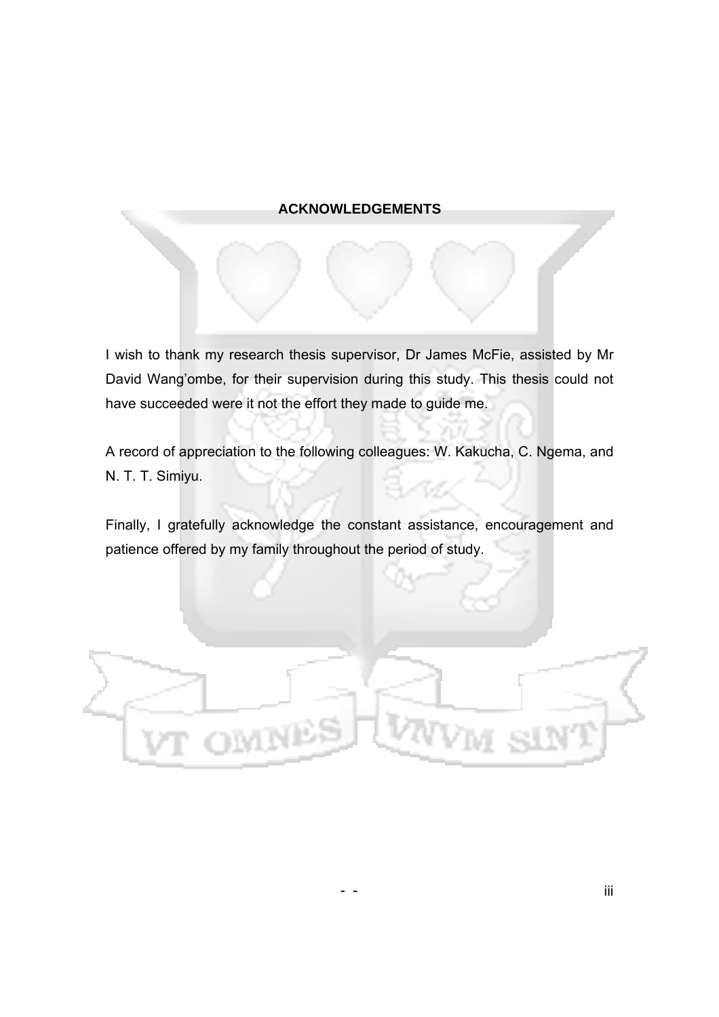## **ACKNOWLEDGEMENTS**

I wish to thank my research thesis supervisor, Dr James McFie, assisted by Mr David Wang'ombe, for their supervision during this study. This thesis could not have succeeded were it not the effort they made to guide me.

A record of appreciation to the following colleagues: W. Kakucha, C. Ngema, and N. T. T. Simiyu.

Finally, I gratefully acknowledge the constant assistance, encouragement and patience offered by my family throughout the period of study.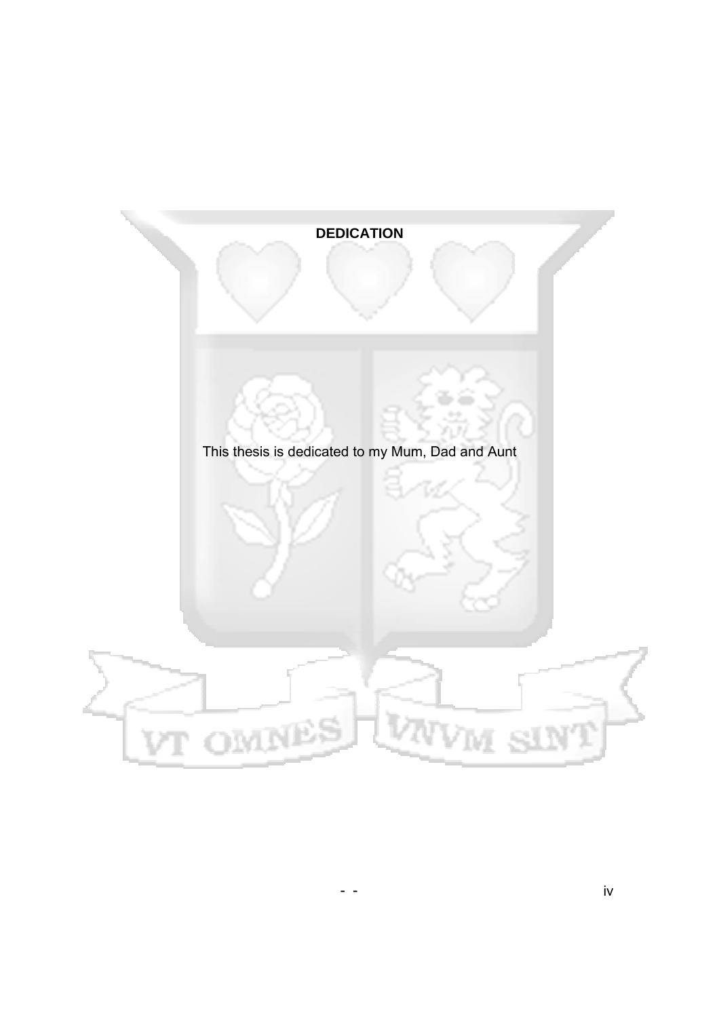## **DEDICATION**

This thesis is dedicated to my Mum, Dad and Aunt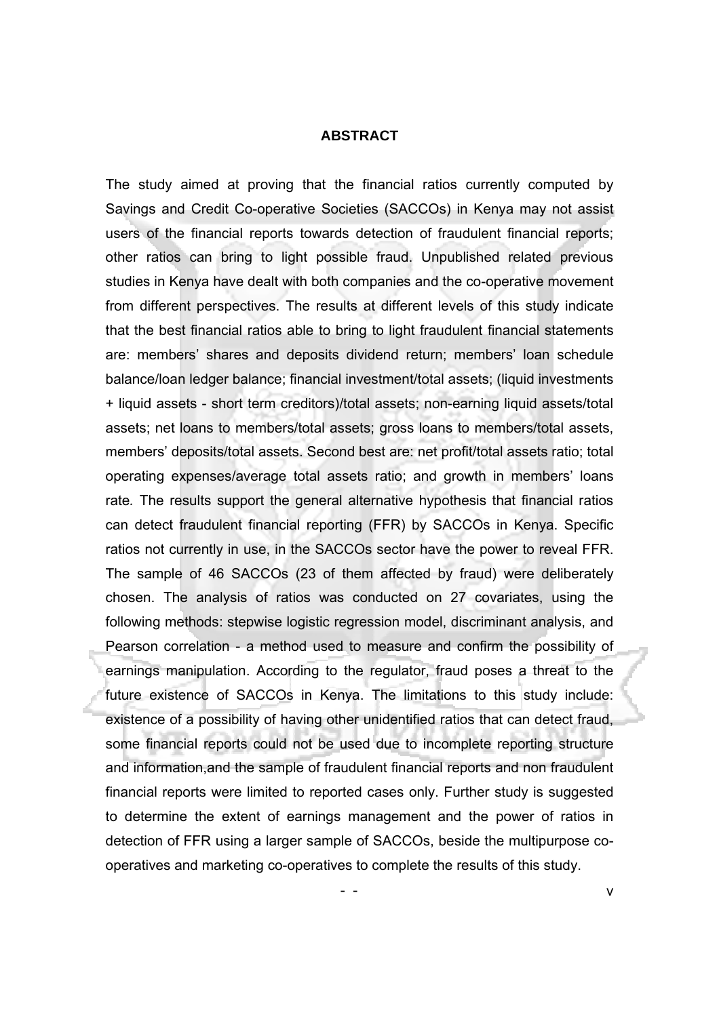#### **ABSTRACT**

The study aimed at proving that the financial ratios currently computed by Savings and Credit Co-operative Societies (SACCOs) in Kenya may not assist users of the financial reports towards detection of fraudulent financial reports; other ratios can bring to light possible fraud. Unpublished related previous studies in Kenya have dealt with both companies and the co-operative movement from different perspectives. The results at different levels of this study indicate that the best financial ratios able to bring to light fraudulent financial statements are: members' shares and deposits dividend return; members' loan schedule balance/loan ledger balance; financial investment/total assets; (liquid investments + liquid assets - short term creditors)/total assets; non-earning liquid assets/total assets; net loans to members/total assets; gross loans to members/total assets, members' deposits/total assets. Second best are: net profit/total assets ratio; total operating expenses/average total assets ratio; and growth in members' loans rate*.* The results support the general alternative hypothesis that financial ratios can detect fraudulent financial reporting (FFR) by SACCOs in Kenya. Specific ratios not currently in use, in the SACCOs sector have the power to reveal FFR. The sample of 46 SACCOs (23 of them affected by fraud) were deliberately chosen. The analysis of ratios was conducted on 27 covariates, using the following methods: stepwise logistic regression model, discriminant analysis, and Pearson correlation - a method used to measure and confirm the possibility of earnings manipulation. According to the regulator, fraud poses a threat to the future existence of SACCOs in Kenya. The limitations to this study include: existence of a possibility of having other unidentified ratios that can detect fraud, some financial reports could not be used due to incomplete reporting structure and information,and the sample of fraudulent financial reports and non fraudulent financial reports were limited to reported cases only. Further study is suggested to determine the extent of earnings management and the power of ratios in detection of FFR using a larger sample of SACCOs, beside the multipurpose cooperatives and marketing co-operatives to complete the results of this study.

- - v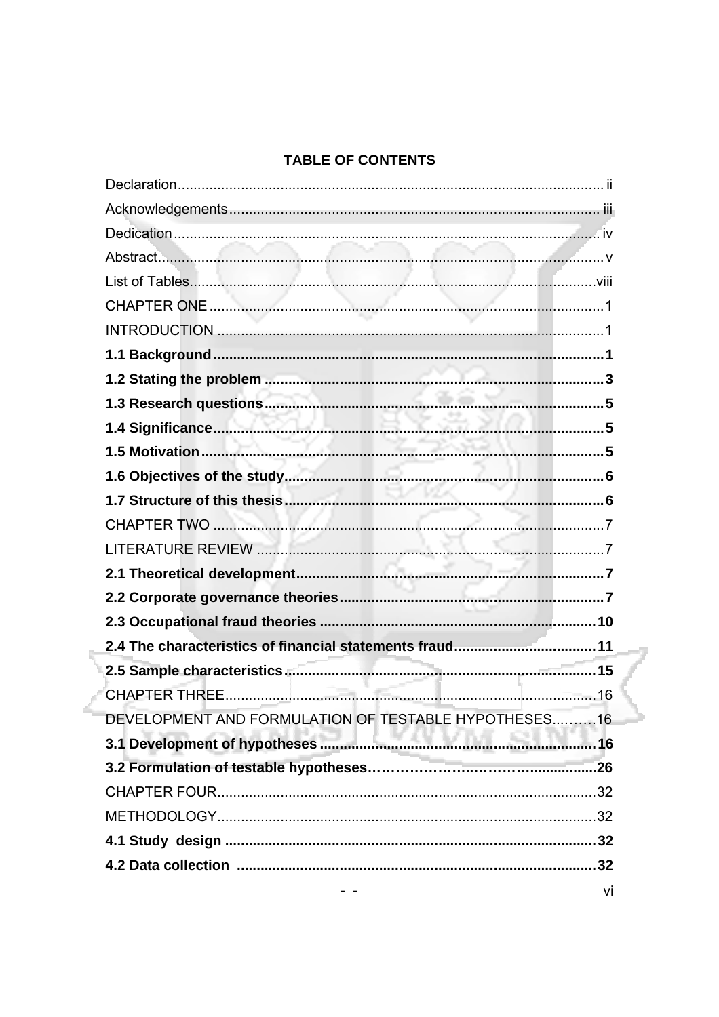# TABLE OF CONTENTS

| DEVELOPMENT AND FORMULATION OF TESTABLE HYPOTHESES16 |    |
|------------------------------------------------------|----|
|                                                      |    |
|                                                      |    |
|                                                      |    |
|                                                      |    |
|                                                      |    |
|                                                      |    |
|                                                      | vi |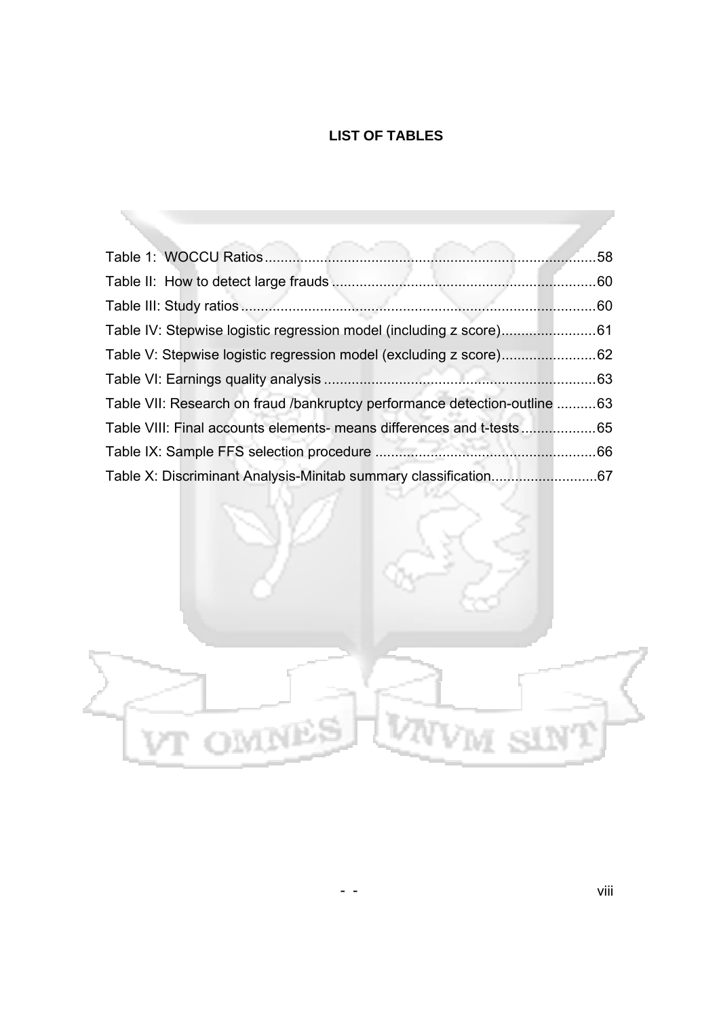# **LIST OF TABLES**

| Table IV: Stepwise logistic regression model (including z score)61        |  |
|---------------------------------------------------------------------------|--|
| Table V: Stepwise logistic regression model (excluding z score)62         |  |
|                                                                           |  |
| Table VII: Research on fraud /bankruptcy performance detection-outline 63 |  |
| Table VIII: Final accounts elements- means differences and t-tests65      |  |
|                                                                           |  |
|                                                                           |  |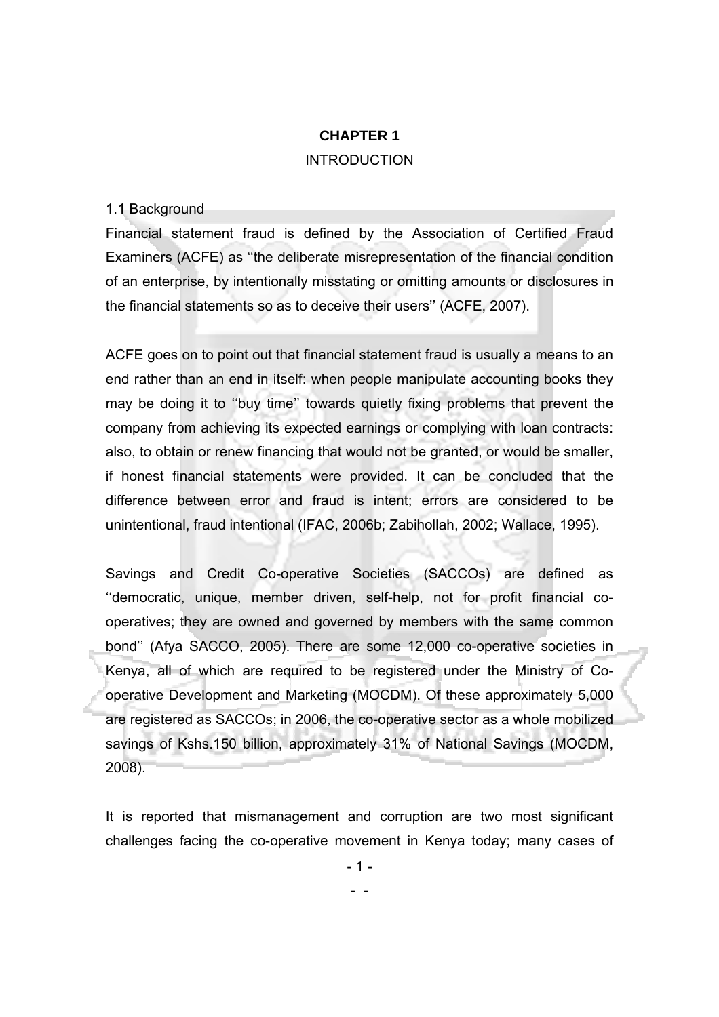# **CHAPTER 1 INTRODUCTION**

#### 1.1 Background

Financial statement fraud is defined by the Association of Certified Fraud Examiners (ACFE) as ''the deliberate misrepresentation of the financial condition of an enterprise, by intentionally misstating or omitting amounts or disclosures in the financial statements so as to deceive their users'' (ACFE, 2007).

ACFE goes on to point out that financial statement fraud is usually a means to an end rather than an end in itself: when people manipulate accounting books they may be doing it to ''buy time'' towards quietly fixing problems that prevent the company from achieving its expected earnings or complying with loan contracts: also, to obtain or renew financing that would not be granted, or would be smaller, if honest financial statements were provided. It can be concluded that the difference between error and fraud is intent; errors are considered to be unintentional, fraud intentional (IFAC, 2006b; Zabihollah, 2002; Wallace, 1995).

Savings and Credit Co-operative Societies (SACCOs) are defined as ''democratic, unique, member driven, self-help, not for profit financial cooperatives; they are owned and governed by members with the same common bond'' (Afya SACCO, 2005). There are some 12,000 co-operative societies in Kenya, all of which are required to be registered under the Ministry of Cooperative Development and Marketing (MOCDM). Of these approximately 5,000 are registered as SACCOs; in 2006, the co-operative sector as a whole mobilized savings of Kshs.150 billion, approximately 31% of National Savings (MOCDM, 2008).

It is reported that mismanagement and corruption are two most significant challenges facing the co-operative movement in Kenya today; many cases of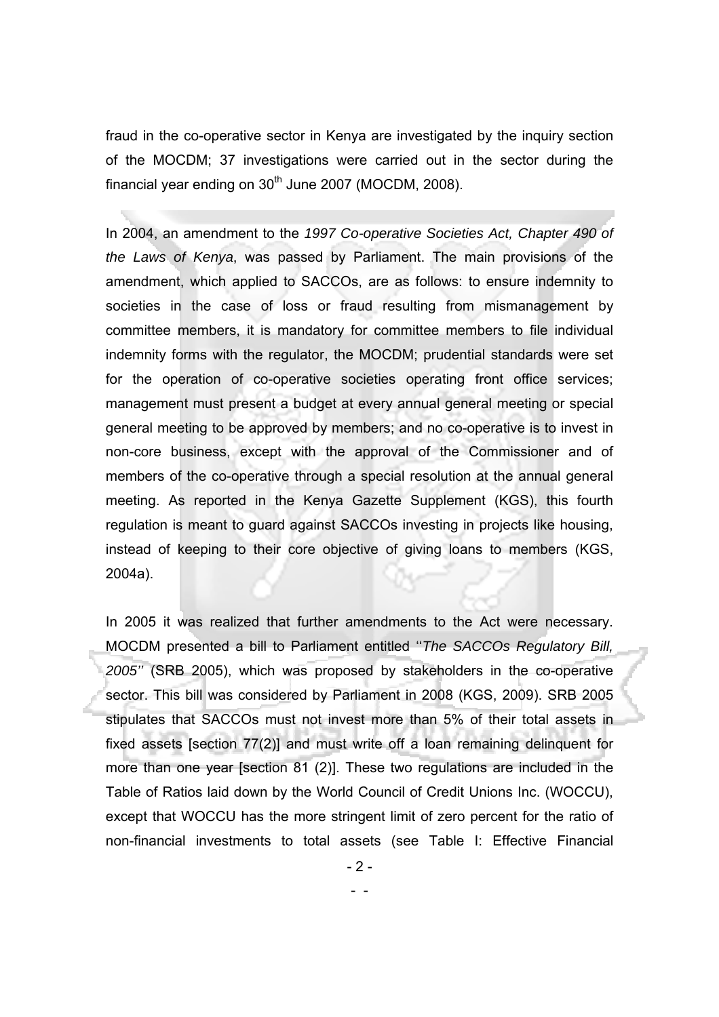fraud in the co-operative sector in Kenya are investigated by the inquiry section of the MOCDM; 37 investigations were carried out in the sector during the financial year ending on  $30<sup>th</sup>$  June 2007 (MOCDM, 2008).

In 2004, an amendment to the *1997 Co-operative Societies Act, Chapter 490 of the Laws of Kenya*, was passed by Parliament. The main provisions of the amendment, which applied to SACCOs, are as follows: to ensure indemnity to societies in the case of loss or fraud resulting from mismanagement by committee members, it is mandatory for committee members to file individual indemnity forms with the regulator, the MOCDM; prudential standards were set for the operation of co-operative societies operating front office services; management must present a budget at every annual general meeting or special general meeting to be approved by members; and no co-operative is to invest in non-core business, except with the approval of the Commissioner and of members of the co-operative through a special resolution at the annual general meeting. As reported in the Kenya Gazette Supplement (KGS), this fourth regulation is meant to guard against SACCOs investing in projects like housing, instead of keeping to their core objective of giving loans to members (KGS, 2004a).

In 2005 it was realized that further amendments to the Act were necessary. MOCDM presented a bill to Parliament entitled ''*The SACCOs Regulatory Bill, 2005''* (SRB 2005), which was proposed by stakeholders in the co-operative sector. This bill was considered by Parliament in 2008 (KGS, 2009). SRB 2005 stipulates that SACCOs must not invest more than 5% of their total assets in fixed assets [section 77(2)] and must write off a loan remaining delinquent for more than one year [section 81 (2)]. These two regulations are included in the Table of Ratios laid down by the World Council of Credit Unions Inc. (WOCCU), except that WOCCU has the more stringent limit of zero percent for the ratio of non-financial investments to total assets (see Table I: Effective Financial

- 2 -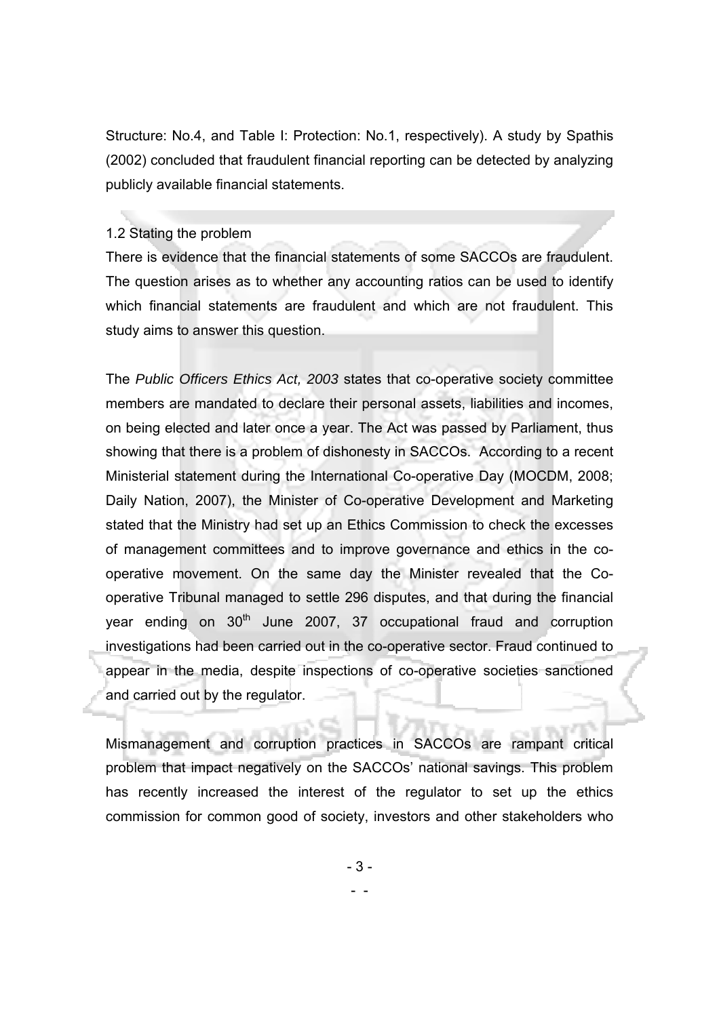Structure: No.4, and Table I: Protection: No.1, respectively). A study by Spathis (2002) concluded that fraudulent financial reporting can be detected by analyzing publicly available financial statements.

#### 1.2 Stating the problem

There is evidence that the financial statements of some SACCOs are fraudulent. The question arises as to whether any accounting ratios can be used to identify which financial statements are fraudulent and which are not fraudulent. This study aims to answer this question.

The *Public Officers Ethics Act, 2003* states that co-operative society committee members are mandated to declare their personal assets, liabilities and incomes, on being elected and later once a year. The Act was passed by Parliament, thus showing that there is a problem of dishonesty in SACCOs. According to a recent Ministerial statement during the International Co-operative Day (MOCDM, 2008; Daily Nation, 2007), the Minister of Co-operative Development and Marketing stated that the Ministry had set up an Ethics Commission to check the excesses of management committees and to improve governance and ethics in the cooperative movement. On the same day the Minister revealed that the Cooperative Tribunal managed to settle 296 disputes, and that during the financial year ending on  $30<sup>th</sup>$  June 2007, 37 occupational fraud and corruption investigations had been carried out in the co-operative sector. Fraud continued to appear in the media, despite inspections of co-operative societies sanctioned and carried out by the regulator.

Mismanagement and corruption practices in SACCOs are rampant critical problem that impact negatively on the SACCOs' national savings. This problem has recently increased the interest of the regulator to set up the ethics commission for common good of society, investors and other stakeholders who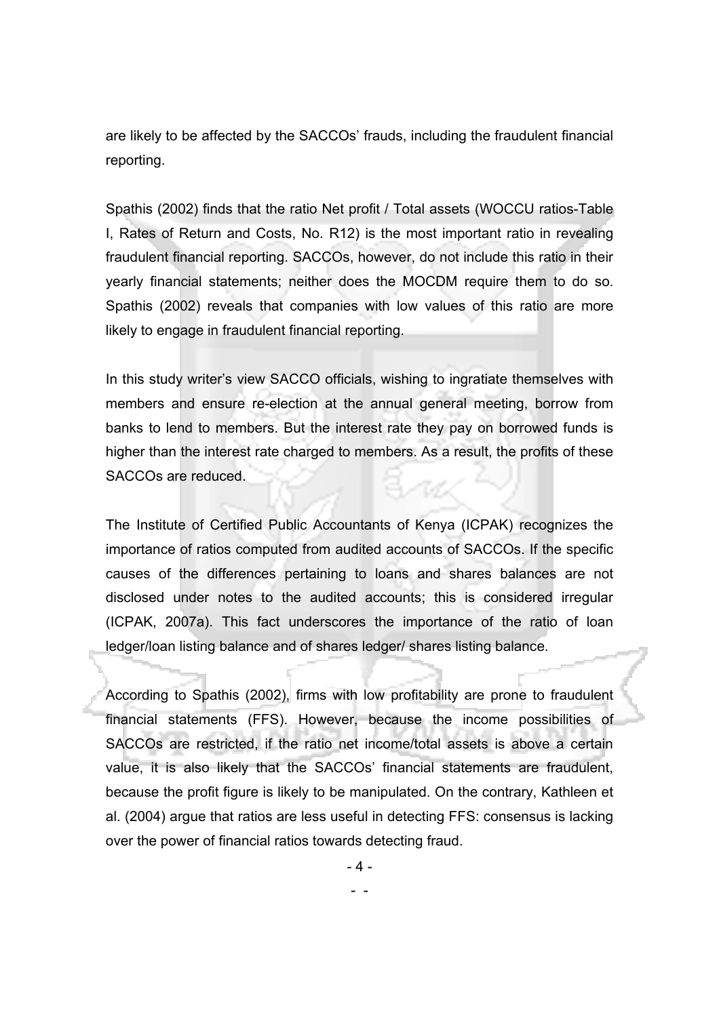are likely to be affected by the SACCOs' frauds, including the fraudulent financial reporting.

Spathis (2002) finds that the ratio Net profit / Total assets (WOCCU ratios-Table I, Rates of Return and Costs, No. R12) is the most important ratio in revealing fraudulent financial reporting. SACCOs, however, do not include this ratio in their yearly financial statements; neither does the MOCDM require them to do so. Spathis (2002) reveals that companies with low values of this ratio are more likely to engage in fraudulent financial reporting.

In this study writer's view SACCO officials, wishing to ingratiate themselves with members and ensure re-election at the annual general meeting, borrow from banks to lend to members. But the interest rate they pay on borrowed funds is higher than the interest rate charged to members. As a result, the profits of these SACCOs are reduced.

The Institute of Certified Public Accountants of Kenya (ICPAK) recognizes the importance of ratios computed from audited accounts of SACCOs. If the specific causes of the differences pertaining to loans and shares balances are not disclosed under notes to the audited accounts; this is considered irregular (ICPAK, 2007a). This fact underscores the importance of the ratio of loan ledger/loan listing balance and of shares ledger/ shares listing balance.

According to Spathis (2002), firms with low profitability are prone to fraudulent financial statements (FFS). However, because the income possibilities of SACCOs are restricted, if the ratio net income/total assets is above a certain value, it is also likely that the SACCOs' financial statements are fraudulent, because the profit figure is likely to be manipulated. On the contrary, Kathleen et al. (2004) argue that ratios are less useful in detecting FFS: consensus is lacking over the power of financial ratios towards detecting fraud.

- 4 -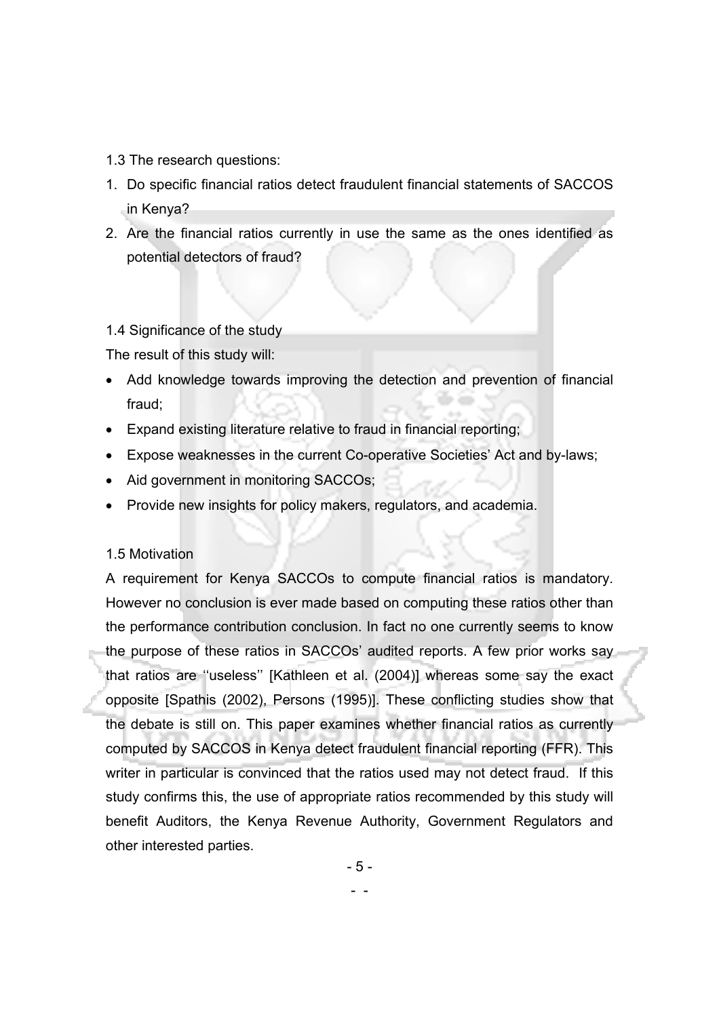- 1.3 The research questions:
- 1. Do specific financial ratios detect fraudulent financial statements of SACCOS in Kenya?
- 2. Are the financial ratios currently in use the same as the ones identified as potential detectors of fraud?

## 1.4 Significance of the study

The result of this study will:

- Add knowledge towards improving the detection and prevention of financial fraud;
- Expand existing literature relative to fraud in financial reporting;
- Expose weaknesses in the current Co-operative Societies' Act and by-laws;
- Aid government in monitoring SACCOs;
- Provide new insights for policy makers, regulators, and academia.

## 1.5 Motivation

A requirement for Kenya SACCOs to compute financial ratios is mandatory. However no conclusion is ever made based on computing these ratios other than the performance contribution conclusion. In fact no one currently seems to know the purpose of these ratios in SACCOs' audited reports. A few prior works say that ratios are ''useless'' [Kathleen et al. (2004)] whereas some say the exact opposite [Spathis (2002), Persons (1995)]. These conflicting studies show that the debate is still on. This paper examines whether financial ratios as currently computed by SACCOS in Kenya detect fraudulent financial reporting (FFR). This writer in particular is convinced that the ratios used may not detect fraud. If this study confirms this, the use of appropriate ratios recommended by this study will benefit Auditors, the Kenya Revenue Authority, Government Regulators and other interested parties.

- 5 -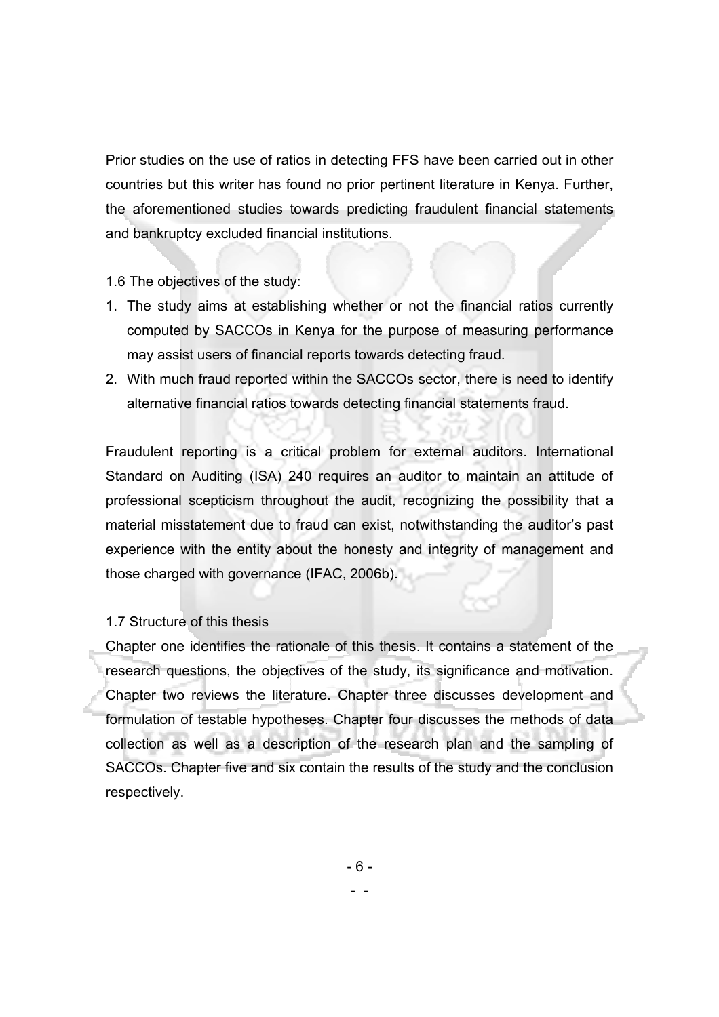Prior studies on the use of ratios in detecting FFS have been carried out in other countries but this writer has found no prior pertinent literature in Kenya. Further, the aforementioned studies towards predicting fraudulent financial statements and bankruptcy excluded financial institutions.

1.6 The objectives of the study:

- 1. The study aims at establishing whether or not the financial ratios currently computed by SACCOs in Kenya for the purpose of measuring performance may assist users of financial reports towards detecting fraud.
- 2. With much fraud reported within the SACCOs sector, there is need to identify alternative financial ratios towards detecting financial statements fraud.

Fraudulent reporting is a critical problem for external auditors. International Standard on Auditing (ISA) 240 requires an auditor to maintain an attitude of professional scepticism throughout the audit, recognizing the possibility that a material misstatement due to fraud can exist, notwithstanding the auditor's past experience with the entity about the honesty and integrity of management and those charged with governance (IFAC, 2006b).

## 1.7 Structure of this thesis

Chapter one identifies the rationale of this thesis. It contains a statement of the research questions, the objectives of the study, its significance and motivation. Chapter two reviews the literature. Chapter three discusses development and formulation of testable hypotheses. Chapter four discusses the methods of data collection as well as a description of the research plan and the sampling of SACCOs. Chapter five and six contain the results of the study and the conclusion respectively.

- 6 -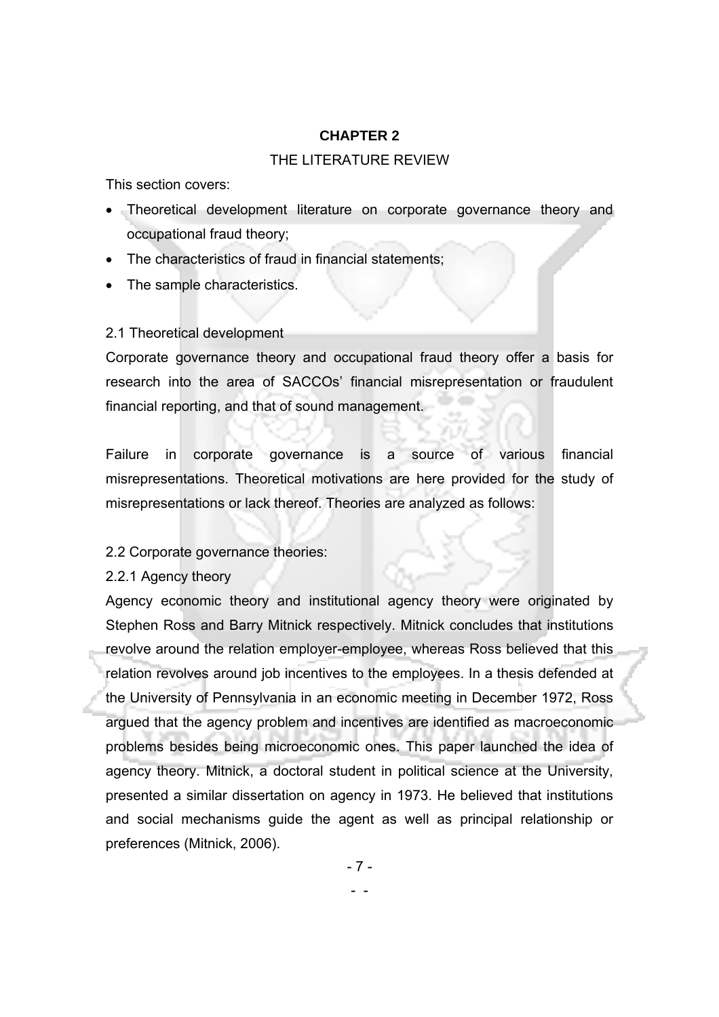## **CHAPTER 2**

#### THE LITERATURE REVIEW

This section covers:

- Theoretical development literature on corporate governance theory and occupational fraud theory;
- The characteristics of fraud in financial statements;
- The sample characteristics.

## 2.1 Theoretical development

Corporate governance theory and occupational fraud theory offer a basis for research into the area of SACCOs' financial misrepresentation or fraudulent financial reporting, and that of sound management.

Failure in corporate governance is a source of various financial misrepresentations. Theoretical motivations are here provided for the study of misrepresentations or lack thereof. Theories are analyzed as follows:

## 2.2 Corporate governance theories:

- -

2.2.1 Agency theory

Agency economic theory and institutional agency theory were originated by Stephen Ross and Barry Mitnick respectively. Mitnick concludes that institutions revolve around the relation employer-employee, whereas Ross believed that this relation revolves around job incentives to the employees. In a thesis defended at the University of Pennsylvania in an economic meeting in December 1972, Ross argued that the agency problem and incentives are identified as macroeconomic problems besides being microeconomic ones. This paper launched the idea of agency theory. Mitnick, a doctoral student in political science at the University, presented a similar dissertation on agency in 1973. He believed that institutions and social mechanisms guide the agent as well as principal relationship or preferences (Mitnick, 2006).

- 7 -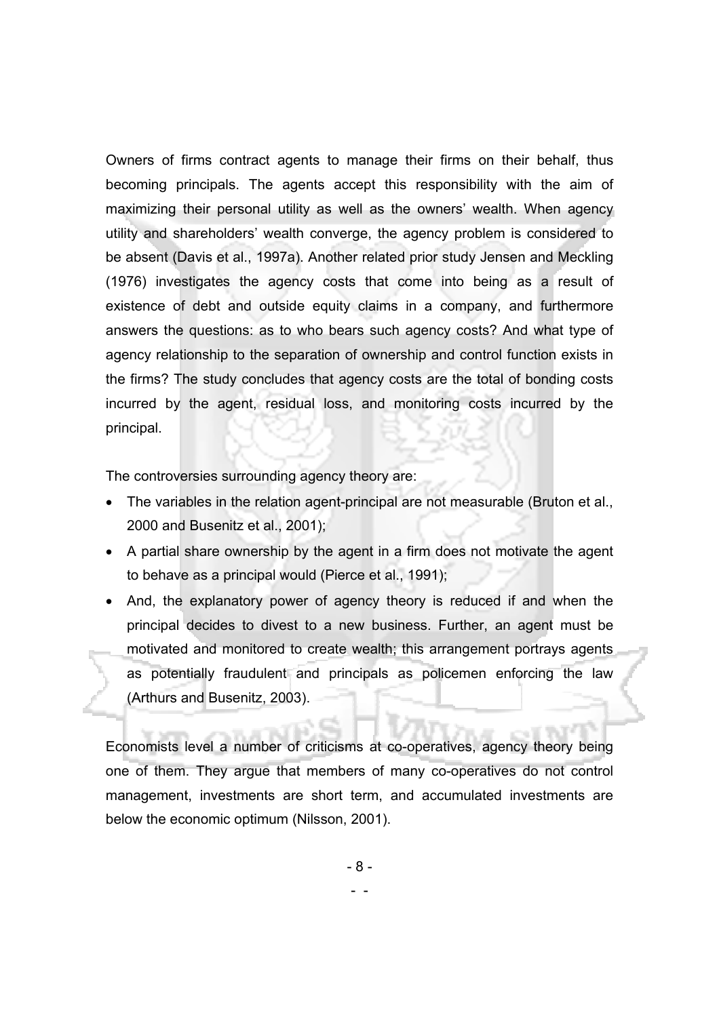Owners of firms contract agents to manage their firms on their behalf, thus becoming principals. The agents accept this responsibility with the aim of maximizing their personal utility as well as the owners' wealth. When agency utility and shareholders' wealth converge, the agency problem is considered to be absent (Davis et al., 1997a). Another related prior study Jensen and Meckling (1976) investigates the agency costs that come into being as a result of existence of debt and outside equity claims in a company, and furthermore answers the questions: as to who bears such agency costs? And what type of agency relationship to the separation of ownership and control function exists in the firms? The study concludes that agency costs are the total of bonding costs incurred by the agent, residual loss, and monitoring costs incurred by the principal.

The controversies surrounding agency theory are:

- The variables in the relation agent-principal are not measurable (Bruton et al., 2000 and Busenitz et al., 2001);
- A partial share ownership by the agent in a firm does not motivate the agent to behave as a principal would (Pierce et al., 1991);
- And, the explanatory power of agency theory is reduced if and when the principal decides to divest to a new business. Further, an agent must be motivated and monitored to create wealth; this arrangement portrays agents as potentially fraudulent and principals as policemen enforcing the law (Arthurs and Busenitz, 2003).

Economists level a number of criticisms at co-operatives, agency theory being one of them. They argue that members of many co-operatives do not control management, investments are short term, and accumulated investments are below the economic optimum (Nilsson, 2001).

- 8 -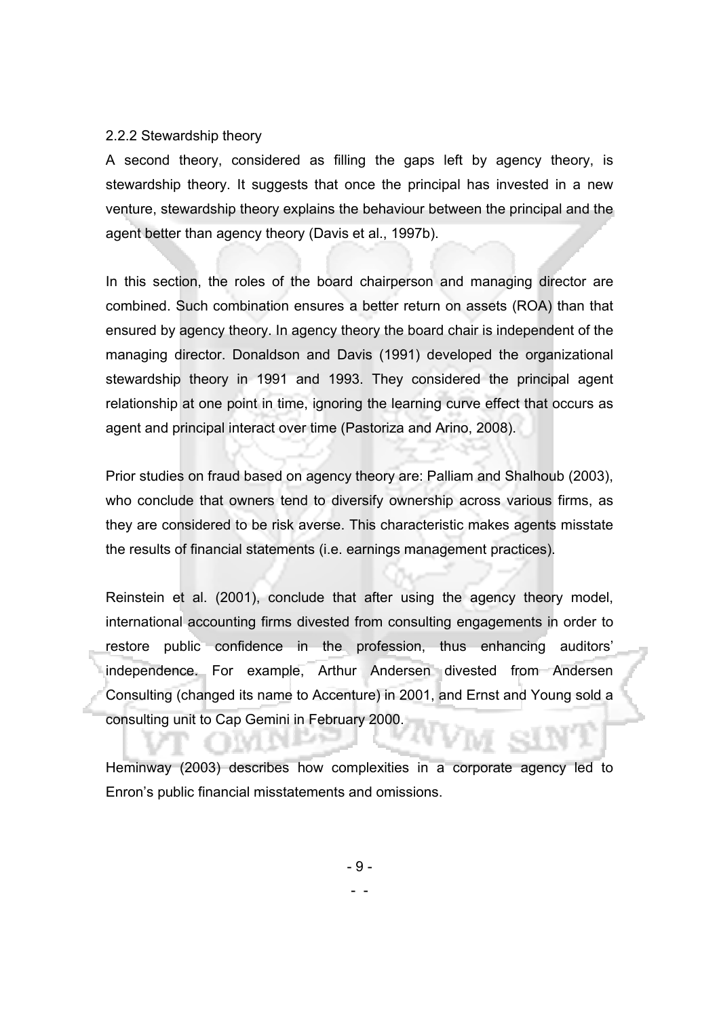#### 2.2.2 Stewardship theory

A second theory, considered as filling the gaps left by agency theory, is stewardship theory. It suggests that once the principal has invested in a new venture, stewardship theory explains the behaviour between the principal and the agent better than agency theory (Davis et al., 1997b).

In this section, the roles of the board chairperson and managing director are combined. Such combination ensures a better return on assets (ROA) than that ensured by agency theory. In agency theory the board chair is independent of the managing director. Donaldson and Davis (1991) developed the organizational stewardship theory in 1991 and 1993. They considered the principal agent relationship at one point in time, ignoring the learning curve effect that occurs as agent and principal interact over time (Pastoriza and Arino, 2008).

Prior studies on fraud based on agency theory are: Palliam and Shalhoub (2003), who conclude that owners tend to diversify ownership across various firms, as they are considered to be risk averse. This characteristic makes agents misstate the results of financial statements (i.e. earnings management practices).

Reinstein et al. (2001), conclude that after using the agency theory model, international accounting firms divested from consulting engagements in order to restore public confidence in the profession, thus enhancing auditors' independence. For example, Arthur Andersen divested from Andersen Consulting (changed its name to Accenture) in 2001, and Ernst and Young sold a consulting unit to Cap Gemini in February 2000.

Heminway (2003) describes how complexities in a corporate agency led to Enron's public financial misstatements and omissions.

- 9 -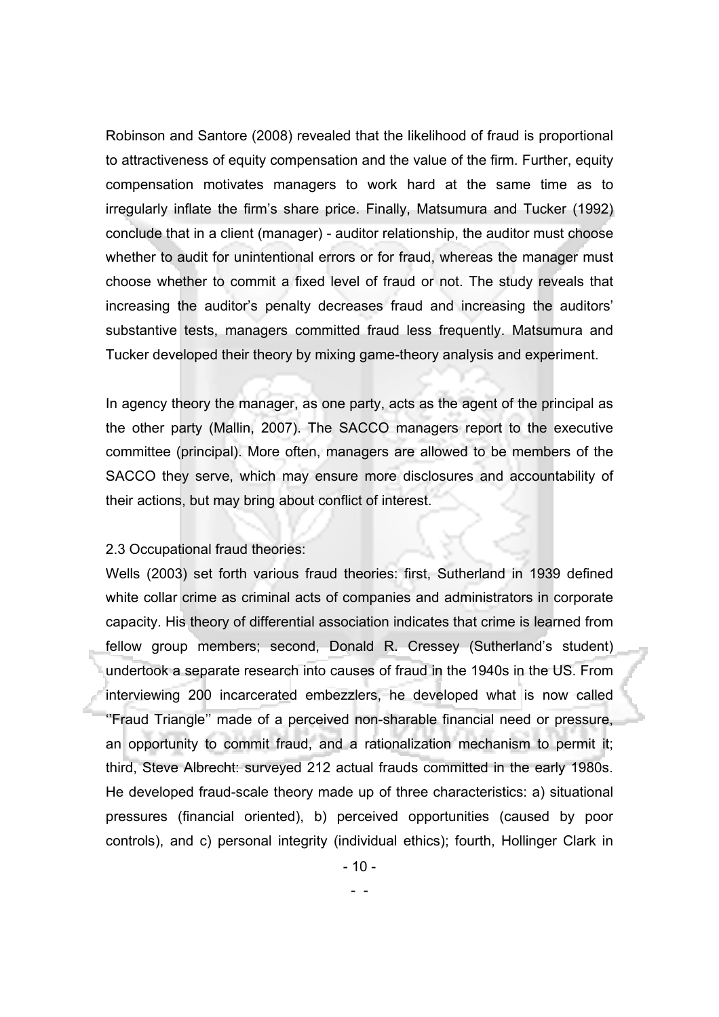Robinson and Santore (2008) revealed that the likelihood of fraud is proportional to attractiveness of equity compensation and the value of the firm. Further, equity compensation motivates managers to work hard at the same time as to irregularly inflate the firm's share price. Finally, Matsumura and Tucker (1992) conclude that in a client (manager) - auditor relationship, the auditor must choose whether to audit for unintentional errors or for fraud, whereas the manager must choose whether to commit a fixed level of fraud or not. The study reveals that increasing the auditor's penalty decreases fraud and increasing the auditors' substantive tests, managers committed fraud less frequently. Matsumura and Tucker developed their theory by mixing game-theory analysis and experiment.

In agency theory the manager, as one party, acts as the agent of the principal as the other party (Mallin, 2007). The SACCO managers report to the executive committee (principal). More often, managers are allowed to be members of the SACCO they serve, which may ensure more disclosures and accountability of their actions, but may bring about conflict of interest.

#### 2.3 Occupational fraud theories:

Wells (2003) set forth various fraud theories: first, Sutherland in 1939 defined white collar crime as criminal acts of companies and administrators in corporate capacity. His theory of differential association indicates that crime is learned from fellow group members; second, Donald R. Cressey (Sutherland's student) undertook a separate research into causes of fraud in the 1940s in the US. From interviewing 200 incarcerated embezzlers, he developed what is now called ''Fraud Triangle'' made of a perceived non-sharable financial need or pressure, an opportunity to commit fraud, and a rationalization mechanism to permit it; third, Steve Albrecht: surveyed 212 actual frauds committed in the early 1980s. He developed fraud-scale theory made up of three characteristics: a) situational pressures (financial oriented), b) perceived opportunities (caused by poor controls), and c) personal integrity (individual ethics); fourth, Hollinger Clark in

- 10 -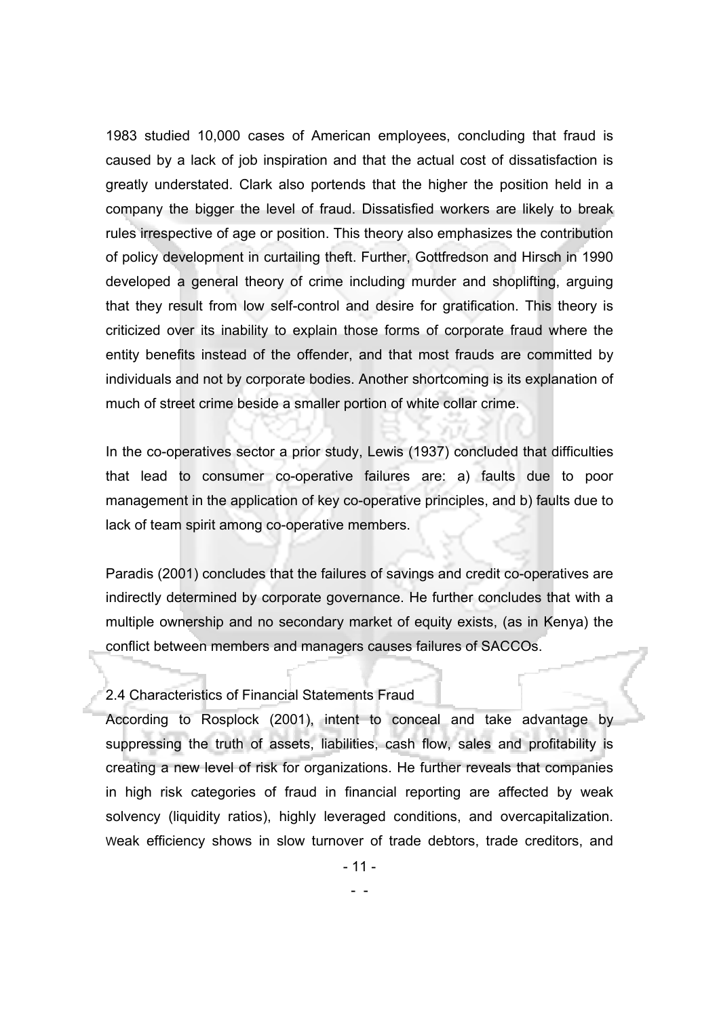1983 studied 10,000 cases of American employees, concluding that fraud is caused by a lack of job inspiration and that the actual cost of dissatisfaction is greatly understated. Clark also portends that the higher the position held in a company the bigger the level of fraud. Dissatisfied workers are likely to break rules irrespective of age or position. This theory also emphasizes the contribution of policy development in curtailing theft. Further, Gottfredson and Hirsch in 1990 developed a general theory of crime including murder and shoplifting, arguing that they result from low self-control and desire for gratification. This theory is criticized over its inability to explain those forms of corporate fraud where the entity benefits instead of the offender, and that most frauds are committed by individuals and not by corporate bodies. Another shortcoming is its explanation of much of street crime beside a smaller portion of white collar crime.

In the co-operatives sector a prior study, Lewis (1937) concluded that difficulties that lead to consumer co-operative failures are: a) faults due to poor management in the application of key co-operative principles, and b) faults due to lack of team spirit among co-operative members.

Paradis (2001) concludes that the failures of savings and credit co-operatives are indirectly determined by corporate governance. He further concludes that with a multiple ownership and no secondary market of equity exists, (as in Kenya) the conflict between members and managers causes failures of SACCOs.

#### 2.4 Characteristics of Financial Statements Fraud

According to Rosplock (2001), intent to conceal and take advantage by suppressing the truth of assets, liabilities, cash flow, sales and profitability is creating a new level of risk for organizations. He further reveals that companies in high risk categories of fraud in financial reporting are affected by weak solvency (liquidity ratios), highly leveraged conditions, and overcapitalization. Weak efficiency shows in slow turnover of trade debtors, trade creditors, and

- 11 -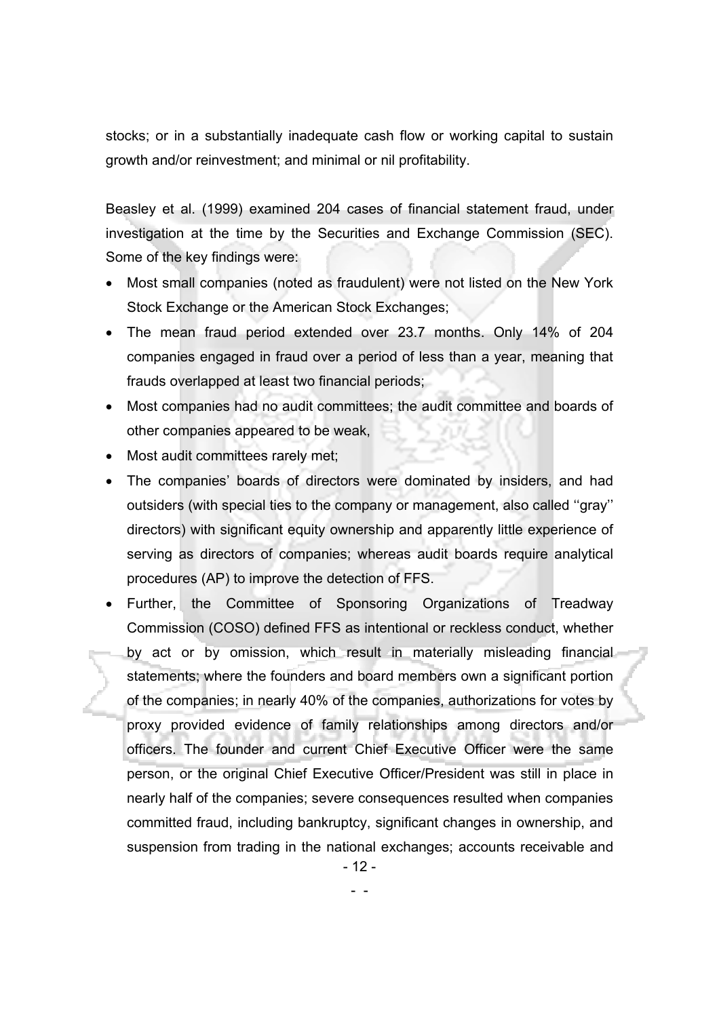stocks; or in a substantially inadequate cash flow or working capital to sustain growth and/or reinvestment; and minimal or nil profitability.

Beasley et al. (1999) examined 204 cases of financial statement fraud, under investigation at the time by the Securities and Exchange Commission (SEC). Some of the key findings were:

- Most small companies (noted as fraudulent) were not listed on the New York Stock Exchange or the American Stock Exchanges;
- The mean fraud period extended over 23.7 months. Only 14% of 204 companies engaged in fraud over a period of less than a year, meaning that frauds overlapped at least two financial periods;
- Most companies had no audit committees; the audit committee and boards of other companies appeared to be weak,
- Most audit committees rarely met;
- The companies' boards of directors were dominated by insiders, and had outsiders (with special ties to the company or management, also called ''gray'' directors) with significant equity ownership and apparently little experience of serving as directors of companies; whereas audit boards require analytical procedures (AP) to improve the detection of FFS.
- Further, the Committee of Sponsoring Organizations of Treadway Commission (COSO) defined FFS as intentional or reckless conduct, whether by act or by omission, which result in materially misleading financial statements; where the founders and board members own a significant portion of the companies; in nearly 40% of the companies, authorizations for votes by proxy provided evidence of family relationships among directors and/or officers. The founder and current Chief Executive Officer were the same person, or the original Chief Executive Officer/President was still in place in nearly half of the companies; severe consequences resulted when companies committed fraud, including bankruptcy, significant changes in ownership, and suspension from trading in the national exchanges; accounts receivable and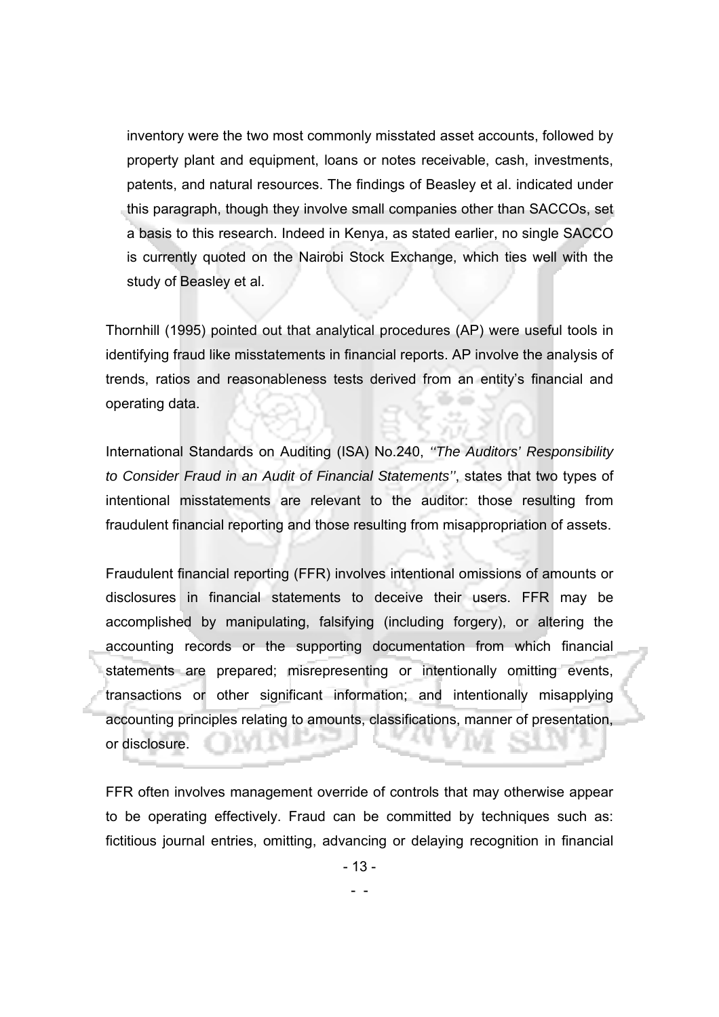inventory were the two most commonly misstated asset accounts, followed by property plant and equipment, loans or notes receivable, cash, investments, patents, and natural resources. The findings of Beasley et al. indicated under this paragraph, though they involve small companies other than SACCOs, set a basis to this research. Indeed in Kenya, as stated earlier, no single SACCO is currently quoted on the Nairobi Stock Exchange, which ties well with the study of Beasley et al.

Thornhill (1995) pointed out that analytical procedures (AP) were useful tools in identifying fraud like misstatements in financial reports. AP involve the analysis of trends, ratios and reasonableness tests derived from an entity's financial and operating data.

International Standards on Auditing (ISA) No.240, *''The Auditors' Responsibility to Consider Fraud in an Audit of Financial Statements''*, states that two types of intentional misstatements are relevant to the auditor: those resulting from fraudulent financial reporting and those resulting from misappropriation of assets.

Fraudulent financial reporting (FFR) involves intentional omissions of amounts or disclosures in financial statements to deceive their users. FFR may be accomplished by manipulating, falsifying (including forgery), or altering the accounting records or the supporting documentation from which financial statements are prepared; misrepresenting or intentionally omitting events, transactions or other significant information; and intentionally misapplying accounting principles relating to amounts, classifications, manner of presentation, or disclosure.

FFR often involves management override of controls that may otherwise appear to be operating effectively. Fraud can be committed by techniques such as: fictitious journal entries, omitting, advancing or delaying recognition in financial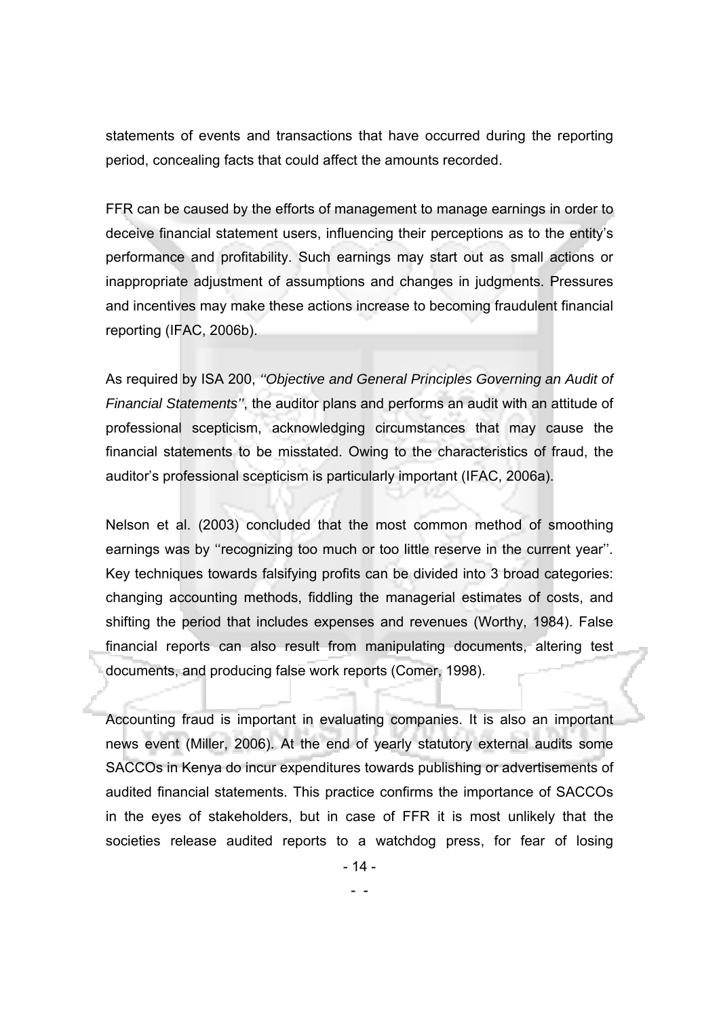statements of events and transactions that have occurred during the reporting period, concealing facts that could affect the amounts recorded.

FFR can be caused by the efforts of management to manage earnings in order to deceive financial statement users, influencing their perceptions as to the entity's performance and profitability. Such earnings may start out as small actions or inappropriate adjustment of assumptions and changes in judgments. Pressures and incentives may make these actions increase to becoming fraudulent financial reporting (IFAC, 2006b).

As required by ISA 200, *''Objective and General Principles Governing an Audit of Financial Statements''*, the auditor plans and performs an audit with an attitude of professional scepticism, acknowledging circumstances that may cause the financial statements to be misstated. Owing to the characteristics of fraud, the auditor's professional scepticism is particularly important (IFAC, 2006a).

Nelson et al. (2003) concluded that the most common method of smoothing earnings was by ''recognizing too much or too little reserve in the current year''. Key techniques towards falsifying profits can be divided into 3 broad categories: changing accounting methods, fiddling the managerial estimates of costs, and shifting the period that includes expenses and revenues (Worthy, 1984). False financial reports can also result from manipulating documents, altering test documents, and producing false work reports (Comer, 1998).

Accounting fraud is important in evaluating companies. It is also an important news event (Miller, 2006). At the end of yearly statutory external audits some SACCOs in Kenya do incur expenditures towards publishing or advertisements of audited financial statements. This practice confirms the importance of SACCOs in the eyes of stakeholders, but in case of FFR it is most unlikely that the societies release audited reports to a watchdog press, for fear of losing

- 14 -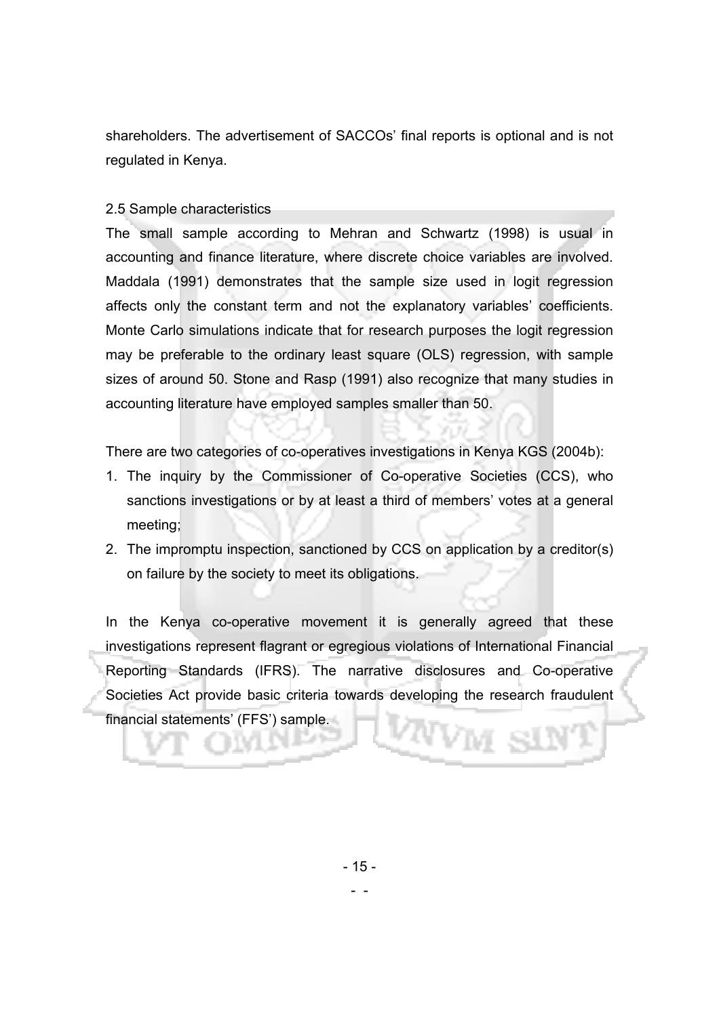shareholders. The advertisement of SACCOs' final reports is optional and is not regulated in Kenya.

#### 2.5 Sample characteristics

The small sample according to Mehran and Schwartz (1998) is usual in accounting and finance literature, where discrete choice variables are involved. Maddala (1991) demonstrates that the sample size used in logit regression affects only the constant term and not the explanatory variables' coefficients. Monte Carlo simulations indicate that for research purposes the logit regression may be preferable to the ordinary least square (OLS) regression, with sample sizes of around 50. Stone and Rasp (1991) also recognize that many studies in accounting literature have employed samples smaller than 50.

There are two categories of co-operatives investigations in Kenya KGS (2004b):

- 1. The inquiry by the Commissioner of Co-operative Societies (CCS), who sanctions investigations or by at least a third of members' votes at a general meeting;
- 2. The impromptu inspection, sanctioned by CCS on application by a creditor(s) on failure by the society to meet its obligations.

In the Kenya co-operative movement it is generally agreed that these investigations represent flagrant or egregious violations of International Financial Reporting Standards (IFRS). The narrative disclosures and Co-operative Societies Act provide basic criteria towards developing the research fraudulent financial statements' (FFS') sample.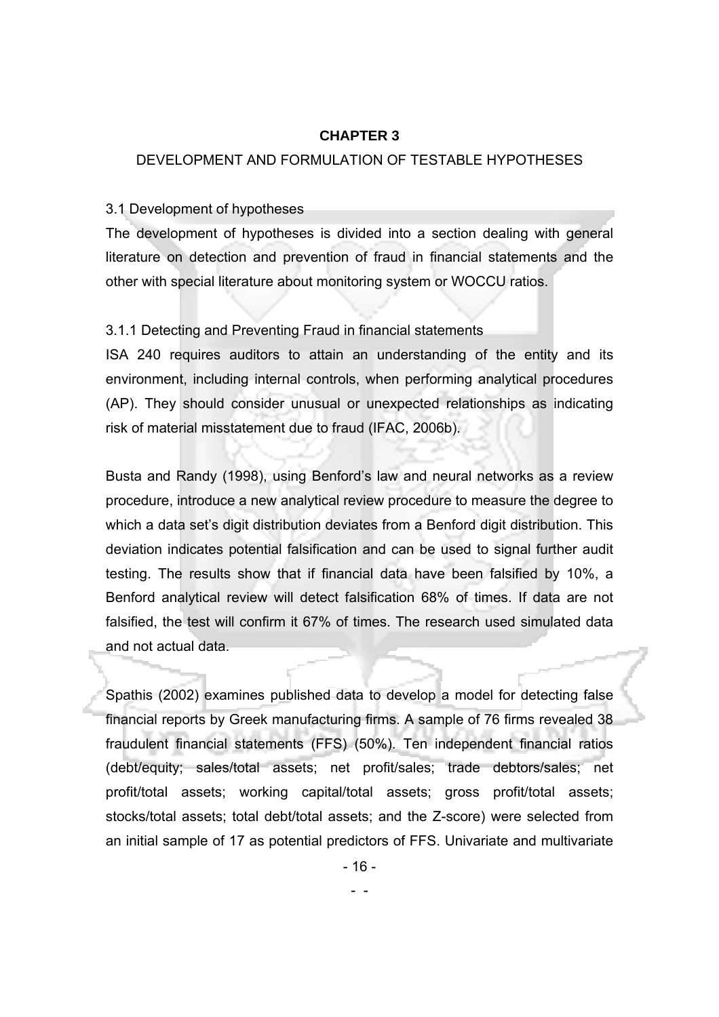#### **CHAPTER 3**

#### DEVELOPMENT AND FORMULATION OF TESTABLE HYPOTHESES

#### 3.1 Development of hypotheses

The development of hypotheses is divided into a section dealing with general literature on detection and prevention of fraud in financial statements and the other with special literature about monitoring system or WOCCU ratios.

#### 3.1.1 Detecting and Preventing Fraud in financial statements

ISA 240 requires auditors to attain an understanding of the entity and its environment, including internal controls, when performing analytical procedures (AP). They should consider unusual or unexpected relationships as indicating risk of material misstatement due to fraud (IFAC, 2006b).

Busta and Randy (1998), using Benford's law and neural networks as a review procedure, introduce a new analytical review procedure to measure the degree to which a data set's digit distribution deviates from a Benford digit distribution. This deviation indicates potential falsification and can be used to signal further audit testing. The results show that if financial data have been falsified by 10%, a Benford analytical review will detect falsification 68% of times. If data are not falsified, the test will confirm it 67% of times. The research used simulated data and not actual data.

Spathis (2002) examines published data to develop a model for detecting false financial reports by Greek manufacturing firms. A sample of 76 firms revealed 38 fraudulent financial statements (FFS) (50%). Ten independent financial ratios (debt/equity; sales/total assets; net profit/sales; trade debtors/sales; net profit/total assets; working capital/total assets; gross profit/total assets; stocks/total assets; total debt/total assets; and the Z-score) were selected from an initial sample of 17 as potential predictors of FFS. Univariate and multivariate

- 16 -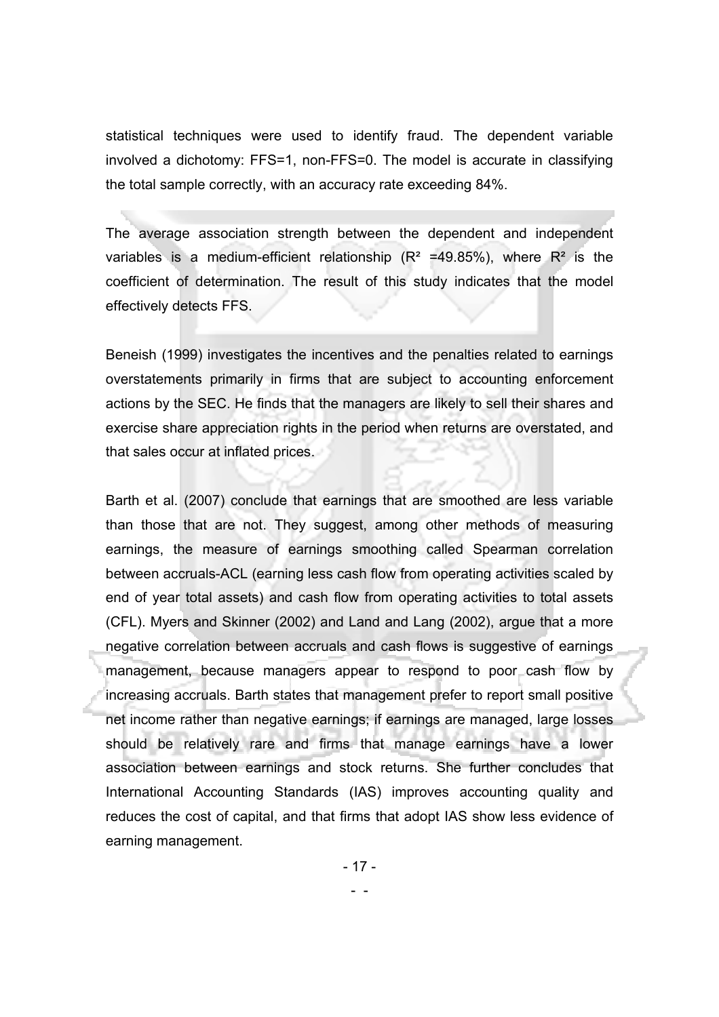statistical techniques were used to identify fraud. The dependent variable involved a dichotomy: FFS=1, non-FFS=0. The model is accurate in classifying the total sample correctly, with an accuracy rate exceeding 84%.

The average association strength between the dependent and independent variables is a medium-efficient relationship ( $R^2$  =49.85%), where  $R^2$  is the coefficient of determination. The result of this study indicates that the model effectively detects FFS.

Beneish (1999) investigates the incentives and the penalties related to earnings overstatements primarily in firms that are subject to accounting enforcement actions by the SEC. He finds that the managers are likely to sell their shares and exercise share appreciation rights in the period when returns are overstated, and that sales occur at inflated prices.

Barth et al. (2007) conclude that earnings that are smoothed are less variable than those that are not. They suggest, among other methods of measuring earnings, the measure of earnings smoothing called Spearman correlation between accruals-ACL (earning less cash flow from operating activities scaled by end of year total assets) and cash flow from operating activities to total assets (CFL). Myers and Skinner (2002) and Land and Lang (2002), argue that a more negative correlation between accruals and cash flows is suggestive of earnings management, because managers appear to respond to poor cash flow by increasing accruals. Barth states that management prefer to report small positive net income rather than negative earnings; if earnings are managed, large losses should be relatively rare and firms that manage earnings have a lower association between earnings and stock returns. She further concludes that International Accounting Standards (IAS) improves accounting quality and reduces the cost of capital, and that firms that adopt IAS show less evidence of earning management.

- 17 -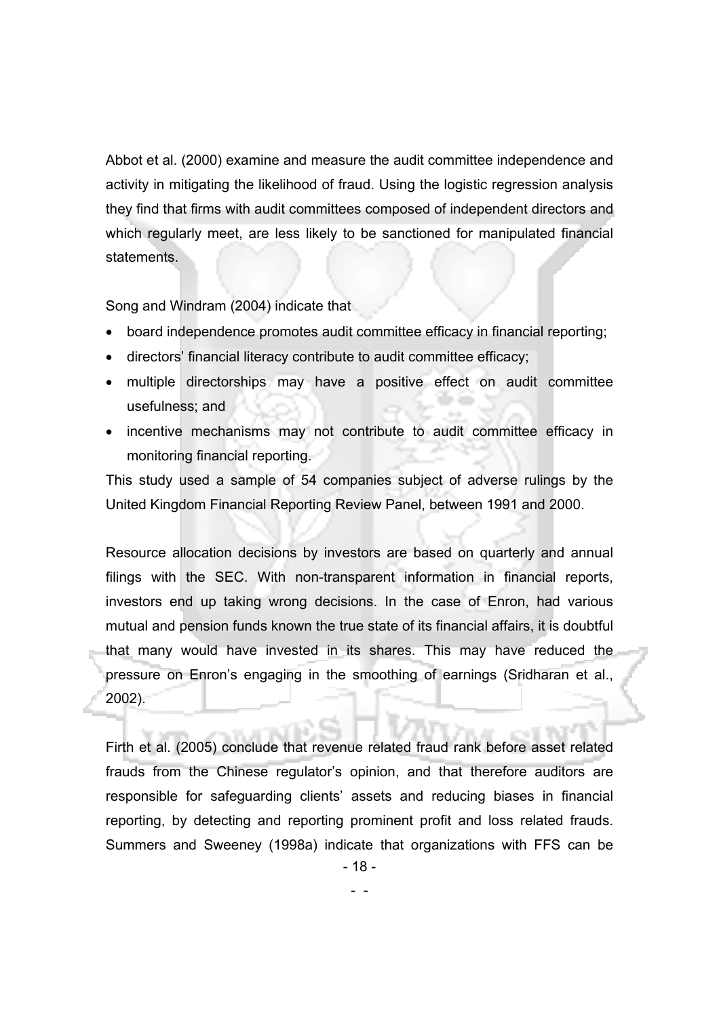Abbot et al. (2000) examine and measure the audit committee independence and activity in mitigating the likelihood of fraud. Using the logistic regression analysis they find that firms with audit committees composed of independent directors and which regularly meet, are less likely to be sanctioned for manipulated financial statements.

Song and Windram (2004) indicate that

- -

- board independence promotes audit committee efficacy in financial reporting;
- directors' financial literacy contribute to audit committee efficacy;
- multiple directorships may have a positive effect on audit committee usefulness; and
- incentive mechanisms may not contribute to audit committee efficacy in monitoring financial reporting.

This study used a sample of 54 companies subject of adverse rulings by the United Kingdom Financial Reporting Review Panel, between 1991 and 2000.

Resource allocation decisions by investors are based on quarterly and annual filings with the SEC. With non-transparent information in financial reports, investors end up taking wrong decisions. In the case of Enron, had various mutual and pension funds known the true state of its financial affairs, it is doubtful that many would have invested in its shares. This may have reduced the pressure on Enron's engaging in the smoothing of earnings (Sridharan et al., 2002).

Firth et al. (2005) conclude that revenue related fraud rank before asset related frauds from the Chinese regulator's opinion, and that therefore auditors are responsible for safeguarding clients' assets and reducing biases in financial reporting, by detecting and reporting prominent profit and loss related frauds. Summers and Sweeney (1998a) indicate that organizations with FFS can be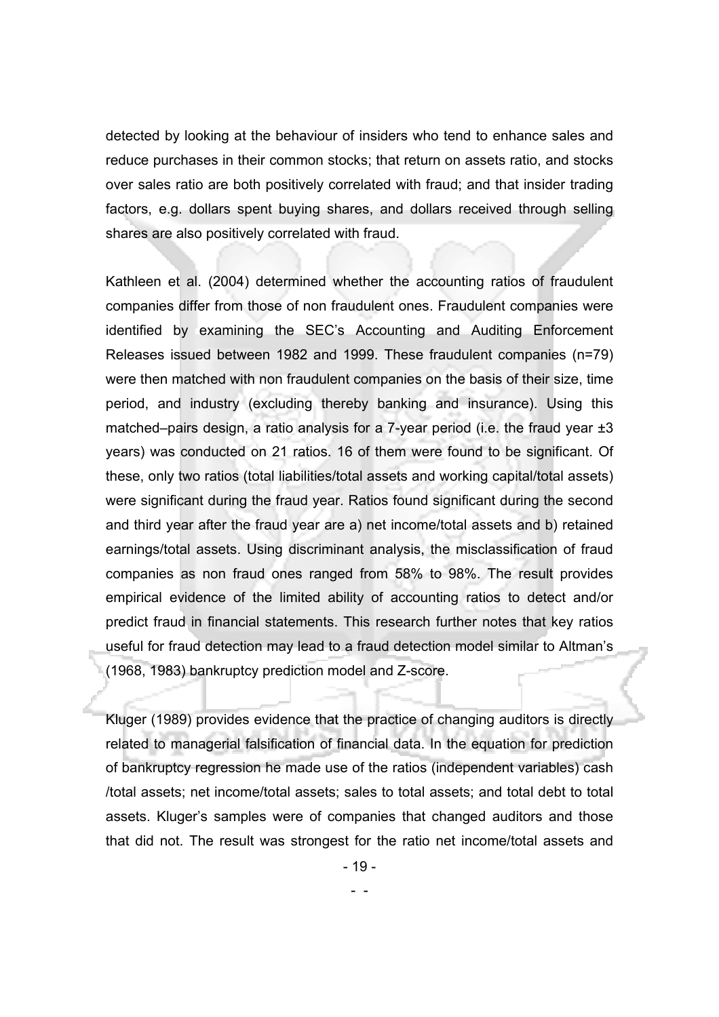detected by looking at the behaviour of insiders who tend to enhance sales and reduce purchases in their common stocks; that return on assets ratio, and stocks over sales ratio are both positively correlated with fraud; and that insider trading factors, e.g. dollars spent buying shares, and dollars received through selling shares are also positively correlated with fraud.

Kathleen et al. (2004) determined whether the accounting ratios of fraudulent companies differ from those of non fraudulent ones. Fraudulent companies were identified by examining the SEC's Accounting and Auditing Enforcement Releases issued between 1982 and 1999. These fraudulent companies (n=79) were then matched with non fraudulent companies on the basis of their size, time period, and industry (excluding thereby banking and insurance). Using this matched–pairs design, a ratio analysis for a 7-year period (i.e. the fraud year  $\pm 3$ years) was conducted on 21 ratios. 16 of them were found to be significant. Of these, only two ratios (total liabilities/total assets and working capital/total assets) were significant during the fraud year. Ratios found significant during the second and third year after the fraud year are a) net income/total assets and b) retained earnings/total assets. Using discriminant analysis, the misclassification of fraud companies as non fraud ones ranged from 58% to 98%. The result provides empirical evidence of the limited ability of accounting ratios to detect and/or predict fraud in financial statements. This research further notes that key ratios useful for fraud detection may lead to a fraud detection model similar to Altman's (1968, 1983) bankruptcy prediction model and Z-score.

Kluger (1989) provides evidence that the practice of changing auditors is directly related to managerial falsification of financial data. In the equation for prediction of bankruptcy regression he made use of the ratios (independent variables) cash /total assets; net income/total assets; sales to total assets; and total debt to total assets. Kluger's samples were of companies that changed auditors and those that did not. The result was strongest for the ratio net income/total assets and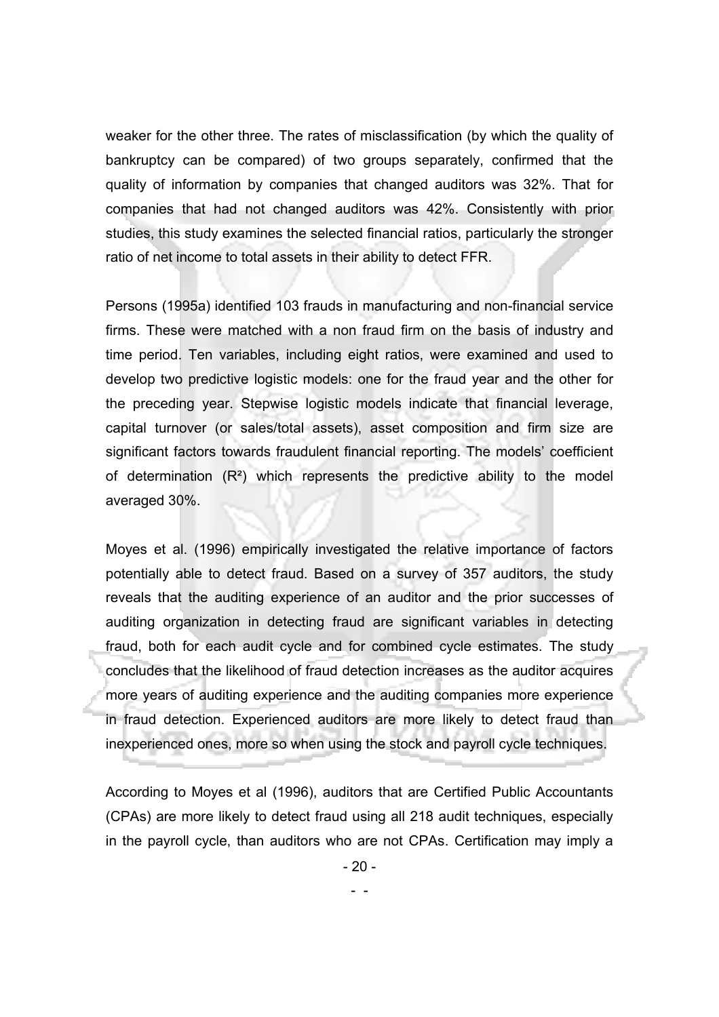weaker for the other three. The rates of misclassification (by which the quality of bankruptcy can be compared) of two groups separately, confirmed that the quality of information by companies that changed auditors was 32%. That for companies that had not changed auditors was 42%. Consistently with prior studies, this study examines the selected financial ratios, particularly the stronger ratio of net income to total assets in their ability to detect FFR.

Persons (1995a) identified 103 frauds in manufacturing and non-financial service firms. These were matched with a non fraud firm on the basis of industry and time period. Ten variables, including eight ratios, were examined and used to develop two predictive logistic models: one for the fraud year and the other for the preceding year. Stepwise logistic models indicate that financial leverage, capital turnover (or sales/total assets), asset composition and firm size are significant factors towards fraudulent financial reporting. The models' coefficient of determination  $(R^2)$  which represents the predictive ability to the model averaged 30%.

Moyes et al. (1996) empirically investigated the relative importance of factors potentially able to detect fraud. Based on a survey of 357 auditors, the study reveals that the auditing experience of an auditor and the prior successes of auditing organization in detecting fraud are significant variables in detecting fraud, both for each audit cycle and for combined cycle estimates. The study concludes that the likelihood of fraud detection increases as the auditor acquires more years of auditing experience and the auditing companies more experience in fraud detection. Experienced auditors are more likely to detect fraud than inexperienced ones, more so when using the stock and payroll cycle techniques.

According to Moyes et al (1996), auditors that are Certified Public Accountants (CPAs) are more likely to detect fraud using all 218 audit techniques, especially in the payroll cycle, than auditors who are not CPAs. Certification may imply a

- 20 -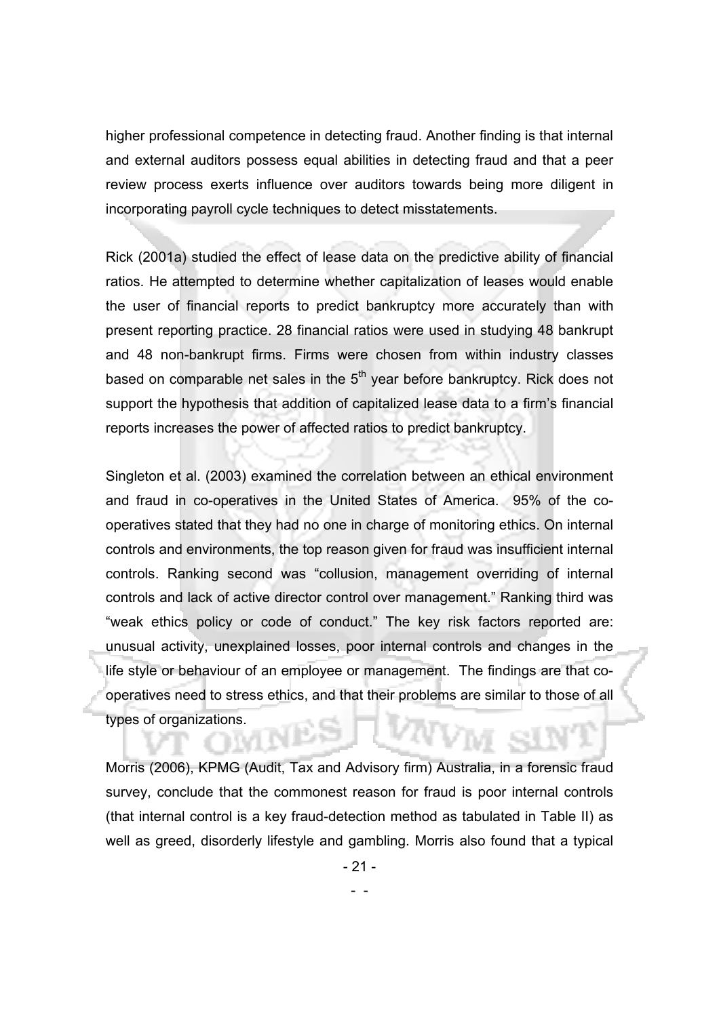higher professional competence in detecting fraud. Another finding is that internal and external auditors possess equal abilities in detecting fraud and that a peer review process exerts influence over auditors towards being more diligent in incorporating payroll cycle techniques to detect misstatements.

Rick (2001a) studied the effect of lease data on the predictive ability of financial ratios. He attempted to determine whether capitalization of leases would enable the user of financial reports to predict bankruptcy more accurately than with present reporting practice. 28 financial ratios were used in studying 48 bankrupt and 48 non-bankrupt firms. Firms were chosen from within industry classes based on comparable net sales in the  $5<sup>th</sup>$  year before bankruptcy. Rick does not support the hypothesis that addition of capitalized lease data to a firm's financial reports increases the power of affected ratios to predict bankruptcy.

Singleton et al. (2003) examined the correlation between an ethical environment and fraud in co-operatives in the United States of America. 95% of the cooperatives stated that they had no one in charge of monitoring ethics. On internal controls and environments, the top reason given for fraud was insufficient internal controls. Ranking second was "collusion, management overriding of internal controls and lack of active director control over management." Ranking third was "weak ethics policy or code of conduct." The key risk factors reported are: unusual activity, unexplained losses, poor internal controls and changes in the life style or behaviour of an employee or management. The findings are that cooperatives need to stress ethics, and that their problems are similar to those of all types of organizations.

Morris (2006), KPMG (Audit, Tax and Advisory firm) Australia, in a forensic fraud survey, conclude that the commonest reason for fraud is poor internal controls (that internal control is a key fraud-detection method as tabulated in Table II) as well as greed, disorderly lifestyle and gambling. Morris also found that a typical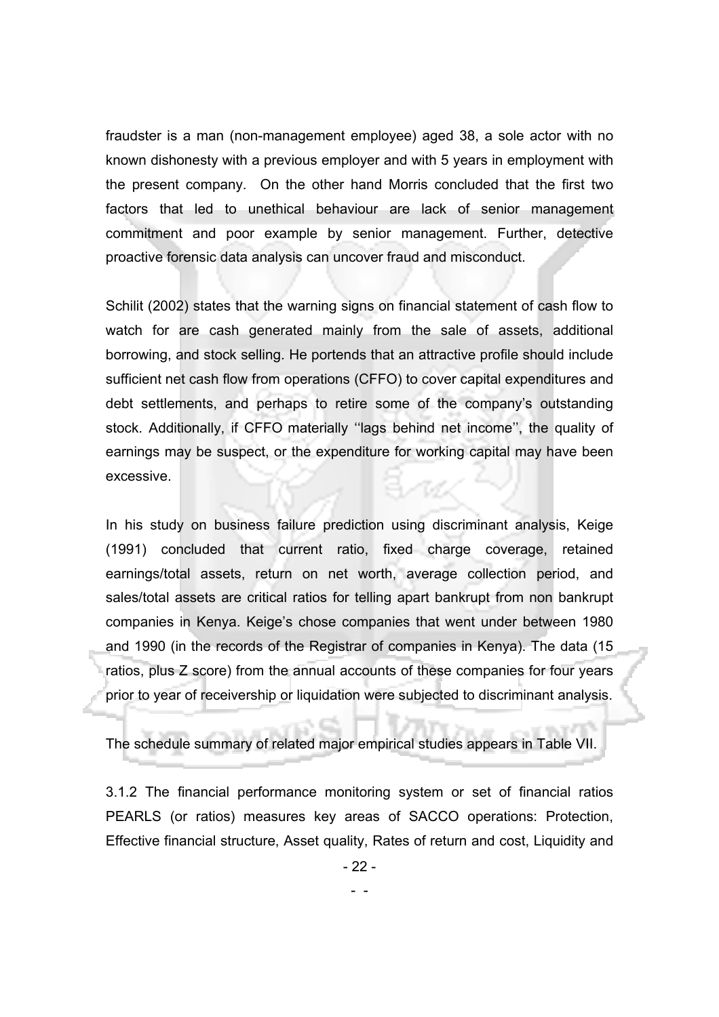fraudster is a man (non-management employee) aged 38, a sole actor with no known dishonesty with a previous employer and with 5 years in employment with the present company. On the other hand Morris concluded that the first two factors that led to unethical behaviour are lack of senior management commitment and poor example by senior management. Further, detective proactive forensic data analysis can uncover fraud and misconduct.

Schilit (2002) states that the warning signs on financial statement of cash flow to watch for are cash generated mainly from the sale of assets, additional borrowing, and stock selling. He portends that an attractive profile should include sufficient net cash flow from operations (CFFO) to cover capital expenditures and debt settlements, and perhaps to retire some of the company's outstanding stock. Additionally, if CFFO materially ''lags behind net income'', the quality of earnings may be suspect, or the expenditure for working capital may have been excessive.

In his study on business failure prediction using discriminant analysis, Keige (1991) concluded that current ratio, fixed charge coverage, retained earnings/total assets, return on net worth, average collection period, and sales/total assets are critical ratios for telling apart bankrupt from non bankrupt companies in Kenya. Keige's chose companies that went under between 1980 and 1990 (in the records of the Registrar of companies in Kenya). The data (15 ratios, plus Z score) from the annual accounts of these companies for four years prior to year of receivership or liquidation were subjected to discriminant analysis.

The schedule summary of related major empirical studies appears in Table VII.

3.1.2 The financial performance monitoring system or set of financial ratios PEARLS (or ratios) measures key areas of SACCO operations: Protection, Effective financial structure, Asset quality, Rates of return and cost, Liquidity and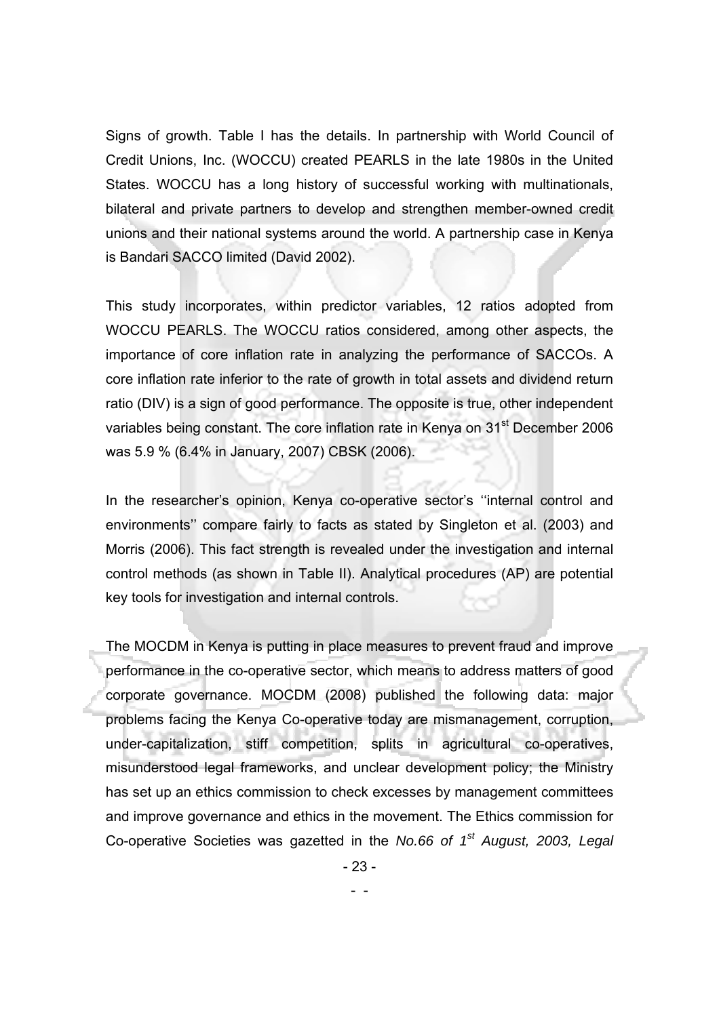Signs of growth. Table I has the details. In partnership with World Council of Credit Unions, Inc. (WOCCU) created PEARLS in the late 1980s in the United States. WOCCU has a long history of successful working with multinationals, bilateral and private partners to develop and strengthen member-owned credit unions and their national systems around the world. A partnership case in Kenya is Bandari SACCO limited (David 2002).

This study incorporates, within predictor variables, 12 ratios adopted from WOCCU PEARLS. The WOCCU ratios considered, among other aspects, the importance of core inflation rate in analyzing the performance of SACCOs. A core inflation rate inferior to the rate of growth in total assets and dividend return ratio (DIV) is a sign of good performance. The opposite is true, other independent variables being constant. The core inflation rate in Kenya on 31<sup>st</sup> December 2006 was 5.9 % (6.4% in January, 2007) CBSK (2006).

In the researcher's opinion, Kenya co-operative sector's ''internal control and environments'' compare fairly to facts as stated by Singleton et al. (2003) and Morris (2006). This fact strength is revealed under the investigation and internal control methods (as shown in Table II). Analytical procedures (AP) are potential key tools for investigation and internal controls.

The MOCDM in Kenya is putting in place measures to prevent fraud and improve performance in the co-operative sector, which means to address matters of good corporate governance. MOCDM (2008) published the following data: major problems facing the Kenya Co-operative today are mismanagement, corruption, under-capitalization, stiff competition, splits in agricultural co-operatives, misunderstood legal frameworks, and unclear development policy; the Ministry has set up an ethics commission to check excesses by management committees and improve governance and ethics in the movement. The Ethics commission for Co-operative Societies was gazetted in the *No.66 of 1st August, 2003, Legal* 

- 23 -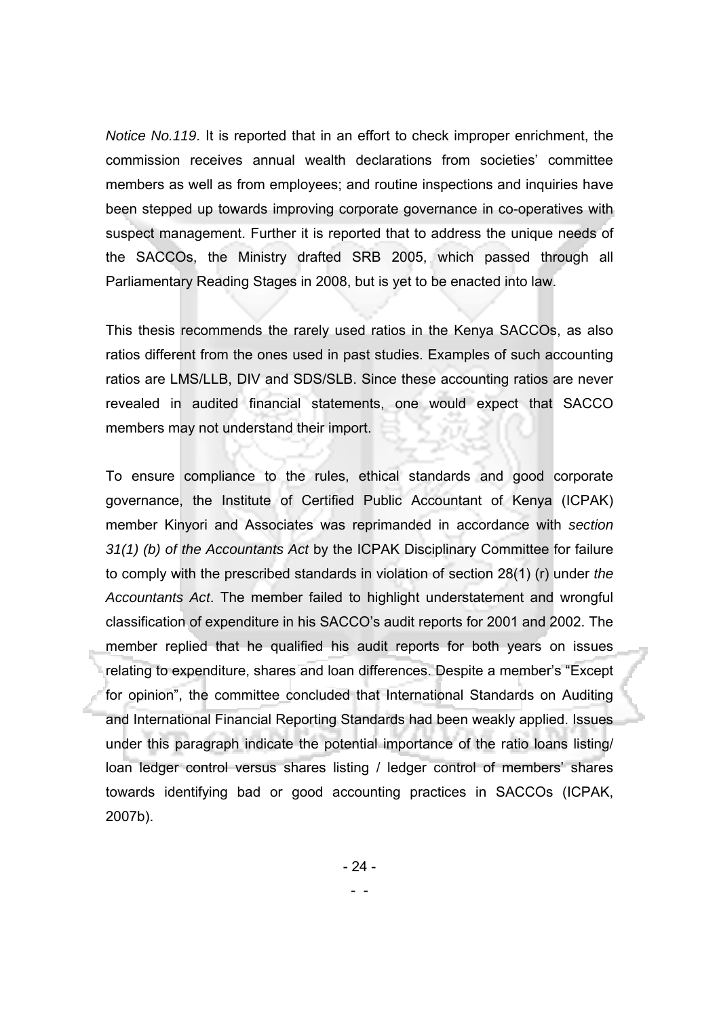*Notice No.119*. It is reported that in an effort to check improper enrichment, the commission receives annual wealth declarations from societies' committee members as well as from employees; and routine inspections and inquiries have been stepped up towards improving corporate governance in co-operatives with suspect management. Further it is reported that to address the unique needs of the SACCOs, the Ministry drafted SRB 2005, which passed through all Parliamentary Reading Stages in 2008, but is yet to be enacted into law.

This thesis recommends the rarely used ratios in the Kenya SACCOs, as also ratios different from the ones used in past studies. Examples of such accounting ratios are LMS/LLB, DIV and SDS/SLB. Since these accounting ratios are never revealed in audited financial statements, one would expect that SACCO members may not understand their import.

To ensure compliance to the rules, ethical standards and good corporate governance, the Institute of Certified Public Accountant of Kenya (ICPAK) member Kinyori and Associates was reprimanded in accordance with *section 31(1) (b) of the Accountants Act* by the ICPAK Disciplinary Committee for failure to comply with the prescribed standards in violation of section 28(1) (r) under *the Accountants Act*. The member failed to highlight understatement and wrongful classification of expenditure in his SACCO's audit reports for 2001 and 2002. The member replied that he qualified his audit reports for both years on issues relating to expenditure, shares and loan differences. Despite a member's "Except for opinion", the committee concluded that International Standards on Auditing and International Financial Reporting Standards had been weakly applied. Issues under this paragraph indicate the potential importance of the ratio loans listing/ loan ledger control versus shares listing / ledger control of members' shares towards identifying bad or good accounting practices in SACCOs (ICPAK, 2007b).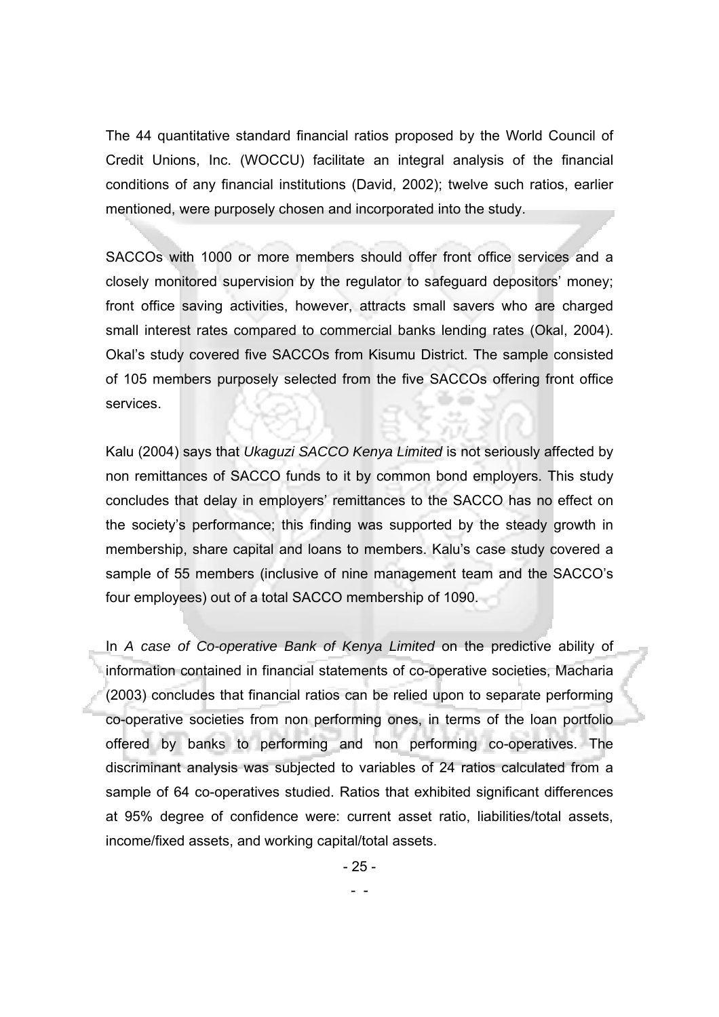The 44 quantitative standard financial ratios proposed by the World Council of Credit Unions, Inc. (WOCCU) facilitate an integral analysis of the financial conditions of any financial institutions (David, 2002); twelve such ratios, earlier mentioned, were purposely chosen and incorporated into the study.

SACCOs with 1000 or more members should offer front office services and a closely monitored supervision by the regulator to safeguard depositors' money; front office saving activities, however, attracts small savers who are charged small interest rates compared to commercial banks lending rates (Okal, 2004). Okal's study covered five SACCOs from Kisumu District. The sample consisted of 105 members purposely selected from the five SACCOs offering front office services.

Kalu (2004) says that *Ukaguzi SACCO Kenya Limited* is not seriously affected by non remittances of SACCO funds to it by common bond employers. This study concludes that delay in employers' remittances to the SACCO has no effect on the society's performance; this finding was supported by the steady growth in membership, share capital and loans to members. Kalu's case study covered a sample of 55 members (inclusive of nine management team and the SACCO's four employees) out of a total SACCO membership of 1090.

In *A case of Co-operative Bank of Kenya Limited* on the predictive ability of information contained in financial statements of co-operative societies, Macharia (2003) concludes that financial ratios can be relied upon to separate performing co-operative societies from non performing ones, in terms of the loan portfolio offered by banks to performing and non performing co-operatives. The discriminant analysis was subjected to variables of 24 ratios calculated from a sample of 64 co-operatives studied. Ratios that exhibited significant differences at 95% degree of confidence were: current asset ratio, liabilities/total assets, income/fixed assets, and working capital/total assets.

- 25 -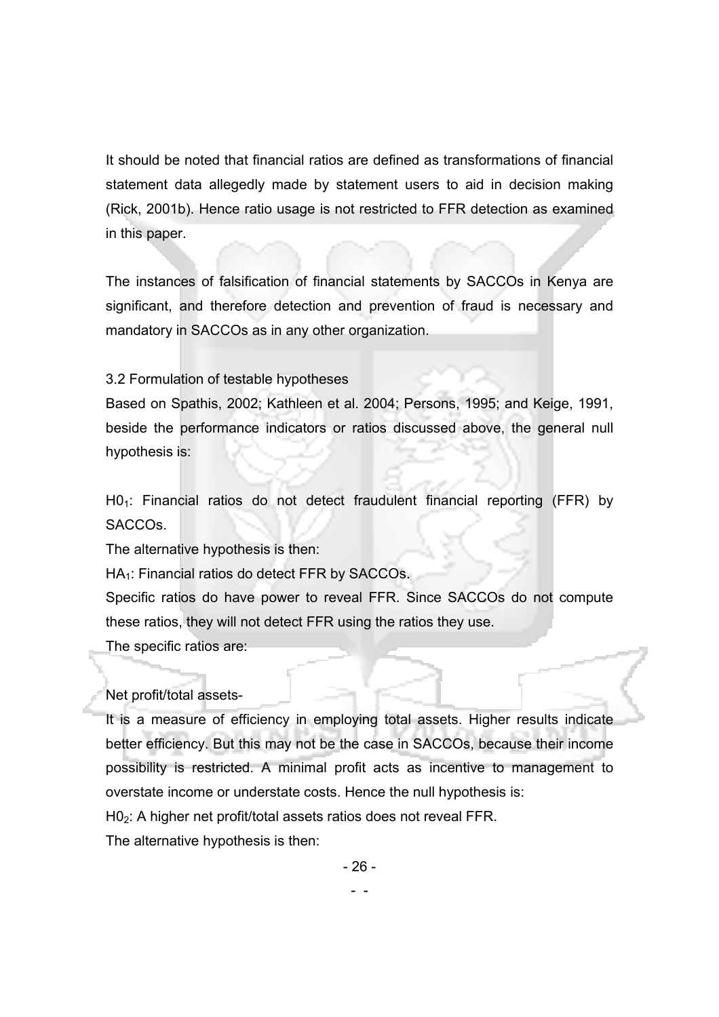It should be noted that financial ratios are defined as transformations of financial statement data allegedly made by statement users to aid in decision making (Rick, 2001b). Hence ratio usage is not restricted to FFR detection as examined in this paper.

The instances of falsification of financial statements by SACCOs in Kenya are significant, and therefore detection and prevention of fraud is necessary and mandatory in SACCOs as in any other organization.

## 3.2 Formulation of testable hypotheses

Based on Spathis, 2002; Kathleen et al. 2004; Persons, 1995; and Keige, 1991, beside the performance indicators or ratios discussed above, the general null hypothesis is:

 $H0<sub>1</sub>$ : Financial ratios do not detect fraudulent financial reporting (FFR) by SACCOs.

The alternative hypothesis is then:

 $HA_1$ : Financial ratios do detect FFR by SACCOs.

Specific ratios do have power to reveal FFR. Since SACCOs do not compute these ratios, they will not detect FFR using the ratios they use. The specific ratios are:

## Net profit/total assets-

It is a measure of efficiency in employing total assets. Higher results indicate better efficiency. But this may not be the case in SACCOs, because their income possibility is restricted. A minimal profit acts as incentive to management to overstate income or understate costs. Hence the null hypothesis is:

H02: A higher net profit/total assets ratios does not reveal FFR.

The alternative hypothesis is then:

- 26 -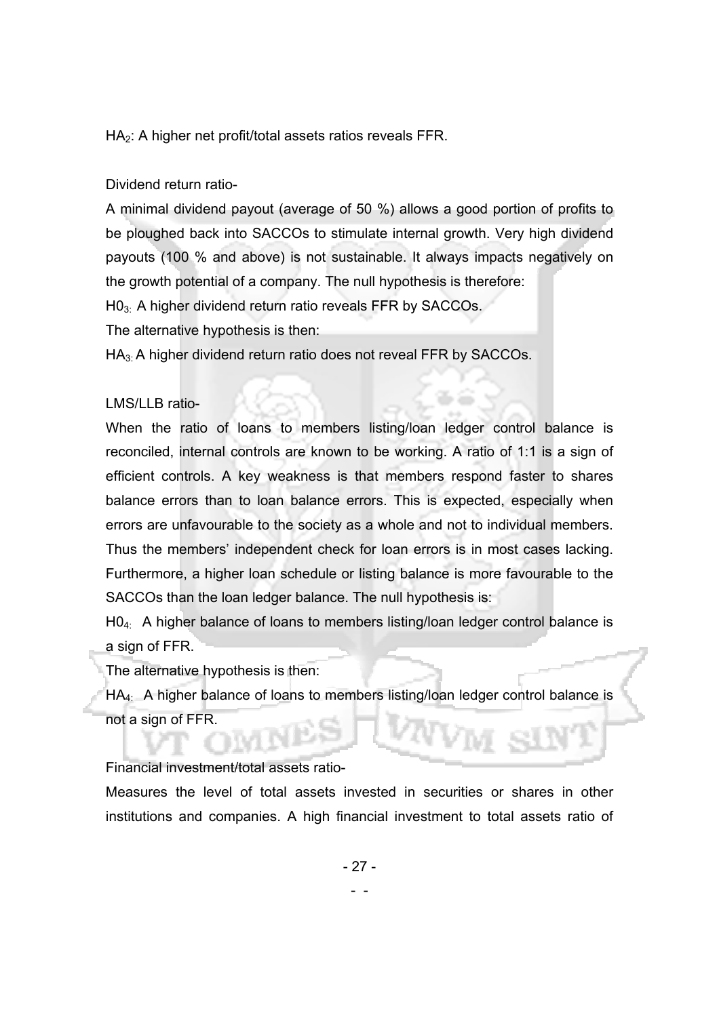HA2: A higher net profit/total assets ratios reveals FFR.

Dividend return ratio-

A minimal dividend payout (average of 50 %) allows a good portion of profits to be ploughed back into SACCOs to stimulate internal growth. Very high dividend payouts (100 % and above) is not sustainable. It always impacts negatively on the growth potential of a company. The null hypothesis is therefore:

H0<sub>3:</sub> A higher dividend return ratio reveals FFR by SACCOs.

The alternative hypothesis is then:

HA3: A higher dividend return ratio does not reveal FFR by SACCOs.

## LMS/LLB ratio-

When the ratio of loans to members listing/loan ledger control balance is reconciled, internal controls are known to be working. A ratio of 1:1 is a sign of efficient controls. A key weakness is that members respond faster to shares balance errors than to loan balance errors. This is expected, especially when errors are unfavourable to the society as a whole and not to individual members. Thus the members' independent check for loan errors is in most cases lacking. Furthermore, a higher loan schedule or listing balance is more favourable to the SACCOs than the loan ledger balance. The null hypothesis is:

H04: A higher balance of loans to members listing/loan ledger control balance is a sign of FFR.

The alternative hypothesis is then:

HA4: A higher balance of loans to members listing/loan ledger control balance is not a sign of FFR.

Financial investment/total assets ratio-

Measures the level of total assets invested in securities or shares in other institutions and companies. A high financial investment to total assets ratio of

 <sup>- -</sup>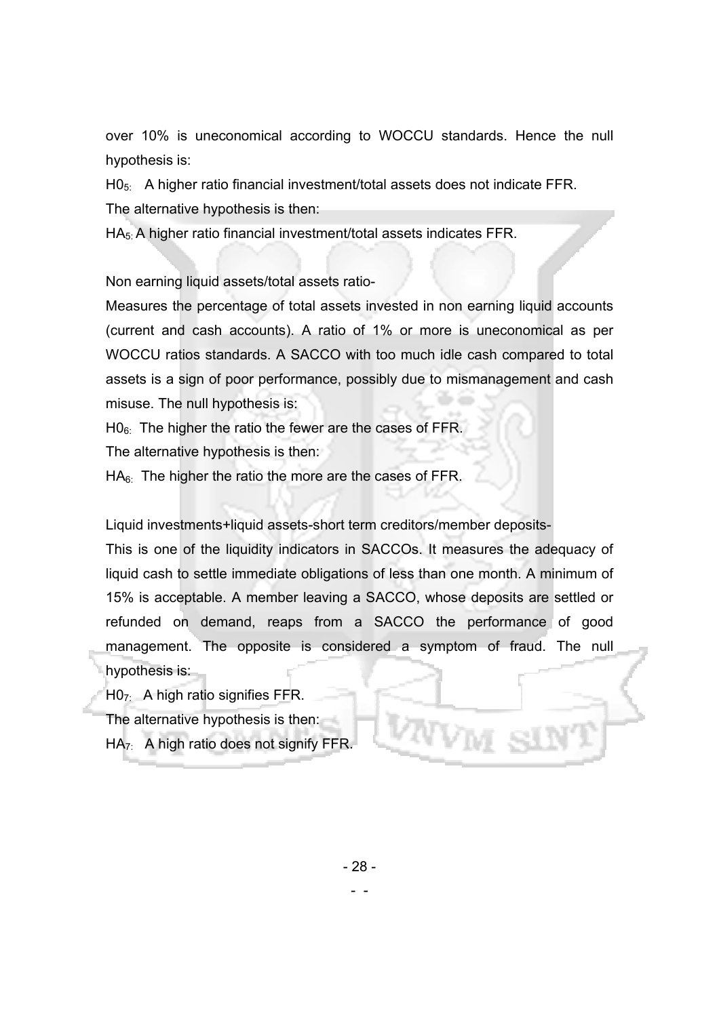over 10% is uneconomical according to WOCCU standards. Hence the null hypothesis is:

 $H0_{5}$ : A higher ratio financial investment/total assets does not indicate FFR. The alternative hypothesis is then:

HA5: A higher ratio financial investment/total assets indicates FFR.

Non earning liquid assets/total assets ratio-

Measures the percentage of total assets invested in non earning liquid accounts (current and cash accounts). A ratio of 1% or more is uneconomical as per WOCCU ratios standards. A SACCO with too much idle cash compared to total assets is a sign of poor performance, possibly due to mismanagement and cash misuse. The null hypothesis is:

 $H0_6$ : The higher the ratio the fewer are the cases of FFR.

The alternative hypothesis is then:

 $HA<sub>6</sub>$ . The higher the ratio the more are the cases of FFR.

Liquid investments+liquid assets-short term creditors/member deposits-

This is one of the liquidity indicators in SACCOs. It measures the adequacy of liquid cash to settle immediate obligations of less than one month. A minimum of 15% is acceptable. A member leaving a SACCO, whose deposits are settled or refunded on demand, reaps from a SACCO the performance of good management. The opposite is considered a symptom of fraud. The null hypothesis is:

H07: A high ratio signifies FFR.

The alternative hypothesis is then:

 $HA_{7}$ : A high ratio does not signify FFR.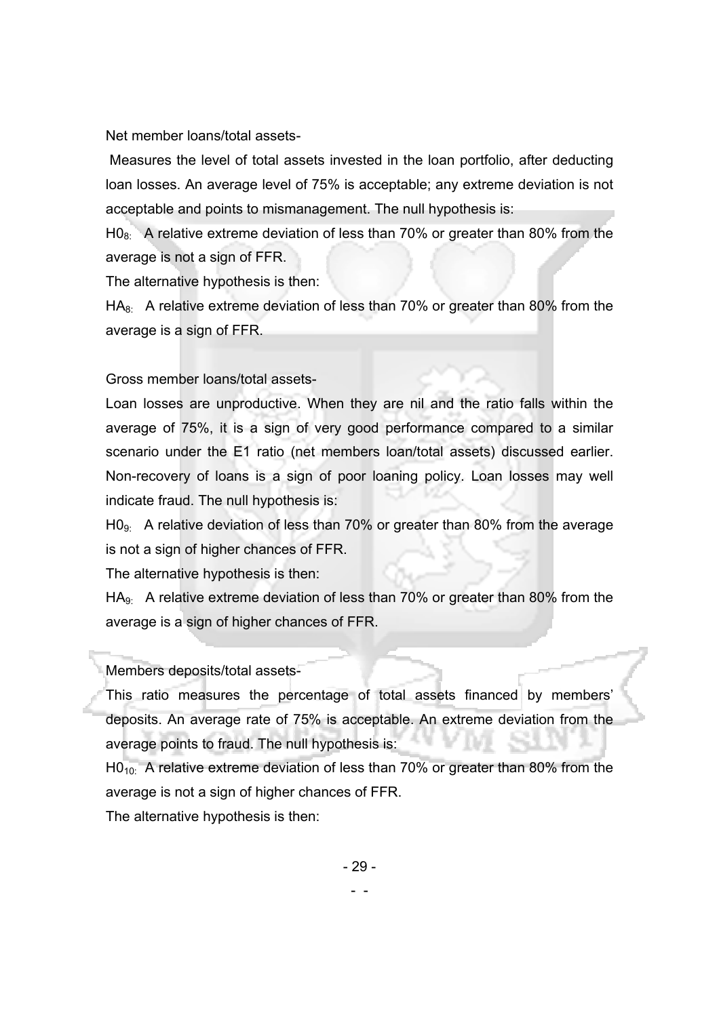Net member loans/total assets-

 Measures the level of total assets invested in the loan portfolio, after deducting loan losses. An average level of 75% is acceptable; any extreme deviation is not acceptable and points to mismanagement. The null hypothesis is:

 $H0<sub>8</sub>$ . A relative extreme deviation of less than 70% or greater than 80% from the average is not a sign of FFR.

The alternative hypothesis is then:

 $HA<sub>8</sub>$ . A relative extreme deviation of less than 70% or greater than 80% from the average is a sign of FFR.

Gross member loans/total assets-

Loan losses are unproductive. When they are nil and the ratio falls within the average of 75%, it is a sign of very good performance compared to a similar scenario under the E1 ratio (net members loan/total assets) discussed earlier. Non-recovery of loans is a sign of poor loaning policy. Loan losses may well indicate fraud. The null hypothesis is:

 $H0<sub>9</sub>$ . A relative deviation of less than 70% or greater than 80% from the average is not a sign of higher chances of FFR.

The alternative hypothesis is then:

 $HA_{9}$ : A relative extreme deviation of less than 70% or greater than 80% from the average is a sign of higher chances of FFR.

#### Members deposits/total assets-

This ratio measures the percentage of total assets financed by members' deposits. An average rate of 75% is acceptable. An extreme deviation from the average points to fraud. The null hypothesis is:

 $H0_{10}$ : A relative extreme deviation of less than 70% or greater than 80% from the average is not a sign of higher chances of FFR.

The alternative hypothesis is then: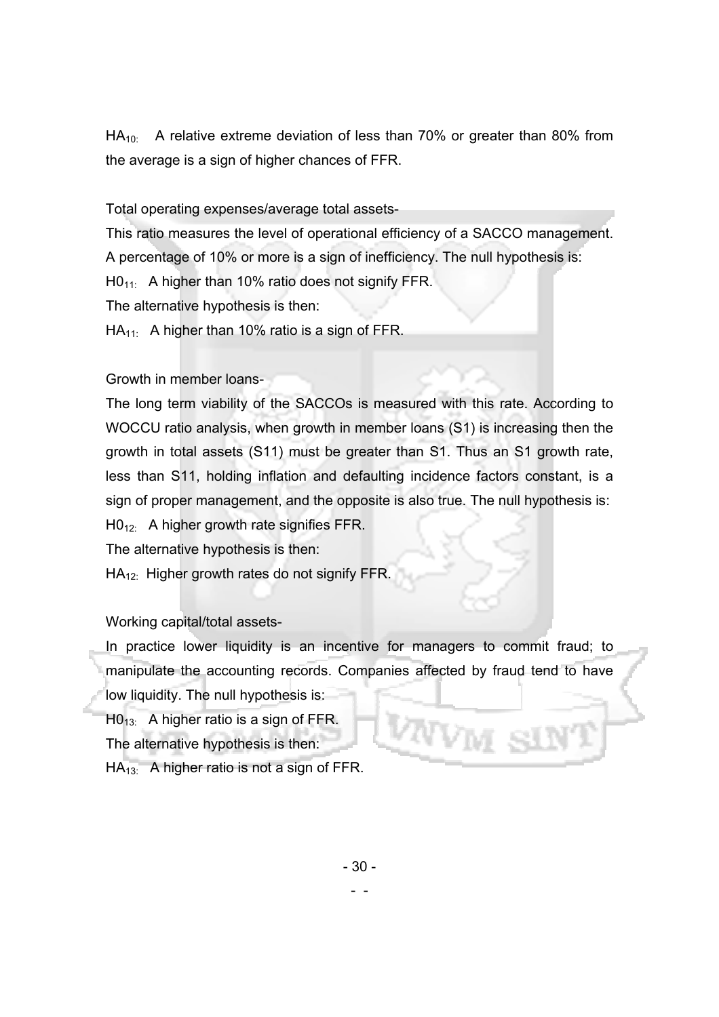$HA_{10}$ : A relative extreme deviation of less than 70% or greater than 80% from the average is a sign of higher chances of FFR.

Total operating expenses/average total assets-

This ratio measures the level of operational efficiency of a SACCO management. A percentage of 10% or more is a sign of inefficiency. The null hypothesis is:

 $H0_{11}$ : A higher than 10% ratio does not signify FFR.

The alternative hypothesis is then:

 $HA_{11}$ : A higher than 10% ratio is a sign of FFR.

## Growth in member loans-

The long term viability of the SACCOs is measured with this rate. According to WOCCU ratio analysis, when growth in member loans (S1) is increasing then the growth in total assets (S11) must be greater than S1. Thus an S1 growth rate, less than S11, holding inflation and defaulting incidence factors constant, is a sign of proper management, and the opposite is also true. The null hypothesis is: H<sub>012</sub>: A higher growth rate signifies FFR.

The alternative hypothesis is then:

 $HA_{12}$ : Higher growth rates do not signify FFR.

## Working capital/total assets-

In practice lower liquidity is an incentive for managers to commit fraud; to manipulate the accounting records. Companies affected by fraud tend to have low liquidity. The null hypothesis is:

 $H0_{13}$ : A higher ratio is a sign of FFR.

The alternative hypothesis is then:

 $HA_{13}$ : A higher ratio is not a sign of FFR.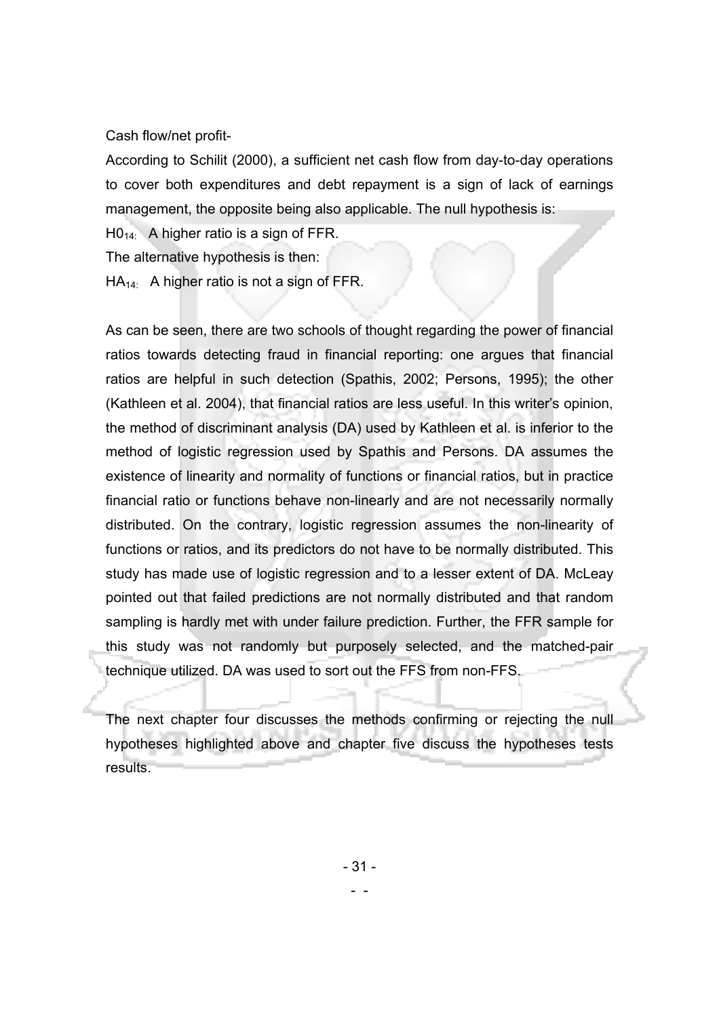Cash flow/net profit-

According to Schilit (2000), a sufficient net cash flow from day-to-day operations to cover both expenditures and debt repayment is a sign of lack of earnings management, the opposite being also applicable. The null hypothesis is:

 $H0_{14}$ : A higher ratio is a sign of FFR.

The alternative hypothesis is then:

 $HA_{14}$ : A higher ratio is not a sign of FFR.

As can be seen, there are two schools of thought regarding the power of financial ratios towards detecting fraud in financial reporting: one argues that financial ratios are helpful in such detection (Spathis, 2002; Persons, 1995); the other (Kathleen et al. 2004), that financial ratios are less useful. In this writer's opinion, the method of discriminant analysis (DA) used by Kathleen et al. is inferior to the method of logistic regression used by Spathis and Persons. DA assumes the existence of linearity and normality of functions or financial ratios, but in practice financial ratio or functions behave non-linearly and are not necessarily normally distributed. On the contrary, logistic regression assumes the non-linearity of functions or ratios, and its predictors do not have to be normally distributed. This study has made use of logistic regression and to a lesser extent of DA. McLeay pointed out that failed predictions are not normally distributed and that random sampling is hardly met with under failure prediction. Further, the FFR sample for this study was not randomly but purposely selected, and the matched-pair technique utilized. DA was used to sort out the FFS from non-FFS.

The next chapter four discusses the methods confirming or rejecting the null hypotheses highlighted above and chapter five discuss the hypotheses tests results.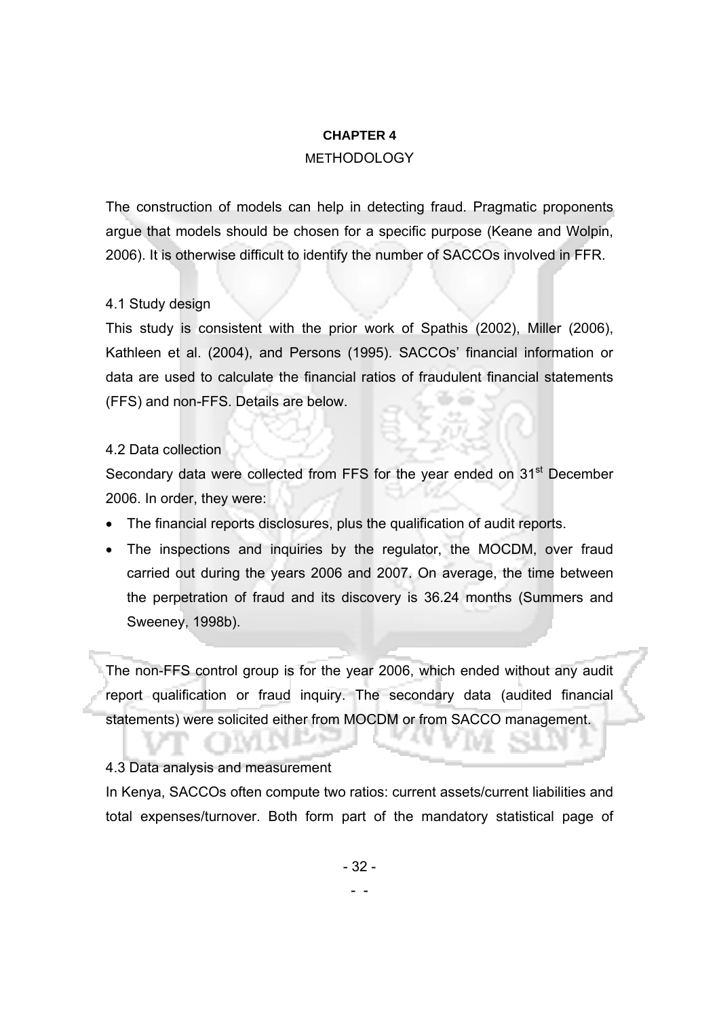### **CHAPTER 4**

## METHODOLOGY

The construction of models can help in detecting fraud. Pragmatic proponents argue that models should be chosen for a specific purpose (Keane and Wolpin, 2006). It is otherwise difficult to identify the number of SACCOs involved in FFR.

## 4.1 Study design

This study is consistent with the prior work of Spathis (2002), Miller (2006), Kathleen et al. (2004), and Persons (1995). SACCOs' financial information or data are used to calculate the financial ratios of fraudulent financial statements (FFS) and non-FFS. Details are below.

## 4.2 Data collection

Secondary data were collected from FFS for the year ended on 31<sup>st</sup> December 2006. In order, they were:

- The financial reports disclosures, plus the qualification of audit reports.
- The inspections and inquiries by the regulator, the MOCDM, over fraud carried out during the years 2006 and 2007. On average, the time between the perpetration of fraud and its discovery is 36.24 months (Summers and Sweeney, 1998b).

The non-FFS control group is for the year 2006, which ended without any audit report qualification or fraud inquiry. The secondary data (audited financial statements) were solicited either from MOCDM or from SACCO management.

## 4.3 Data analysis and measurement

In Kenya, SACCOs often compute two ratios: current assets/current liabilities and total expenses/turnover. Both form part of the mandatory statistical page of

 <sup>- -</sup>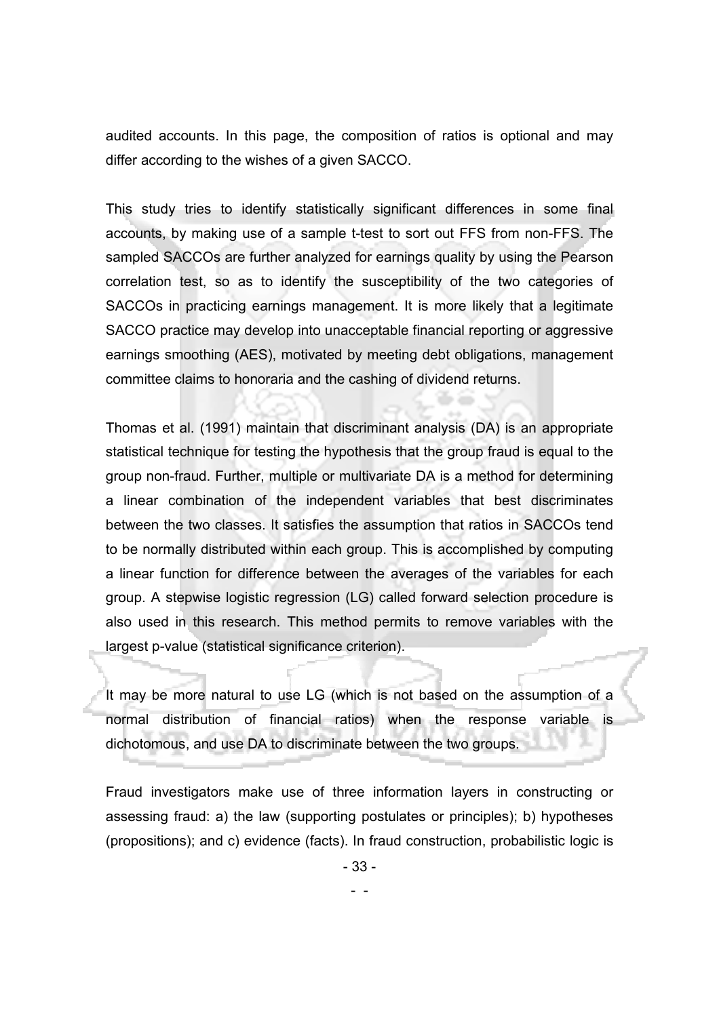audited accounts. In this page, the composition of ratios is optional and may differ according to the wishes of a given SACCO.

This study tries to identify statistically significant differences in some final accounts, by making use of a sample t-test to sort out FFS from non-FFS. The sampled SACCOs are further analyzed for earnings quality by using the Pearson correlation test, so as to identify the susceptibility of the two categories of SACCOs in practicing earnings management. It is more likely that a legitimate SACCO practice may develop into unacceptable financial reporting or aggressive earnings smoothing (AES), motivated by meeting debt obligations, management committee claims to honoraria and the cashing of dividend returns.

Thomas et al. (1991) maintain that discriminant analysis (DA) is an appropriate statistical technique for testing the hypothesis that the group fraud is equal to the group non-fraud. Further, multiple or multivariate DA is a method for determining a linear combination of the independent variables that best discriminates between the two classes. It satisfies the assumption that ratios in SACCOs tend to be normally distributed within each group. This is accomplished by computing a linear function for difference between the averages of the variables for each group. A stepwise logistic regression (LG) called forward selection procedure is also used in this research. This method permits to remove variables with the largest p-value (statistical significance criterion).

It may be more natural to use LG (which is not based on the assumption of a normal distribution of financial ratios) when the response variable is dichotomous, and use DA to discriminate between the two groups.

Fraud investigators make use of three information layers in constructing or assessing fraud: a) the law (supporting postulates or principles); b) hypotheses (propositions); and c) evidence (facts). In fraud construction, probabilistic logic is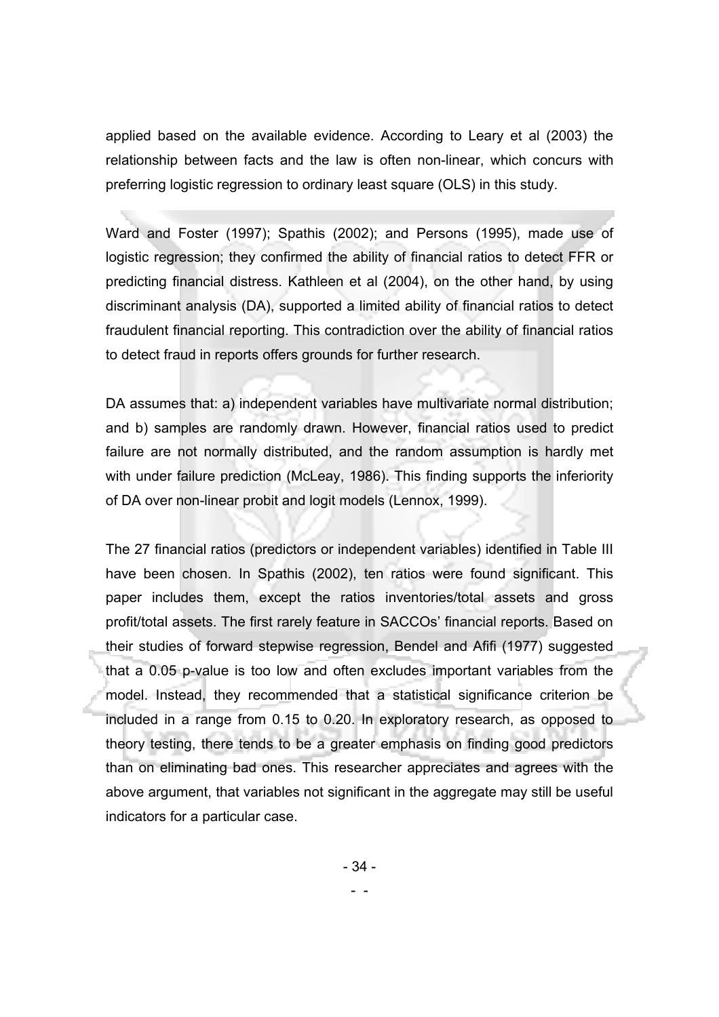applied based on the available evidence. According to Leary et al (2003) the relationship between facts and the law is often non-linear, which concurs with preferring logistic regression to ordinary least square (OLS) in this study.

Ward and Foster (1997); Spathis (2002); and Persons (1995), made use of logistic regression; they confirmed the ability of financial ratios to detect FFR or predicting financial distress. Kathleen et al (2004), on the other hand, by using discriminant analysis (DA), supported a limited ability of financial ratios to detect fraudulent financial reporting. This contradiction over the ability of financial ratios to detect fraud in reports offers grounds for further research.

DA assumes that: a) independent variables have multivariate normal distribution; and b) samples are randomly drawn. However, financial ratios used to predict failure are not normally distributed, and the random assumption is hardly met with under failure prediction (McLeay, 1986). This finding supports the inferiority of DA over non-linear probit and logit models (Lennox, 1999).

The 27 financial ratios (predictors or independent variables) identified in Table III have been chosen. In Spathis (2002), ten ratios were found significant. This paper includes them, except the ratios inventories/total assets and gross profit/total assets. The first rarely feature in SACCOs' financial reports. Based on their studies of forward stepwise regression, Bendel and Afifi (1977) suggested that a 0.05 p-value is too low and often excludes important variables from the model. Instead, they recommended that a statistical significance criterion be included in a range from 0.15 to 0.20. In exploratory research, as opposed to theory testing, there tends to be a greater emphasis on finding good predictors than on eliminating bad ones. This researcher appreciates and agrees with the above argument, that variables not significant in the aggregate may still be useful indicators for a particular case.

- 34 -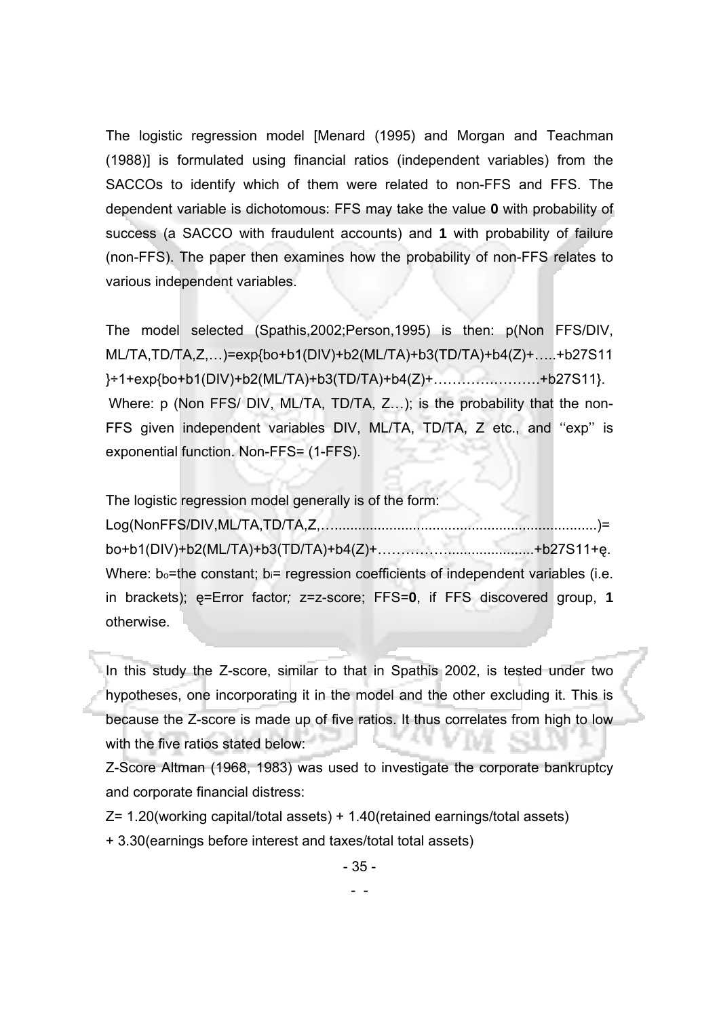The logistic regression model [Menard (1995) and Morgan and Teachman (1988)] is formulated using financial ratios (independent variables) from the SACCOs to identify which of them were related to non-FFS and FFS. The dependent variable is dichotomous: FFS may take the value **0** with probability of success (a SACCO with fraudulent accounts) and **1** with probability of failure (non-FFS). The paper then examines how the probability of non-FFS relates to various independent variables.

The model selected (Spathis,2002;Person,1995) is then: p(Non FFS/DIV, ML/TA,TD/TA,Z,…)=exp{bo+b1(DIV)+b2(ML/TA)+b3(TD/TA)+b4(Z)+…..+b27S11 }÷1+exp{bo+b1(DIV)+b2(ML/TA)+b3(TD/TA)+b4(Z)+………….……….+b27S11}. Where: p (Non FFS/ DIV, ML/TA, TD/TA, Z...); is the probability that the non-FFS given independent variables DIV, ML/TA, TD/TA, Z etc., and ''exp'' is exponential function. Non-FFS= (1-FFS).

The logistic regression model generally is of the form:

Log(NonFFS/DIV,ML/TA,TD/TA,Z,…...................................................................)= bo+b1(DIV)+b2(ML/TA)+b3(TD/TA)+b4(Z)+……………......................+b27S11+ę. Where:  $b_0$ =the constant;  $b_i$ = regression coefficients of independent variables (i.e. in brackets); ę=Error factor*;* z=z-score; FFS=**0**, if FFS discovered group, **1** otherwise.

In this study the Z-score, similar to that in Spathis 2002, is tested under two hypotheses, one incorporating it in the model and the other excluding it. This is because the Z-score is made up of five ratios. It thus correlates from high to low with the five ratios stated below:

Z-Score Altman (1968, 1983) was used to investigate the corporate bankruptcy and corporate financial distress:

Z= 1.20(working capital/total assets) + 1.40(retained earnings/total assets)

+ 3.30(earnings before interest and taxes/total total assets)

```
 - -
```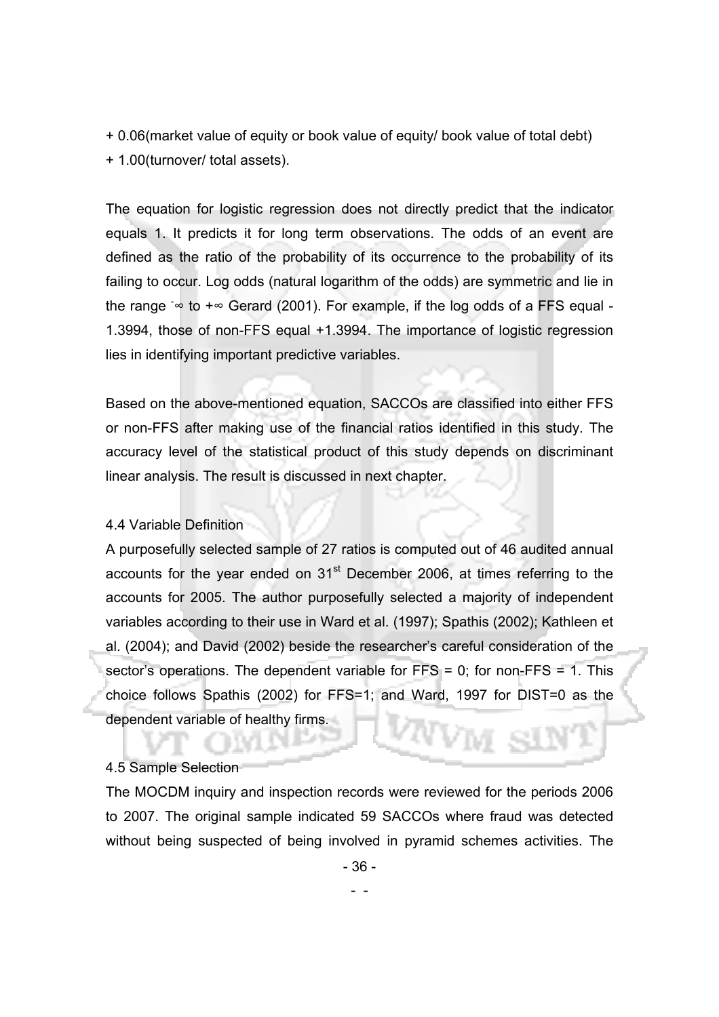+ 0.06(market value of equity or book value of equity/ book value of total debt) + 1.00(turnover/ total assets).

The equation for logistic regression does not directly predict that the indicator equals 1. It predicts it for long term observations. The odds of an event are defined as the ratio of the probability of its occurrence to the probability of its failing to occur. Log odds (natural logarithm of the odds) are symmetric and lie in the range  $\sim$  to  $+\infty$  Gerard (2001). For example, if the log odds of a FFS equal -1.3994, those of non-FFS equal +1.3994. The importance of logistic regression lies in identifying important predictive variables.

Based on the above-mentioned equation, SACCOs are classified into either FFS or non-FFS after making use of the financial ratios identified in this study. The accuracy level of the statistical product of this study depends on discriminant linear analysis. The result is discussed in next chapter.

#### 4.4 Variable Definition

A purposefully selected sample of 27 ratios is computed out of 46 audited annual accounts for the year ended on  $31<sup>st</sup>$  December 2006, at times referring to the accounts for 2005. The author purposefully selected a majority of independent variables according to their use in Ward et al. (1997); Spathis (2002); Kathleen et al. (2004); and David (2002) beside the researcher's careful consideration of the sector's operations. The dependent variable for  $FFS = 0$ ; for non- $FFS = 1$ . This choice follows Spathis (2002) for FFS=1; and Ward, 1997 for DIST=0 as the dependent variable of healthy firms.

#### 4.5 Sample Selection

The MOCDM inquiry and inspection records were reviewed for the periods 2006 to 2007. The original sample indicated 59 SACCOs where fraud was detected without being suspected of being involved in pyramid schemes activities. The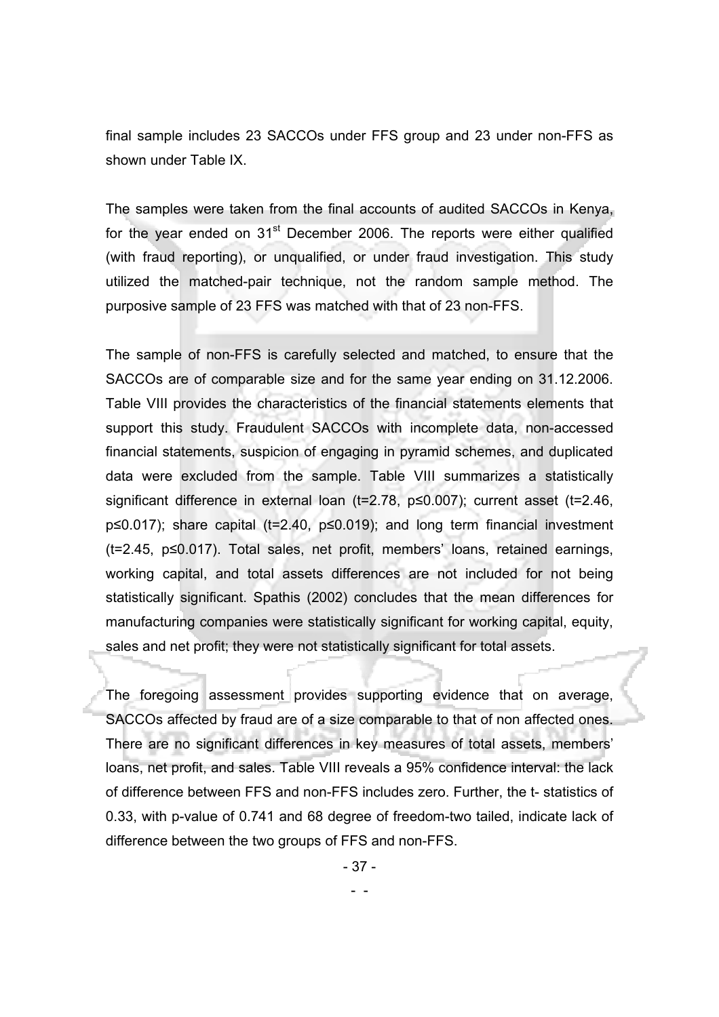final sample includes 23 SACCOs under FFS group and 23 under non-FFS as shown under Table IX.

The samples were taken from the final accounts of audited SACCOs in Kenya, for the year ended on  $31<sup>st</sup>$  December 2006. The reports were either qualified (with fraud reporting), or unqualified, or under fraud investigation. This study utilized the matched-pair technique, not the random sample method. The purposive sample of 23 FFS was matched with that of 23 non-FFS.

The sample of non-FFS is carefully selected and matched, to ensure that the SACCOs are of comparable size and for the same year ending on 31.12.2006. Table VIII provides the characteristics of the financial statements elements that support this study. Fraudulent SACCOs with incomplete data, non-accessed financial statements, suspicion of engaging in pyramid schemes, and duplicated data were excluded from the sample. Table VIII summarizes a statistically significant difference in external loan (t=2.78, p≤0.007); current asset (t=2.46, p≤0.017); share capital (t=2.40, p≤0.019); and long term financial investment (t=2.45, p≤0.017). Total sales, net profit, members' loans, retained earnings, working capital, and total assets differences are not included for not being statistically significant. Spathis (2002) concludes that the mean differences for manufacturing companies were statistically significant for working capital, equity, sales and net profit; they were not statistically significant for total assets.

The foregoing assessment provides supporting evidence that on average, SACCOs affected by fraud are of a size comparable to that of non affected ones. There are no significant differences in key measures of total assets, members' loans, net profit, and sales. Table VIII reveals a 95% confidence interval: the lack of difference between FFS and non-FFS includes zero. Further, the t- statistics of 0.33, with p-value of 0.741 and 68 degree of freedom-two tailed, indicate lack of difference between the two groups of FFS and non-FFS.

- 37 -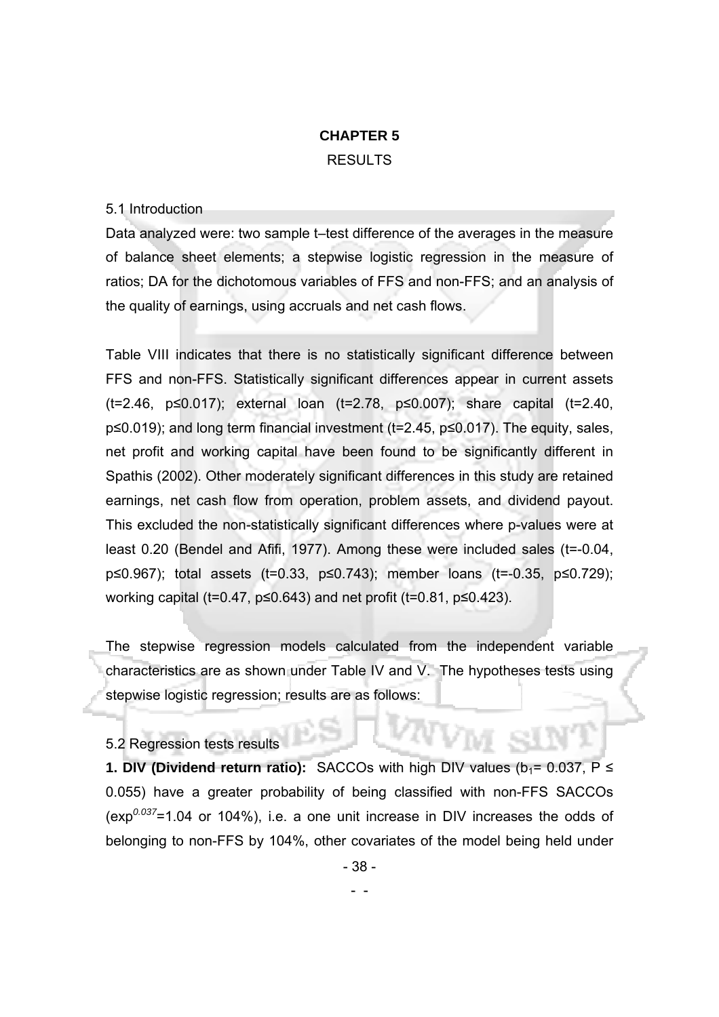# **CHAPTER 5**  RESULTS

#### 5.1 Introduction

Data analyzed were: two sample t–test difference of the averages in the measure of balance sheet elements; a stepwise logistic regression in the measure of ratios; DA for the dichotomous variables of FFS and non-FFS; and an analysis of the quality of earnings, using accruals and net cash flows.

Table VIII indicates that there is no statistically significant difference between FFS and non-FFS. Statistically significant differences appear in current assets (t=2.46, p≤0.017); external loan (t=2.78, p≤0.007); share capital (t=2.40, p≤0.019); and long term financial investment (t=2.45, p≤0.017). The equity, sales, net profit and working capital have been found to be significantly different in Spathis (2002). Other moderately significant differences in this study are retained earnings, net cash flow from operation, problem assets, and dividend payout. This excluded the non-statistically significant differences where p-values were at least 0.20 (Bendel and Afifi, 1977). Among these were included sales (t=-0.04, p≤0.967); total assets (t=0.33, p≤0.743); member loans (t=-0.35, p≤0.729); working capital (t=0.47,  $p≤0.643$ ) and net profit (t=0.81,  $p≤0.423$ ).

The stepwise regression models calculated from the independent variable characteristics are as shown under Table IV and V. The hypotheses tests using stepwise logistic regression; results are as follows:

5.2 Regression tests results

- -

**1. DIV (Dividend return ratio):** SACCOs with high DIV values ( $b_1 = 0.037$ ,  $P \leq$ 0.055) have a greater probability of being classified with non-FFS SACCOs (exp*0.037*=1.04 or 104%), i.e. a one unit increase in DIV increases the odds of belonging to non-FFS by 104%, other covariates of the model being held under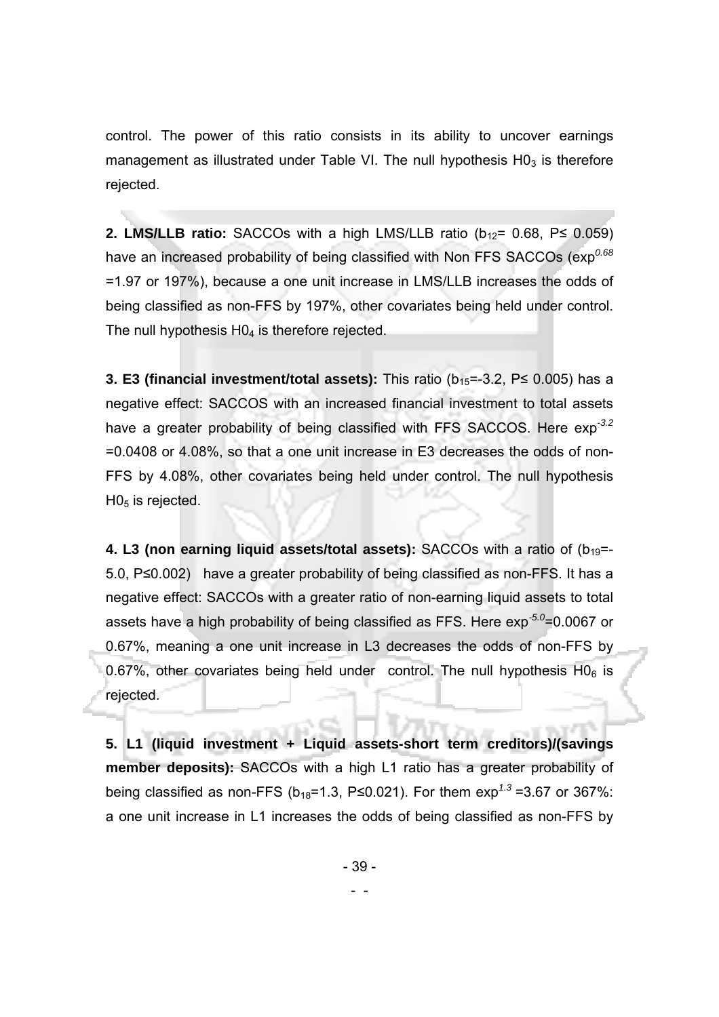control. The power of this ratio consists in its ability to uncover earnings management as illustrated under Table VI. The null hypothesis  $H0<sub>3</sub>$  is therefore rejected.

**2. LMS/LLB ratio:** SACCOs with a high LMS/LLB ratio ( $b_{12}$ = 0.68, P imes 0.059) have an increased probability of being classified with Non FFS SACCOs (exp<sup>0.68</sup>) =1.97 or 197%), because a one unit increase in LMS/LLB increases the odds of being classified as non-FFS by 197%, other covariates being held under control. The null hypothesis H04 is therefore rejected.

**3. E3 (financial investment/total assets):** This ratio (b<sub>15</sub>=-3.2, P≤ 0.005) has a negative effect: SACCOS with an increased financial investment to total assets have a greater probability of being classified with FFS SACCOS. Here exp*-3.2*  =0.0408 or 4.08%, so that a one unit increase in E3 decreases the odds of non-FFS by 4.08%, other covariates being held under control. The null hypothesis  $H0<sub>5</sub>$  is rejected.

**4. L3 (non earning liquid assets/total assets):** SACCOs with a ratio of (b<sub>19</sub>=-5.0, P≤0.002) have a greater probability of being classified as non-FFS. It has a negative effect: SACCOs with a greater ratio of non-earning liquid assets to total assets have a high probability of being classified as FFS. Here exp*-5.0*=0.0067 or 0.67%, meaning a one unit increase in L3 decreases the odds of non-FFS by 0.67%, other covariates being held under control. The null hypothesis  $HO_6$  is rejected.

**5. L1 (liquid investment + Liquid assets-short term creditors)/(savings member deposits):** SACCOs with a high L1 ratio has a greater probability of being classified as non-FFS ( $b_{18}$ =1.3, P≤0.021). For them  $exp^{1.3}$ =3.67 or 367%: a one unit increase in L1 increases the odds of being classified as non-FFS by

- 39 -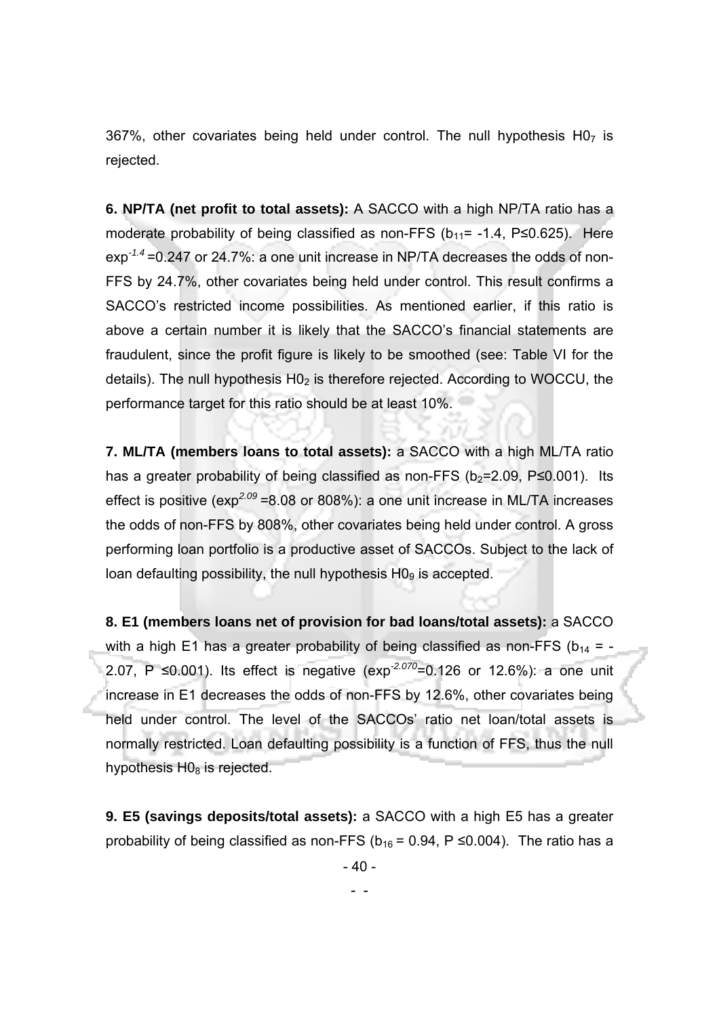367%, other covariates being held under control. The null hypothesis  $H0<sub>7</sub>$  is rejected.

**6. NP/TA (net profit to total assets):** A SACCO with a high NP/TA ratio has a moderate probability of being classified as non-FFS ( $b_{11}$ = -1.4, P ≤0.625). Here exp*-1.4* =0.247 or 24.7%: a one unit increase in NP/TA decreases the odds of non-FFS by 24.7%, other covariates being held under control. This result confirms a SACCO's restricted income possibilities. As mentioned earlier, if this ratio is above a certain number it is likely that the SACCO's financial statements are fraudulent, since the profit figure is likely to be smoothed (see: Table VI for the details). The null hypothesis  $H_0$  is therefore rejected. According to WOCCU, the performance target for this ratio should be at least 10%.

**7. ML/TA (members loans to total assets):** a SACCO with a high ML/TA ratio has a greater probability of being classified as non-FFS ( $b_2$ =2.09, P 
section 2.001). Its effect is positive (exp<sup>2.09</sup> = 8.08 or 808%): a one unit increase in ML/TA increases the odds of non-FFS by 808%, other covariates being held under control. A gross performing loan portfolio is a productive asset of SACCOs. Subject to the lack of loan defaulting possibility, the null hypothesis  $H0<sub>9</sub>$  is accepted.

**8. E1 (members loans net of provision for bad loans/total assets):** a SACCO with a high E1 has a greater probability of being classified as non-FFS ( $b_{14}$  = -2.07, P ≤0.001). Its effect is negative (exp*-2.070*=0.126 or 12.6%): a one unit increase in E1 decreases the odds of non-FFS by 12.6%, other covariates being held under control. The level of the SACCOs' ratio net loan/total assets is normally restricted. Loan defaulting possibility is a function of FFS, thus the null hypothesis  $H0_8$  is rejected.

**9. E5 (savings deposits/total assets):** a SACCO with a high E5 has a greater probability of being classified as non-FFS ( $b_{16}$  = 0.94, P  $\leq$ 0.004). The ratio has a

- 40 -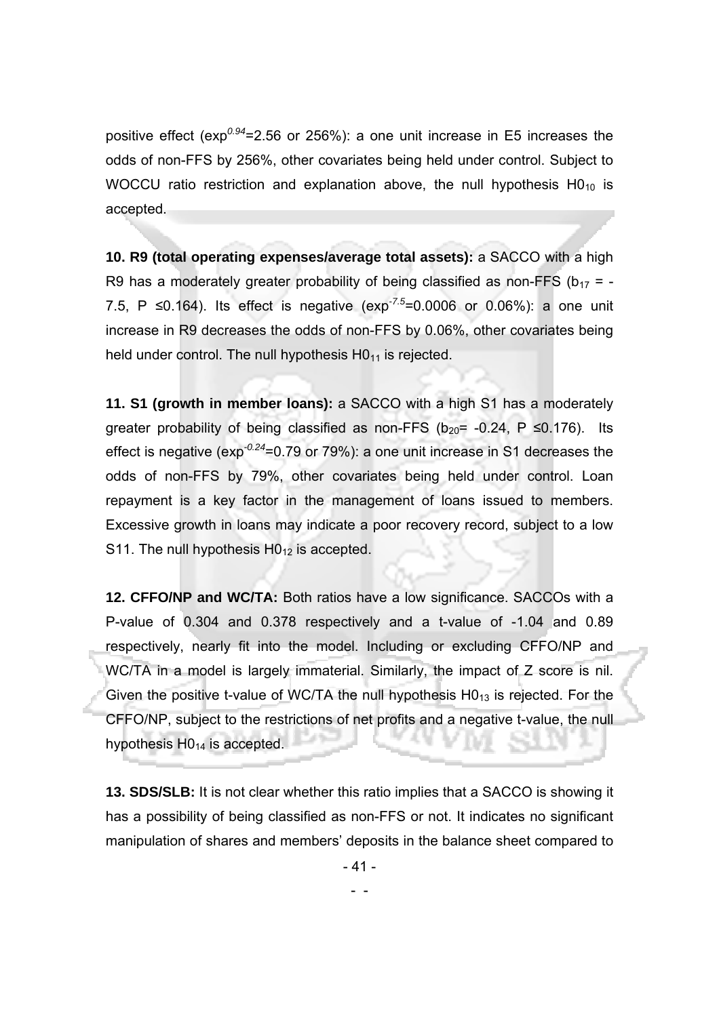positive effect (exp*0.94*=2.56 or 256%): a one unit increase in E5 increases the odds of non-FFS by 256%, other covariates being held under control. Subject to WOCCU ratio restriction and explanation above, the null hypothesis  $HO_{10}$  is accepted.

**10. R9 (total operating expenses/average total assets):** a SACCO with a high R9 has a moderately greater probability of being classified as non-FFS ( $b_{17}$  = -7.5, P ≤0.164). Its effect is negative (exp*-7.5*=0.0006 or 0.06%): a one unit increase in R9 decreases the odds of non-FFS by 0.06%, other covariates being held under control. The null hypothesis  $H0<sub>11</sub>$  is rejected.

**11. S1 (growth in member loans):** a SACCO with a high S1 has a moderately greater probability of being classified as non-FFS ( $b_{20}$ = -0.24, P  $\leq$ 0.176). Its effect is negative (exp*-0.24*=0.79 or 79%): a one unit increase in S1 decreases the odds of non-FFS by 79%, other covariates being held under control. Loan repayment is a key factor in the management of loans issued to members. Excessive growth in loans may indicate a poor recovery record, subject to a low S11. The null hypothesis  $H0_{12}$  is accepted.

**12. CFFO/NP and WC/TA:** Both ratios have a low significance. SACCOs with a P-value of 0.304 and 0.378 respectively and a t-value of -1.04 and 0.89 respectively, nearly fit into the model. Including or excluding CFFO/NP and WC/TA in a model is largely immaterial. Similarly, the impact of Z score is nil. Given the positive t-value of WC/TA the null hypothesis  $HO_{13}$  is rejected. For the CFFO/NP, subject to the restrictions of net profits and a negative t-value, the null hypothesis  $H0_{14}$  is accepted.

**13. SDS/SLB:** It is not clear whether this ratio implies that a SACCO is showing it has a possibility of being classified as non-FFS or not. It indicates no significant manipulation of shares and members' deposits in the balance sheet compared to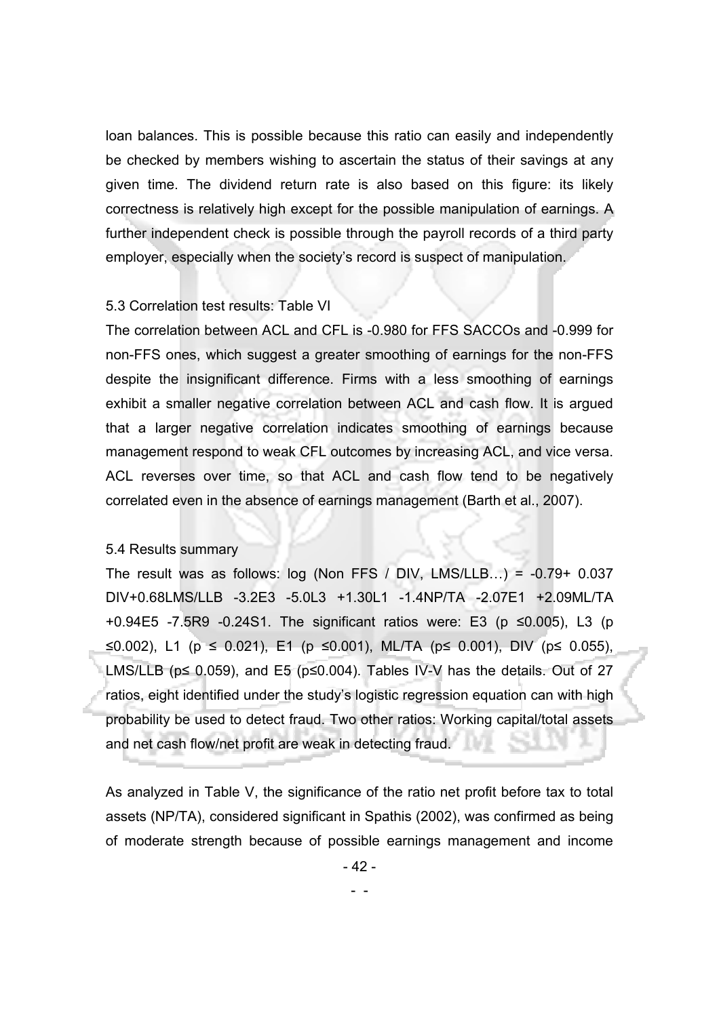loan balances. This is possible because this ratio can easily and independently be checked by members wishing to ascertain the status of their savings at any given time. The dividend return rate is also based on this figure: its likely correctness is relatively high except for the possible manipulation of earnings. A further independent check is possible through the payroll records of a third party employer, especially when the society's record is suspect of manipulation.

#### 5.3 Correlation test results: Table VI

The correlation between ACL and CFL is -0.980 for FFS SACCOs and -0.999 for non-FFS ones, which suggest a greater smoothing of earnings for the non-FFS despite the insignificant difference. Firms with a less smoothing of earnings exhibit a smaller negative correlation between ACL and cash flow. It is argued that a larger negative correlation indicates smoothing of earnings because management respond to weak CFL outcomes by increasing ACL, and vice versa. ACL reverses over time, so that ACL and cash flow tend to be negatively correlated even in the absence of earnings management (Barth et al., 2007).

#### 5.4 Results summary

The result was as follows: log (Non FFS / DIV, LMS/LLB...) =  $-0.79+0.037$ DIV+0.68LMS/LLB -3.2E3 -5.0L3 +1.30L1 -1.4NP/TA -2.07E1 +2.09ML/TA +0.94E5 -7.5R9 -0.24S1. The significant ratios were: E3 (p ≤0.005), L3 (p ≤0.002), L1 (p ≤ 0.021), E1 (p ≤0.001), ML/TA (p≤ 0.001), DIV (p≤ 0.055), LMS/LLB ( $p \le 0.059$ ), and E5 ( $p \le 0.004$ ). Tables IV-V has the details. Out of 27 ratios, eight identified under the study's logistic regression equation can with high probability be used to detect fraud. Two other ratios: Working capital/total assets and net cash flow/net profit are weak in detecting fraud.

As analyzed in Table V, the significance of the ratio net profit before tax to total assets (NP/TA), considered significant in Spathis (2002), was confirmed as being of moderate strength because of possible earnings management and income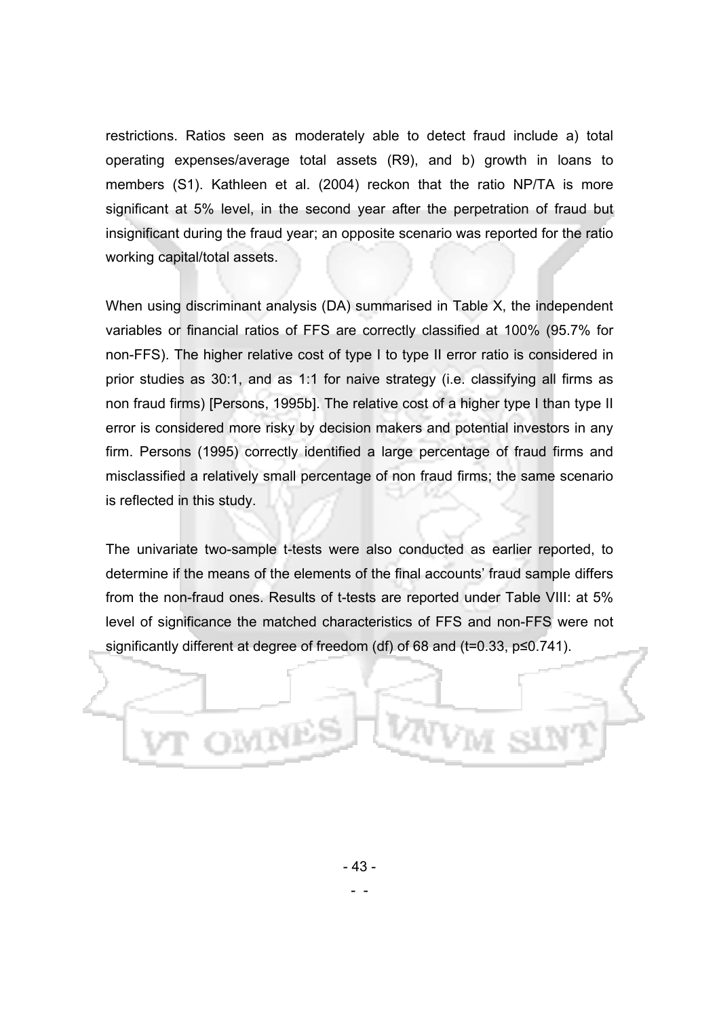restrictions. Ratios seen as moderately able to detect fraud include a) total operating expenses/average total assets (R9), and b) growth in loans to members (S1). Kathleen et al. (2004) reckon that the ratio NP/TA is more significant at 5% level, in the second year after the perpetration of fraud but insignificant during the fraud year; an opposite scenario was reported for the ratio working capital/total assets.

When using discriminant analysis (DA) summarised in Table X, the independent variables or financial ratios of FFS are correctly classified at 100% (95.7% for non-FFS). The higher relative cost of type I to type II error ratio is considered in prior studies as 30:1, and as 1:1 for naive strategy (i.e. classifying all firms as non fraud firms) [Persons, 1995b]. The relative cost of a higher type I than type II error is considered more risky by decision makers and potential investors in any firm. Persons (1995) correctly identified a large percentage of fraud firms and misclassified a relatively small percentage of non fraud firms; the same scenario is reflected in this study.

The univariate two-sample t-tests were also conducted as earlier reported, to determine if the means of the elements of the final accounts' fraud sample differs from the non-fraud ones. Results of t-tests are reported under Table VIII: at 5% level of significance the matched characteristics of FFS and non-FFS were not significantly different at degree of freedom (df) of 68 and (t=0.33, p≤0.741).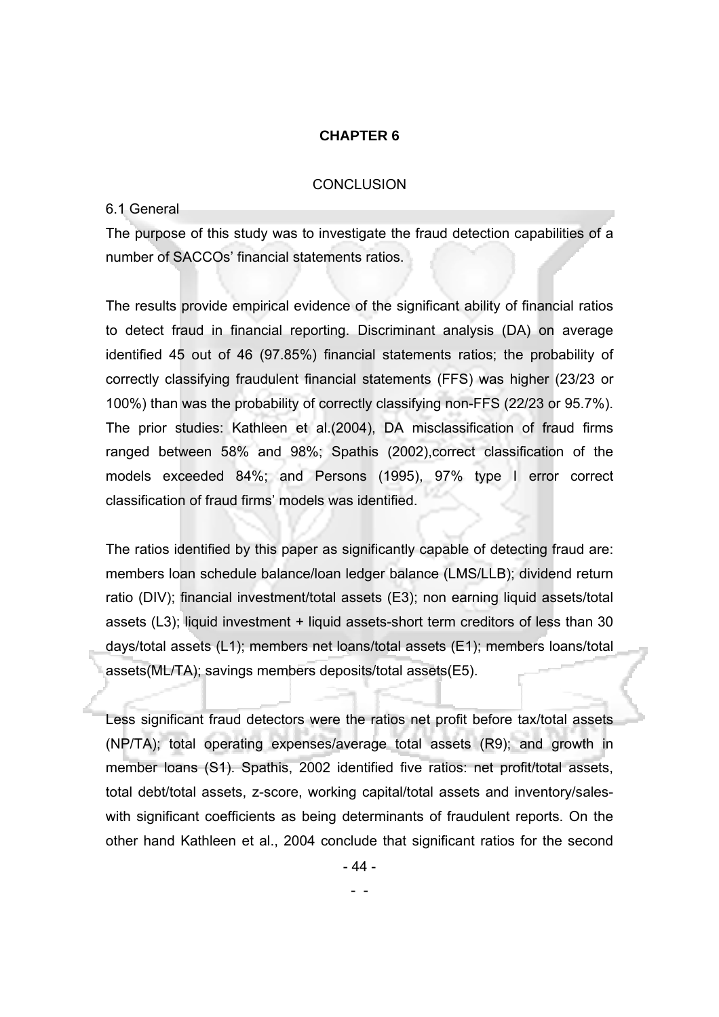### **CHAPTER 6**

#### **CONCLUSION**

#### 6.1 General

The purpose of this study was to investigate the fraud detection capabilities of a number of SACCOs' financial statements ratios.

The results provide empirical evidence of the significant ability of financial ratios to detect fraud in financial reporting. Discriminant analysis (DA) on average identified 45 out of 46 (97.85%) financial statements ratios; the probability of correctly classifying fraudulent financial statements (FFS) was higher (23/23 or 100%) than was the probability of correctly classifying non-FFS (22/23 or 95.7%). The prior studies: Kathleen et al.(2004), DA misclassification of fraud firms ranged between 58% and 98%; Spathis (2002),correct classification of the models exceeded 84%; and Persons (1995), 97% type I error correct classification of fraud firms' models was identified.

The ratios identified by this paper as significantly capable of detecting fraud are: members loan schedule balance/loan ledger balance (LMS/LLB); dividend return ratio (DIV); financial investment/total assets (E3); non earning liquid assets/total assets (L3); liquid investment + liquid assets-short term creditors of less than 30 days/total assets (L1); members net loans/total assets (E1); members loans/total assets(ML/TA); savings members deposits/total assets(E5).

Less significant fraud detectors were the ratios net profit before tax/total assets (NP/TA); total operating expenses/average total assets (R9); and growth in member loans (S1). Spathis, 2002 identified five ratios: net profit/total assets, total debt/total assets, z-score, working capital/total assets and inventory/saleswith significant coefficients as being determinants of fraudulent reports. On the other hand Kathleen et al., 2004 conclude that significant ratios for the second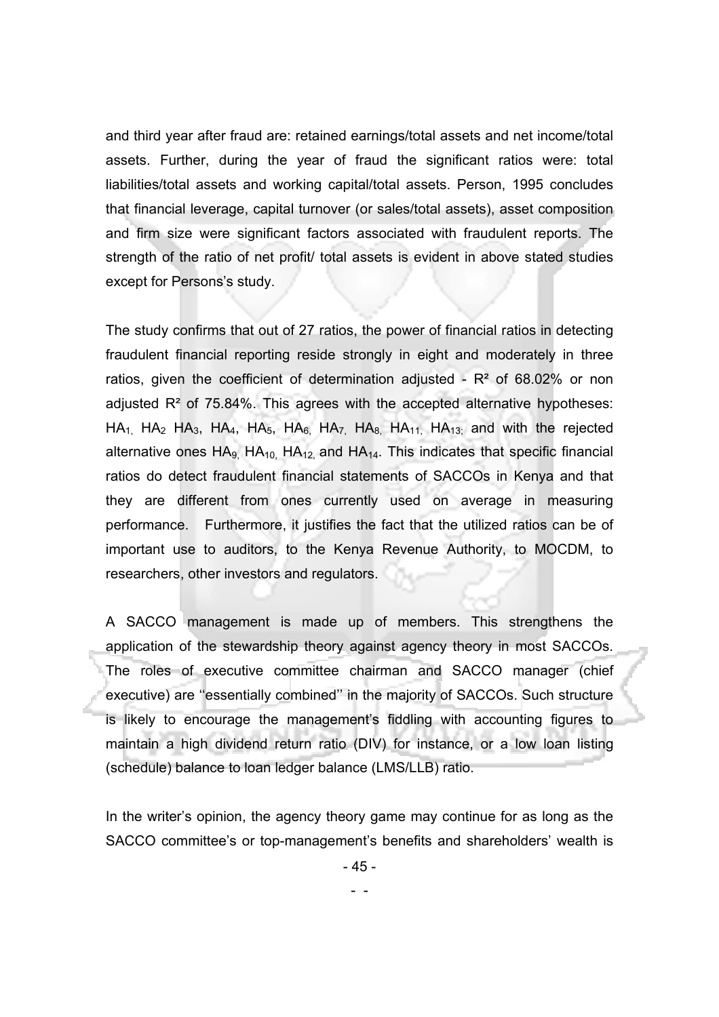and third year after fraud are: retained earnings/total assets and net income/total assets. Further, during the year of fraud the significant ratios were: total liabilities/total assets and working capital/total assets. Person, 1995 concludes that financial leverage, capital turnover (or sales/total assets), asset composition and firm size were significant factors associated with fraudulent reports. The strength of the ratio of net profit/ total assets is evident in above stated studies except for Persons's study.

The study confirms that out of 27 ratios, the power of financial ratios in detecting fraudulent financial reporting reside strongly in eight and moderately in three ratios, given the coefficient of determination adjusted -  $R<sup>2</sup>$  of 68.02% or non adjusted  $R<sup>2</sup>$  of 75.84%. This agrees with the accepted alternative hypotheses:  $HA_{1}$ , HA<sub>2</sub> HA<sub>3</sub>, HA<sub>4</sub>, HA<sub>5</sub>, HA<sub>6</sub>, HA<sub>7,</sub> HA<sub>8</sub>, HA<sub>11</sub>, HA<sub>13;</sub> and with the rejected alternative ones  $HA_{9}$ ,  $HA_{10}$ ,  $HA_{12}$ , and  $HA_{14}$ . This indicates that specific financial ratios do detect fraudulent financial statements of SACCOs in Kenya and that they are different from ones currently used on average in measuring performance. Furthermore, it justifies the fact that the utilized ratios can be of important use to auditors, to the Kenya Revenue Authority, to MOCDM, to researchers, other investors and regulators.

A SACCO management is made up of members. This strengthens the application of the stewardship theory against agency theory in most SACCOs. The roles of executive committee chairman and SACCO manager (chief executive) are ''essentially combined'' in the majority of SACCOs. Such structure is likely to encourage the management's fiddling with accounting figures to maintain a high dividend return ratio (DIV) for instance, or a low loan listing (schedule) balance to loan ledger balance (LMS/LLB) ratio.

In the writer's opinion, the agency theory game may continue for as long as the SACCO committee's or top-management's benefits and shareholders' wealth is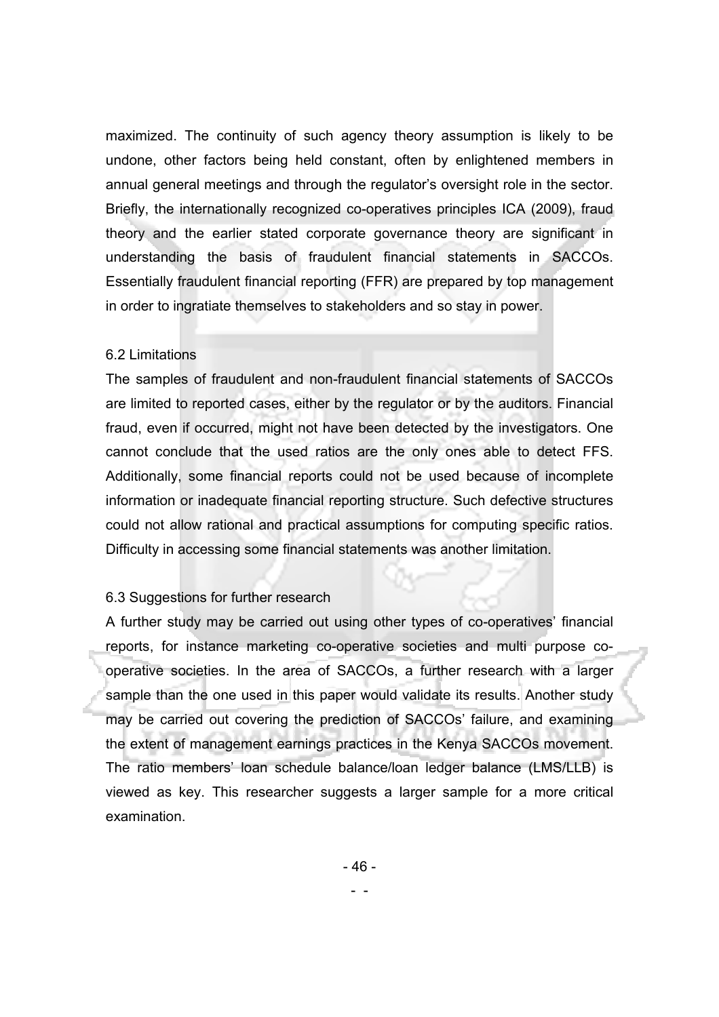maximized. The continuity of such agency theory assumption is likely to be undone, other factors being held constant, often by enlightened members in annual general meetings and through the regulator's oversight role in the sector. Briefly, the internationally recognized co-operatives principles ICA (2009), fraud theory and the earlier stated corporate governance theory are significant in understanding the basis of fraudulent financial statements in SACCOs. Essentially fraudulent financial reporting (FFR) are prepared by top management in order to ingratiate themselves to stakeholders and so stay in power.

#### 6.2 Limitations

The samples of fraudulent and non-fraudulent financial statements of SACCOs are limited to reported cases, either by the regulator or by the auditors. Financial fraud, even if occurred, might not have been detected by the investigators. One cannot conclude that the used ratios are the only ones able to detect FFS. Additionally, some financial reports could not be used because of incomplete information or inadequate financial reporting structure. Such defective structures could not allow rational and practical assumptions for computing specific ratios. Difficulty in accessing some financial statements was another limitation.

#### 6.3 Suggestions for further research

A further study may be carried out using other types of co-operatives' financial reports, for instance marketing co-operative societies and multi purpose cooperative societies. In the area of SACCOs, a further research with a larger sample than the one used in this paper would validate its results. Another study may be carried out covering the prediction of SACCOs' failure, and examining the extent of management earnings practices in the Kenya SACCOs movement. The ratio members' loan schedule balance/loan ledger balance (LMS/LLB) is viewed as key. This researcher suggests a larger sample for a more critical examination.

- 46 -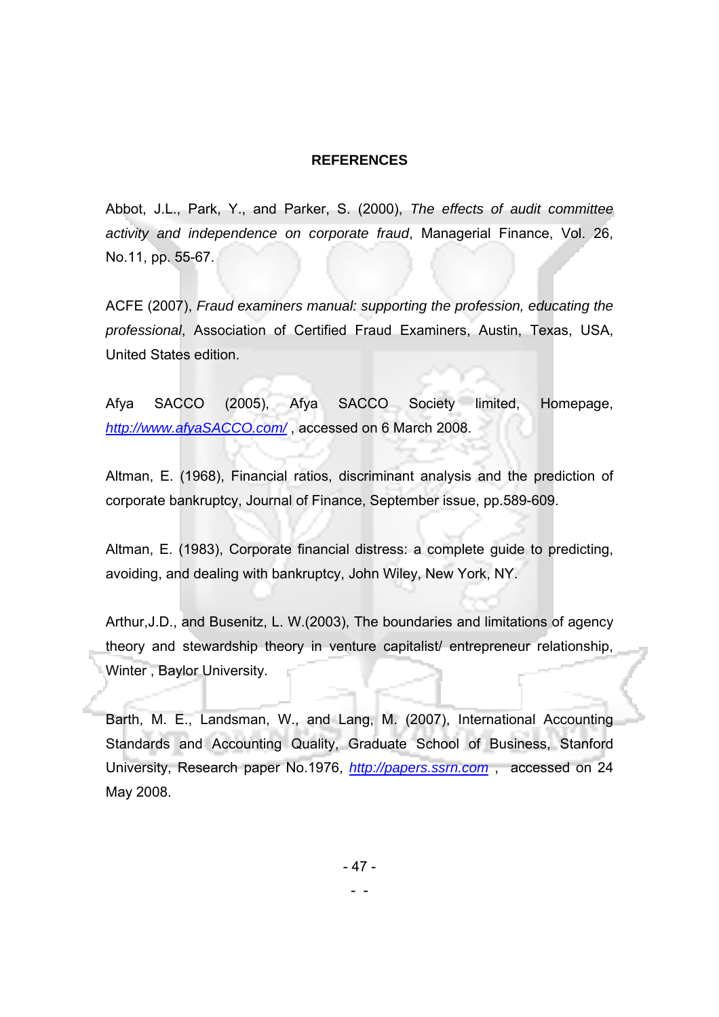#### **REFERENCES**

Abbot, J.L., Park, Y., and Parker, S. (2000), *The effects of audit committee activity and independence on corporate fraud*, Managerial Finance, Vol. 26, No.11, pp. 55-67.

ACFE (2007), *Fraud examiners manual: supporting the profession, educating the professional*, Association of Certified Fraud Examiners, Austin, Texas, USA, United States edition.

Afya SACCO (2005), Afya SACCO Society limited, Homepage, *http://www.afyaSACCO.com/* , accessed on 6 March 2008.

Altman, E. (1968), Financial ratios, discriminant analysis and the prediction of corporate bankruptcy, Journal of Finance, September issue, pp.589-609.

Altman, E. (1983), Corporate financial distress: a complete guide to predicting, avoiding, and dealing with bankruptcy, John Wiley, New York, NY.

Arthur,J.D., and Busenitz, L. W.(2003), The boundaries and limitations of agency theory and stewardship theory in venture capitalist/ entrepreneur relationship, Winter , Baylor University.

Barth, M. E., Landsman, W., and Lang, M. (2007), International Accounting Standards and Accounting Quality, Graduate School of Business, Stanford University, Research paper No.1976, *http://papers.ssrn.com* , accessed on 24 May 2008.

- 47 -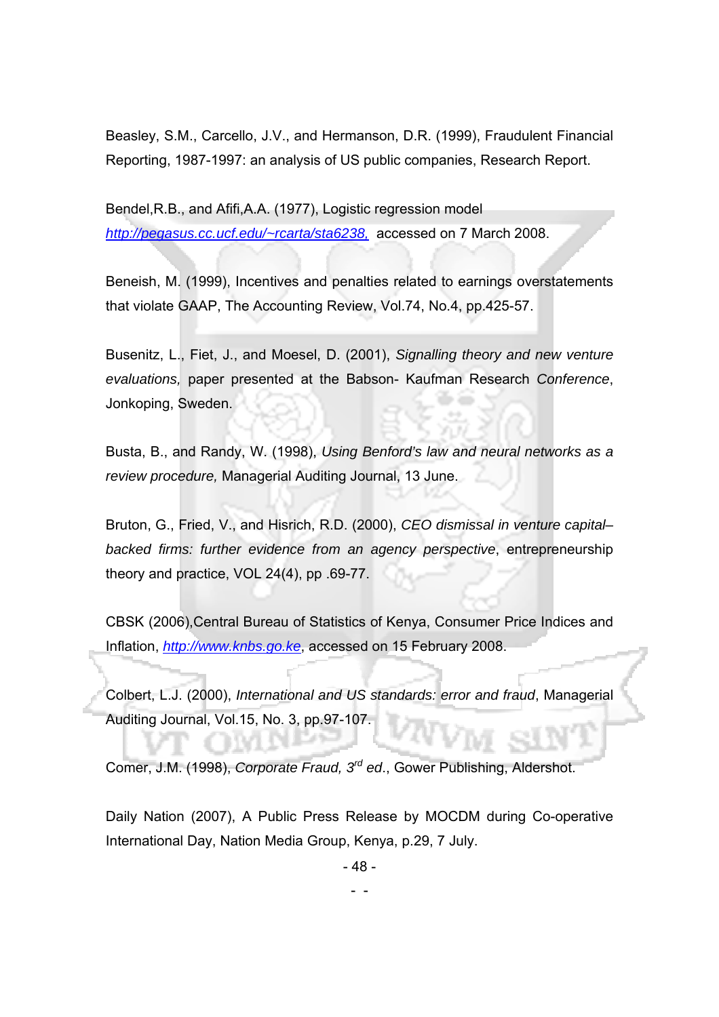Beasley, S.M., Carcello, J.V., and Hermanson, D.R. (1999), Fraudulent Financial Reporting, 1987-1997: an analysis of US public companies, Research Report.

Bendel,R.B., and Afifi,A.A. (1977), Logistic regression model *http://pegasus.cc.ucf.edu/~rcarta/sta6238,* accessed on 7 March 2008.

Beneish, M. (1999), Incentives and penalties related to earnings overstatements that violate GAAP, The Accounting Review, Vol.74, No.4, pp.425-57.

Busenitz, L., Fiet, J., and Moesel, D. (2001), *Signalling theory and new venture evaluations,* paper presented at the Babson- Kaufman Research *Conference*, Jonkoping, Sweden.

Busta, B., and Randy, W. (1998), *Using Benford's law and neural networks as a review procedure,* Managerial Auditing Journal, 13 June.

Bruton, G., Fried, V., and Hisrich, R.D. (2000), *CEO dismissal in venture capital– backed firms: further evidence from an agency perspective*, entrepreneurship theory and practice, VOL 24(4), pp .69-77.

CBSK (2006),Central Bureau of Statistics of Kenya, Consumer Price Indices and Inflation, *http://www.knbs.go.ke*, accessed on 15 February 2008.

Colbert, L.J. (2000), *International and US standards: error and fraud*, Managerial Auditing Journal, Vol.15, No. 3, pp.97-107.

Comer, J.M. (1998), *Corporate Fraud, 3rd ed*., Gower Publishing, Aldershot.

- -

Daily Nation (2007), A Public Press Release by MOCDM during Co-operative International Day, Nation Media Group, Kenya, p.29, 7 July.

- 48 -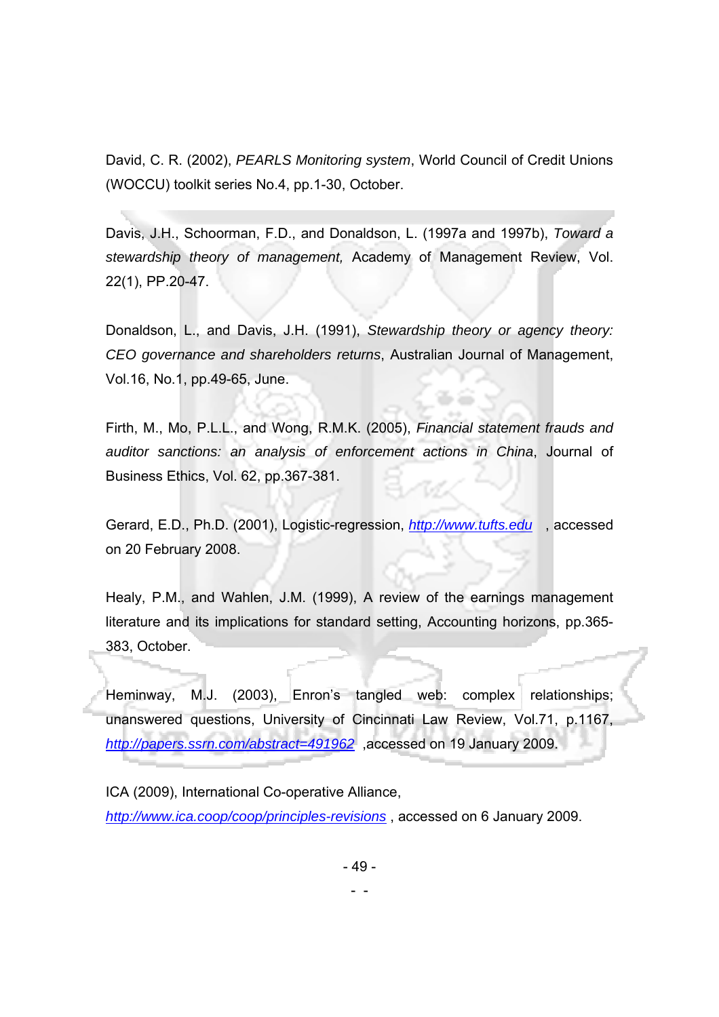David, C. R. (2002), *PEARLS Monitoring system*, World Council of Credit Unions (WOCCU) toolkit series No.4, pp.1-30, October.

Davis, J.H., Schoorman, F.D., and Donaldson, L. (1997a and 1997b), *Toward a stewardship theory of management,* Academy of Management Review, Vol. 22(1), PP.20-47.

Donaldson, L., and Davis, J.H. (1991), *Stewardship theory or agency theory: CEO governance and shareholders returns*, Australian Journal of Management, Vol.16, No.1, pp.49-65, June.

Firth, M., Mo, P.L.L., and Wong, R.M.K. (2005), *Financial statement frauds and auditor sanctions: an analysis of enforcement actions in China*, Journal of Business Ethics, Vol. 62, pp.367-381.

Gerard, E.D., Ph.D. (2001), Logistic-regression, *http://www.tufts.edu* , accessed on 20 February 2008.

Healy, P.M., and Wahlen, J.M. (1999), A review of the earnings management literature and its implications for standard setting, Accounting horizons, pp.365- 383, October.

Heminway, M.J. (2003), Enron's tangled web: complex relationships; unanswered questions, University of Cincinnati Law Review, Vol.71, p.1167, *http://papers.ssrn.com/abstract=491962* ,accessed on 19 January 2009.

ICA (2009), International Co-operative Alliance, *http://www.ica.coop/coop/principles-revisions* , accessed on 6 January 2009.

- 49 -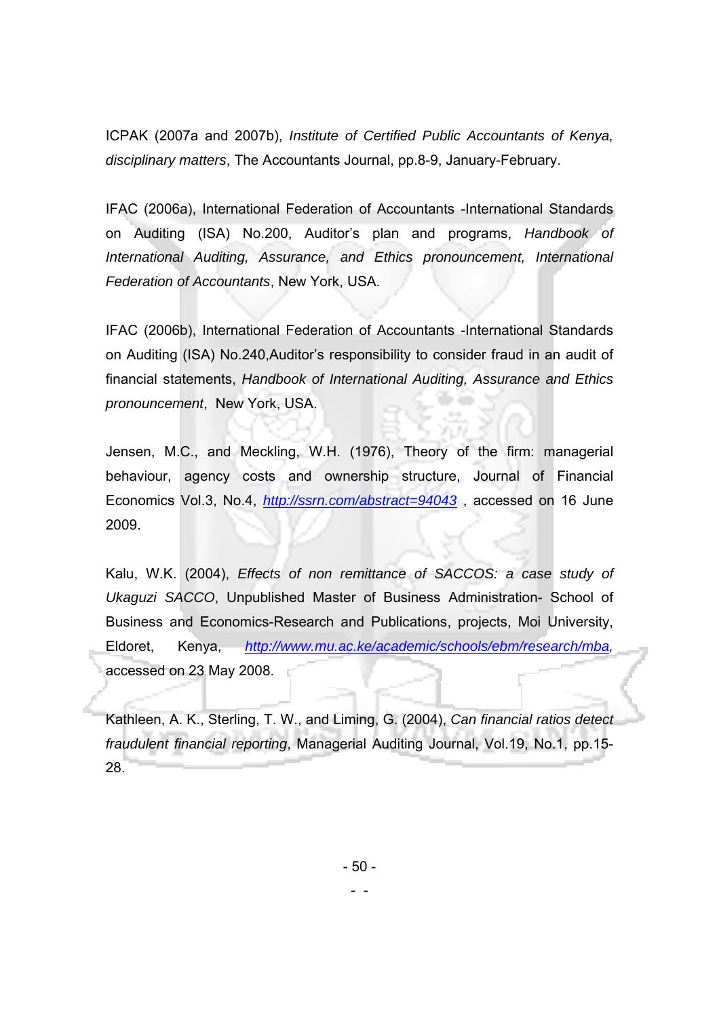ICPAK (2007a and 2007b), *Institute of Certified Public Accountants of Kenya, disciplinary matters*, The Accountants Journal, pp.8-9, January-February.

IFAC (2006a), International Federation of Accountants -International Standards on Auditing (ISA) No.200, Auditor's plan and programs, *Handbook of International Auditing, Assurance, and Ethics pronouncement, International Federation of Accountants*, New York, USA.

IFAC (2006b), International Federation of Accountants -International Standards on Auditing (ISA) No.240,Auditor's responsibility to consider fraud in an audit of financial statements, *Handbook of International Auditing, Assurance and Ethics pronouncement*, New York, USA.

Jensen, M.C., and Meckling, W.H. (1976), Theory of the firm: managerial behaviour, agency costs and ownership structure, Journal of Financial Economics Vol.3, No.4, *http://ssrn.com/abstract=94043* , accessed on 16 June 2009.

Kalu, W.K. (2004), *Effects of non remittance of SACCOS: a case study of Ukaguzi SACCO*, Unpublished Master of Business Administration- School of Business and Economics-Research and Publications, projects, Moi University, Eldoret, Kenya, *http://www.mu.ac.ke/academic/schools/ebm/research/mba,* accessed on 23 May 2008.

Kathleen, A. K., Sterling, T. W., and Liming, G. (2004), *Can financial ratios detect fraudulent financial reporting*, Managerial Auditing Journal, Vol.19, No.1, pp.15- 28.

- 50 -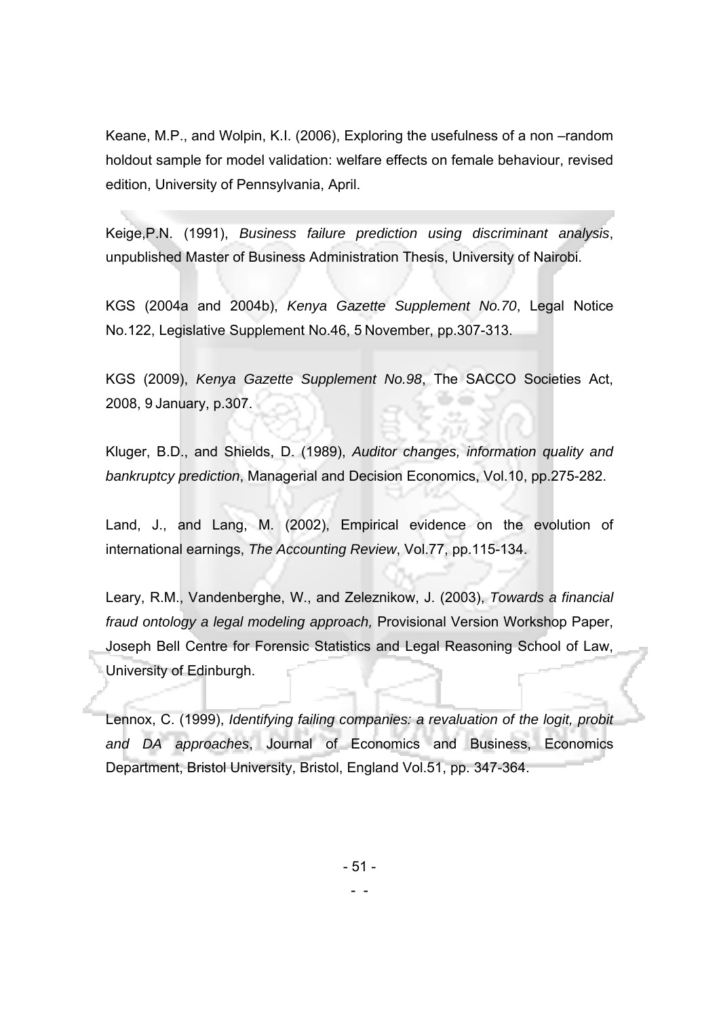Keane, M.P., and Wolpin, K.I. (2006), Exploring the usefulness of a non –random holdout sample for model validation: welfare effects on female behaviour, revised edition, University of Pennsylvania, April.

Keige,P.N. (1991), *Business failure prediction using discriminant analysis*, unpublished Master of Business Administration Thesis, University of Nairobi.

KGS (2004a and 2004b), *Kenya Gazette Supplement No.70*, Legal Notice No.122, Legislative Supplement No.46, 5 November, pp.307-313.

KGS (2009), *Kenya Gazette Supplement No.98*, The SACCO Societies Act, 2008, 9 January, p.307.

Kluger, B.D., and Shields, D. (1989), *Auditor changes, information quality and bankruptcy prediction*, Managerial and Decision Economics, Vol.10, pp.275-282.

Land, J., and Lang, M. (2002), Empirical evidence on the evolution of international earnings, *The Accounting Review*, Vol.77, pp.115-134.

Leary, R.M., Vandenberghe, W., and Zeleznikow, J. (2003), *Towards a financial fraud ontology a legal modeling approach,* Provisional Version Workshop Paper, Joseph Bell Centre for Forensic Statistics and Legal Reasoning School of Law, University of Edinburgh.

Lennox, C. (1999), *Identifying failing companies: a revaluation of the logit, probit and DA approaches*, Journal of Economics and Business, Economics Department, Bristol University, Bristol, England Vol.51, pp. 347-364.

- 51 -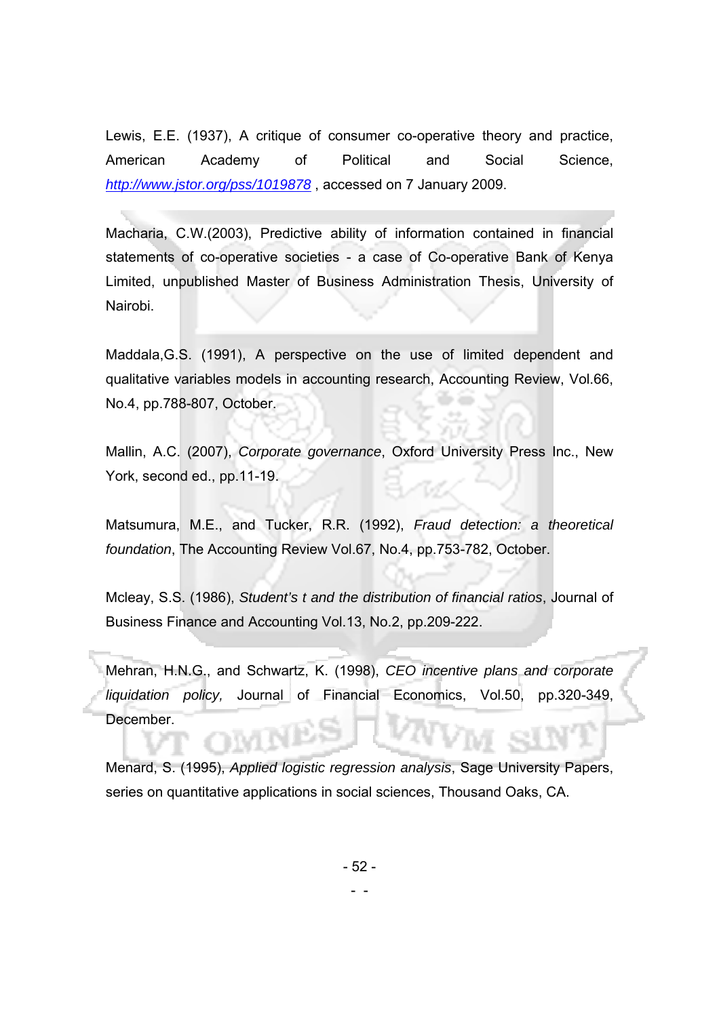Lewis, E.E. (1937), A critique of consumer co-operative theory and practice, American Academy of Political and Social Science, *http://www.jstor.org/pss/1019878* , accessed on 7 January 2009.

Macharia, C.W.(2003), Predictive ability of information contained in financial statements of co-operative societies - a case of Co-operative Bank of Kenya Limited, unpublished Master of Business Administration Thesis, University of Nairobi.

Maddala,G.S. (1991), A perspective on the use of limited dependent and qualitative variables models in accounting research, Accounting Review, Vol.66, No.4, pp.788-807, October.

Mallin, A.C. (2007), *Corporate governance*, Oxford University Press Inc., New York, second ed., pp.11-19.

Matsumura, M.E., and Tucker, R.R. (1992), *Fraud detection: a theoretical foundation*, The Accounting Review Vol.67, No.4, pp.753-782, October.

Mcleay, S.S. (1986), *Student's t and the distribution of financial ratios*, Journal of Business Finance and Accounting Vol.13, No.2, pp.209-222.

Mehran, H.N.G., and Schwartz, K. (1998), *CEO incentive plans and corporate liquidation policy,* Journal of Financial Economics, Vol.50, pp.320-349, December.

Menard, S. (1995), *Applied logistic regression analysis*, Sage University Papers, series on quantitative applications in social sciences, Thousand Oaks, CA.

- 52 -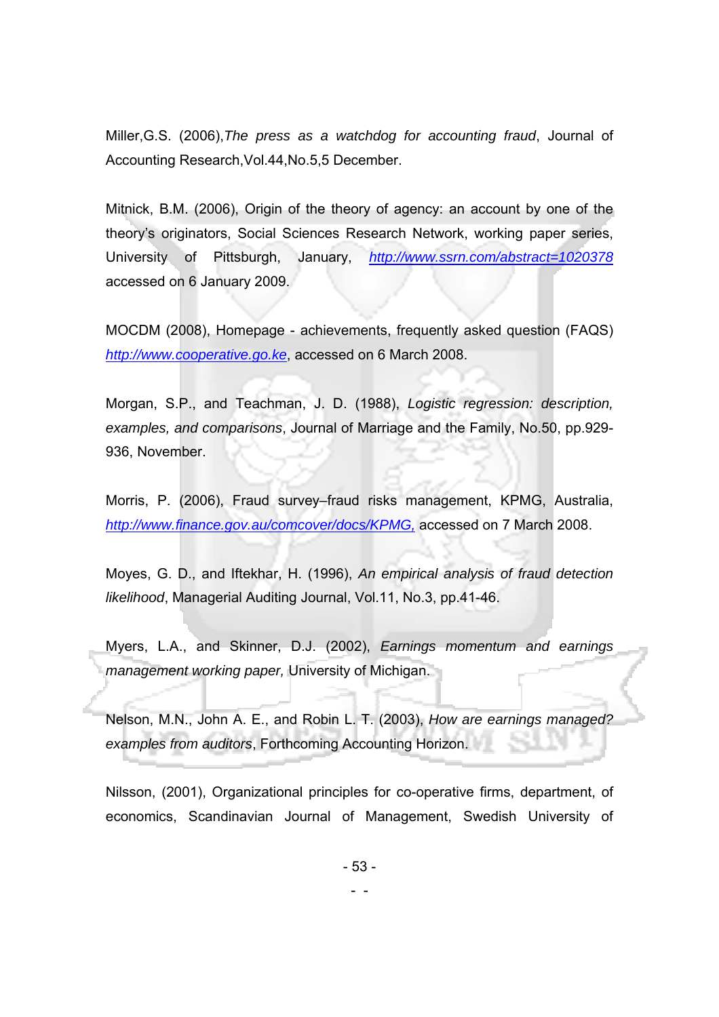Miller,G.S. (2006),*The press as a watchdog for accounting fraud*, Journal of Accounting Research,Vol.44,No.5,5 December.

Mitnick, B.M. (2006), Origin of the theory of agency: an account by one of the theory's originators, Social Sciences Research Network, working paper series, University of Pittsburgh, January, *http://www.ssrn.com/abstract=1020378* accessed on 6 January 2009.

MOCDM (2008), Homepage - achievements, frequently asked question (FAQS) *http://www.cooperative.go.ke*, accessed on 6 March 2008.

Morgan, S.P., and Teachman, J. D. (1988), *Logistic regression: description, examples, and comparisons*, Journal of Marriage and the Family, No.50, pp.929- 936, November.

Morris, P. (2006), Fraud survey–fraud risks management, KPMG, Australia, *http://www.finance.gov.au/comcover/docs/KPMG,* accessed on 7 March 2008.

Moyes, G. D., and Iftekhar, H. (1996), *An empirical analysis of fraud detection likelihood*, Managerial Auditing Journal, Vol.11, No.3, pp.41-46.

Myers, L.A., and Skinner, D.J. (2002), *Earnings momentum and earnings management working paper,* University of Michigan.

Nelson, M.N., John A. E., and Robin L. T. (2003), *How are earnings managed? examples from auditors*, Forthcoming Accounting Horizon.

Nilsson, (2001), Organizational principles for co-operative firms, department, of economics, Scandinavian Journal of Management, Swedish University of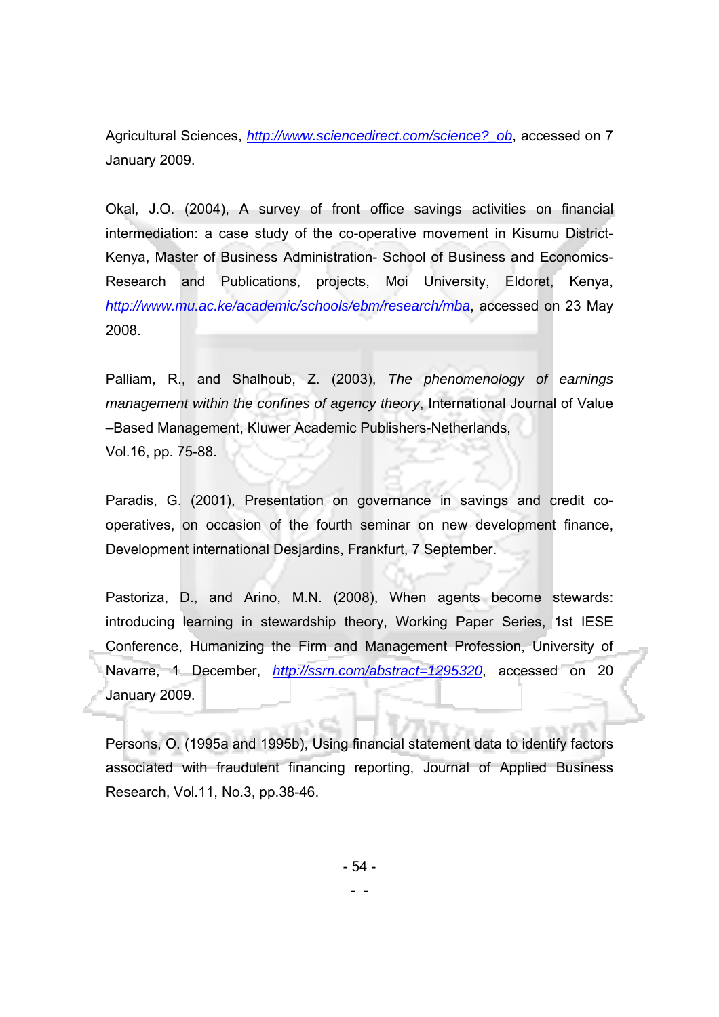Agricultural Sciences, *http://www.sciencedirect.com/science?\_ob*, accessed on 7 January 2009.

Okal, J.O. (2004), A survey of front office savings activities on financial intermediation: a case study of the co-operative movement in Kisumu District-Kenya, Master of Business Administration- School of Business and Economics-Research and Publications, projects, Moi University, Eldoret, Kenya, *http://www.mu.ac.ke/academic/schools/ebm/research/mba*, accessed on 23 May 2008.

Palliam, R., and Shalhoub, Z. (2003), *The phenomenology of earnings management within the confines of agency theory*, International Journal of Value –Based Management, Kluwer Academic Publishers-Netherlands, Vol.16, pp. 75-88.

Paradis, G. (2001), Presentation on governance in savings and credit cooperatives, on occasion of the fourth seminar on new development finance, Development international Desjardins, Frankfurt, 7 September.

Pastoriza, D., and Arino, M.N. (2008), When agents become stewards: introducing learning in stewardship theory, Working Paper Series, 1st IESE Conference, Humanizing the Firm and Management Profession, University of Navarre, 1 December, *http://ssrn.com/abstract=1295320*, accessed on 20 January 2009.

Persons, O. (1995a and 1995b), Using financial statement data to identify factors associated with fraudulent financing reporting, Journal of Applied Business Research, Vol.11, No.3, pp.38-46.

- 54 -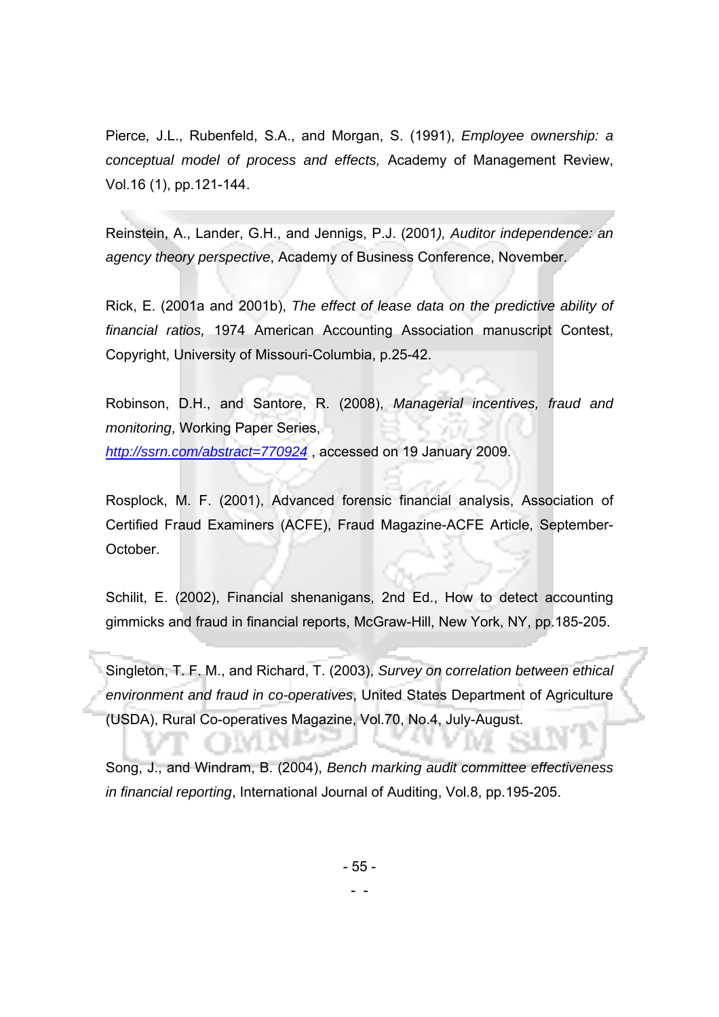Pierce, J.L., Rubenfeld, S.A., and Morgan, S. (1991), *Employee ownership: a conceptual model of process and effects,* Academy of Management Review, Vol.16 (1), pp.121-144.

Reinstein, A., Lander, G.H., and Jennigs, P.J. (2001*), Auditor independence: an agency theory perspective*, Academy of Business Conference, November.

Rick, E. (2001a and 2001b), *The effect of lease data on the predictive ability of financial ratios,* 1974 American Accounting Association manuscript Contest, Copyright, University of Missouri-Columbia, p.25-42.

Robinson, D.H., and Santore, R. (2008), *Managerial incentives, fraud and monitoring*, Working Paper Series, *http://ssrn.com/abstract=770924* , accessed on 19 January 2009.

Rosplock, M. F. (2001), Advanced forensic financial analysis, Association of Certified Fraud Examiners (ACFE), Fraud Magazine-ACFE Article, September-October.

Schilit, E. (2002), Financial shenanigans, 2nd Ed., How to detect accounting gimmicks and fraud in financial reports, McGraw-Hill, New York, NY, pp.185-205.

Singleton, T. F. M., and Richard, T. (2003), *Survey on correlation between ethical environment and fraud in co-operatives*, United States Department of Agriculture (USDA), Rural Co-operatives Magazine, Vol.70, No.4, July-August.

Song, J., and Windram, B. (2004), *Bench marking audit committee effectiveness in financial reporting*, International Journal of Auditing, Vol.8, pp.195-205.

- 55 -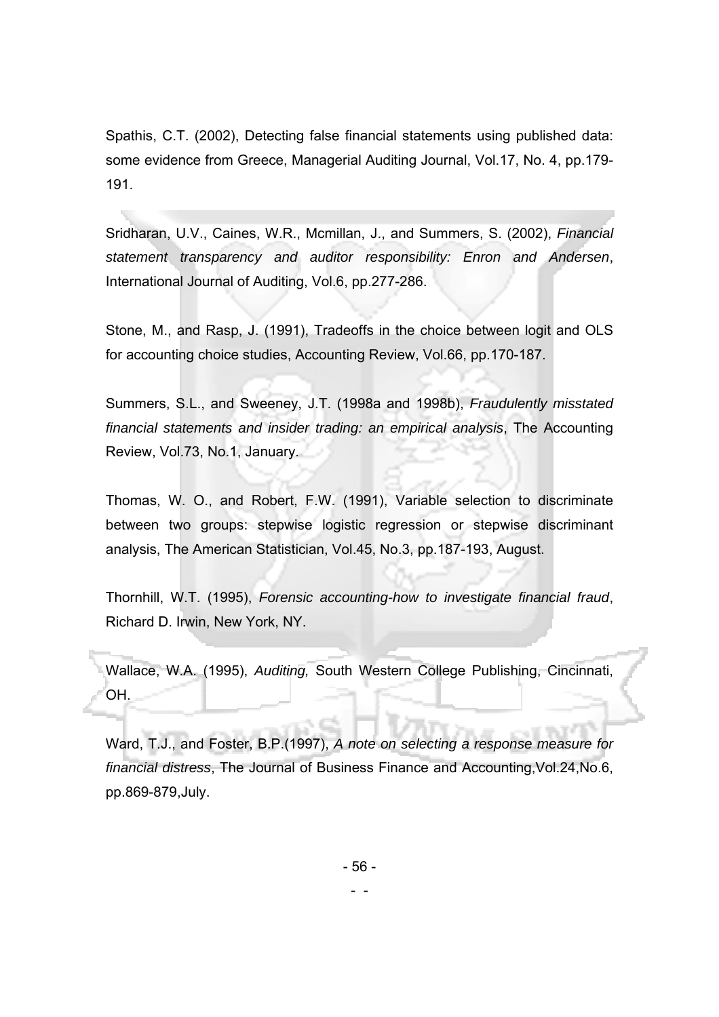Spathis, C.T. (2002), Detecting false financial statements using published data: some evidence from Greece, Managerial Auditing Journal, Vol.17, No. 4, pp.179- 191.

Sridharan, U.V., Caines, W.R., Mcmillan, J., and Summers, S. (2002), *Financial statement transparency and auditor responsibility: Enron and Andersen*, International Journal of Auditing, Vol.6, pp.277-286.

Stone, M., and Rasp, J. (1991), Tradeoffs in the choice between logit and OLS for accounting choice studies, Accounting Review, Vol.66, pp.170-187.

Summers, S.L., and Sweeney, J.T. (1998a and 1998b), *Fraudulently misstated financial statements and insider trading: an empirical analysis*, The Accounting Review, Vol.73, No.1, January.

Thomas, W. O., and Robert, F.W. (1991), Variable selection to discriminate between two groups: stepwise logistic regression or stepwise discriminant analysis, The American Statistician, Vol.45, No.3, pp.187-193, August.

Thornhill, W.T. (1995), *Forensic accounting-how to investigate financial fraud*, Richard D. Irwin, New York, NY.

Wallace, W.A. (1995), *Auditing,* South Western College Publishing, Cincinnati, OH.

Ward, T.J., and Foster, B.P.(1997), *A note on selecting a response measure for financial distress*, The Journal of Business Finance and Accounting,Vol.24,No.6, pp.869-879,July.

- 56 -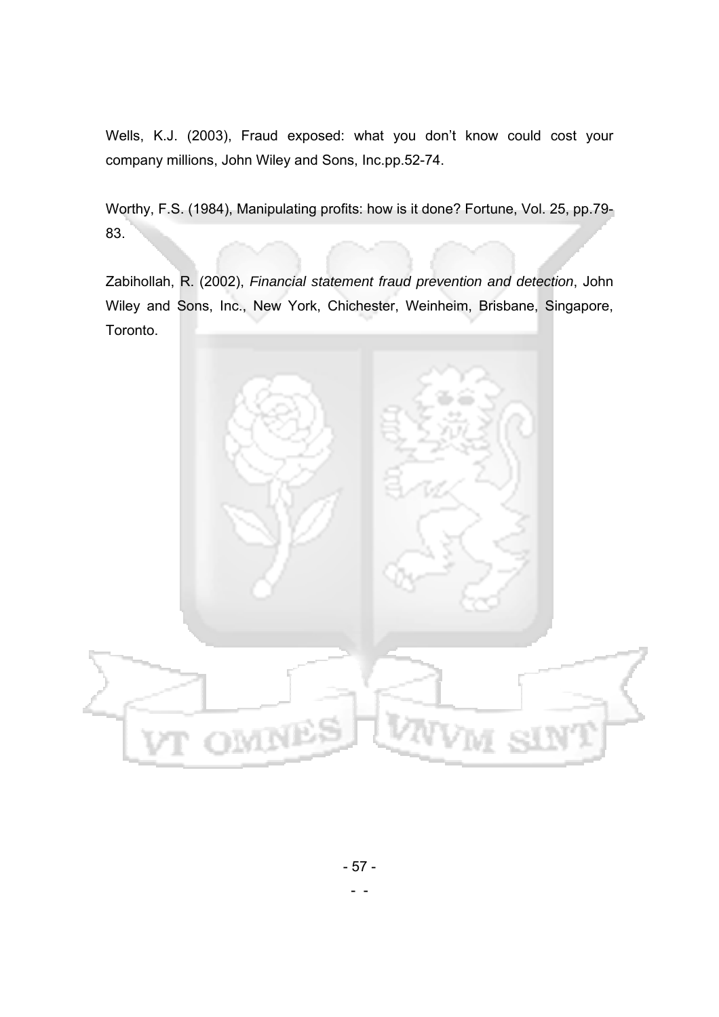Wells, K.J. (2003), Fraud exposed: what you don't know could cost your company millions, John Wiley and Sons, Inc.pp.52-74.

Worthy, F.S. (1984), Manipulating profits: how is it done? Fortune, Vol. 25, pp.79- 83.

Zabihollah, R. (2002), *Financial statement fraud prevention and detection*, John Wiley and Sons, Inc., New York, Chichester, Weinheim, Brisbane, Singapore, Toronto.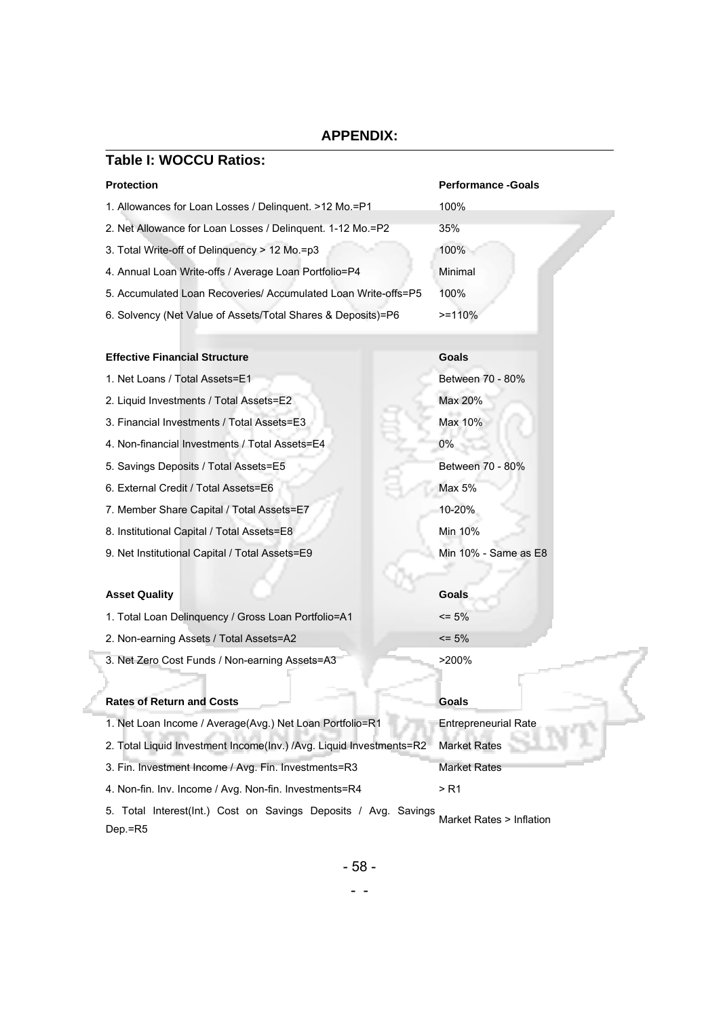# **APPENDIX:**

| <b>Table I: WOCCU Ratios:</b>                                              |                             |
|----------------------------------------------------------------------------|-----------------------------|
| <b>Protection</b>                                                          | <b>Performance - Goals</b>  |
| 1. Allowances for Loan Losses / Delinguent. >12 Mo.=P1                     | 100%                        |
| 2. Net Allowance for Loan Losses / Delinguent. 1-12 Mo.=P2                 | 35%                         |
| 3. Total Write-off of Delinguency > 12 Mo.=p3                              | 100%                        |
| 4. Annual Loan Write-offs / Average Loan Portfolio=P4                      | Minimal                     |
| 5. Accumulated Loan Recoveries/ Accumulated Loan Write-offs=P5             | 100%                        |
| 6. Solvency (Net Value of Assets/Total Shares & Deposits)=P6               | $>=110%$                    |
| <b>Effective Financial Structure</b>                                       | Goals                       |
| 1. Net Loans / Total Assets=E1                                             | Between 70 - 80%            |
| 2. Liquid Investments / Total Assets=E2                                    | Max 20%                     |
| 3. Financial Investments / Total Assets=E3                                 | Max 10%                     |
| 4. Non-financial Investments / Total Assets=E4                             | 0%                          |
| 5. Savings Deposits / Total Assets=E5                                      | Between 70 - 80%            |
| 6. External Credit / Total Assets=E6                                       | Max 5%                      |
| 7. Member Share Capital / Total Assets=E7                                  | 10-20%                      |
| 8. Institutional Capital / Total Assets=E8                                 | Min 10%                     |
| 9. Net Institutional Capital / Total Assets=E9                             | Min 10% - Same as E8        |
| <b>Asset Quality</b>                                                       | Goals                       |
| 1. Total Loan Delinquency / Gross Loan Portfolio=A1                        | $\leq$ 5%                   |
| 2. Non-earning Assets / Total Assets=A2                                    | $\leq$ 5%                   |
| 3. Net Zero Cost Funds / Non-earning Assets=A3                             | $>200\%$                    |
| <b>Rates of Return and Costs</b>                                           | Goals                       |
| 1. Net Loan Income / Average(Avg.) Net Loan Portfolio=R1                   | <b>Entrepreneurial Rate</b> |
| 2. Total Liquid Investment Income(Inv.) /Avg. Liquid Investments=R2        | <b>Market Rates</b>         |
| 3. Fin. Investment Income / Avg. Fin. Investments=R3                       | Market Rates                |
| 4. Non-fin. Inv. Income / Avg. Non-fin. Investments=R4                     | > R1                        |
| 5. Total Interest(Int.) Cost on Savings Deposits / Avg. Savings<br>Dep.=R5 | Market Rates > Inflation    |

```
\sim \sim
```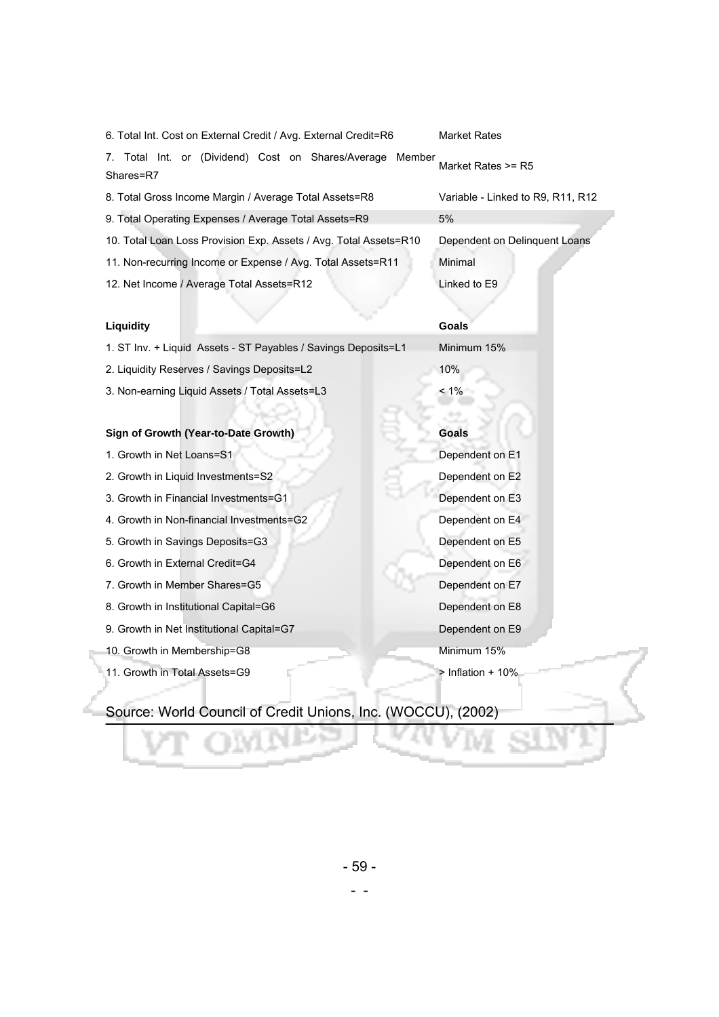| 6. Total Int. Cost on External Credit / Avg. External Credit=R6        | Market Rates                      |
|------------------------------------------------------------------------|-----------------------------------|
| 7. Total Int. or (Dividend) Cost on Shares/Average Member<br>Shares=R7 | Market Rates >= R5                |
| 8. Total Gross Income Margin / Average Total Assets=R8                 | Variable - Linked to R9, R11, R12 |
| 9. Total Operating Expenses / Average Total Assets=R9                  | 5%                                |
| 10. Total Loan Loss Provision Exp. Assets / Avg. Total Assets=R10      | Dependent on Delinquent Loans     |
| 11. Non-recurring Income or Expense / Avg. Total Assets=R11            | Minimal                           |
| 12. Net Income / Average Total Assets=R12                              | Linked to E9                      |
|                                                                        |                                   |
| Liquidity                                                              | <b>Goals</b>                      |
| 1. ST Inv. + Liquid Assets - ST Payables / Savings Deposits=L1         | Minimum 15%                       |
| 2. Liquidity Reserves / Savings Deposits=L2                            | 10%                               |
| 3. Non-earning Liquid Assets / Total Assets=L3                         | $< 1\%$                           |
|                                                                        |                                   |
| Sign of Growth (Year-to-Date Growth)                                   | Goals                             |
| 1. Growth in Net Loans=S1                                              | Dependent on E1                   |
| 2. Growth in Liquid Investments=S2                                     | Dependent on E2                   |
| 3. Growth in Financial Investments=G1                                  | Dependent on E3                   |
| 4. Growth in Non-financial Investments=G2                              | Dependent on E4                   |
| 5. Growth in Savings Deposits=G3                                       | Dependent on E5                   |
| 6. Growth in External Credit=G4                                        | Dependent on E6                   |
| 7. Growth in Member Shares=G5                                          | Dependent on E7                   |
| 8. Growth in Institutional Capital=G6                                  | Dependent on E8                   |
| 9. Growth in Net Institutional Capital=G7                              | Dependent on E9                   |
| 10. Growth in Membership=G8                                            | Minimum 15%                       |
| 11. Growth in Total Assets=G9                                          | $>$ Inflation + 10%               |

# Source: World Council of Credit Unions, Inc. (WOCCU), (2002)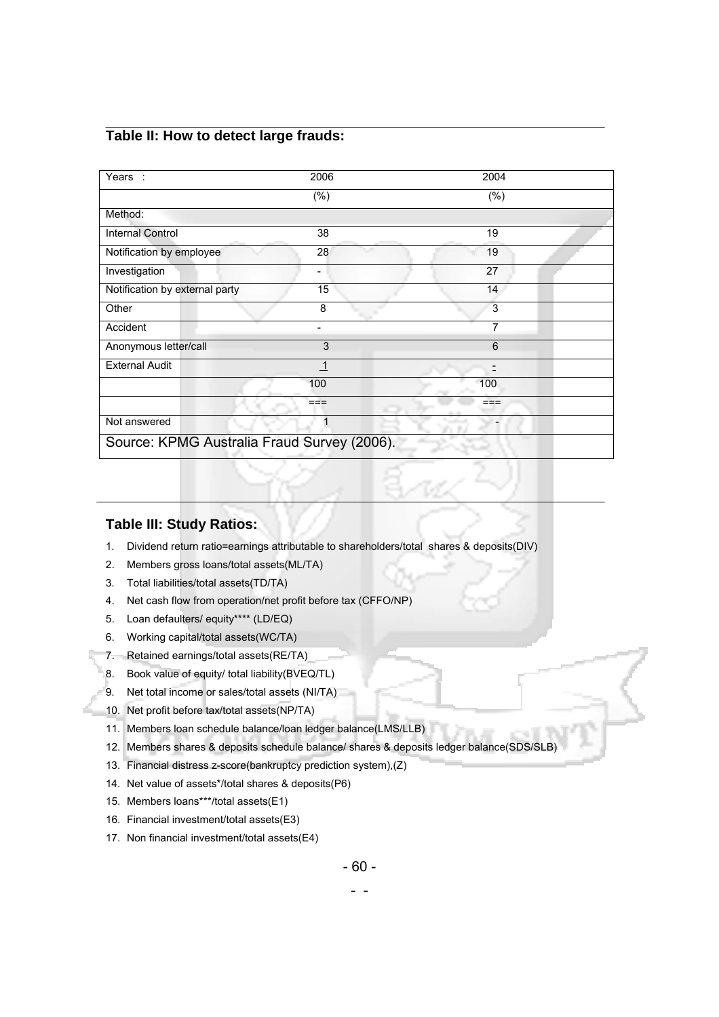## **Table II: How to detect large frauds:**

| Years:                                      | 2006    | 2004    |  |
|---------------------------------------------|---------|---------|--|
|                                             | $(\% )$ | $(\% )$ |  |
| Method:                                     |         |         |  |
| Internal Control                            | 38      | 19      |  |
| Notification by employee                    | 28      | 19      |  |
| Investigation                               |         | 27      |  |
| Notification by external party              | 15      | 14      |  |
| Other                                       | 8       | 3       |  |
| Accident                                    | -       | 7       |  |
| Anonymous letter/call                       | 3       | 6       |  |
| <b>External Audit</b>                       | -1      | Ξ       |  |
|                                             | 100     | 100     |  |
|                                             | ===     | ===     |  |
| Not answered                                | 1       | -       |  |
| Source: KPMG Australia Fraud Survey (2006). |         |         |  |

#### **Table III: Study Ratios:**

- 1. Dividend return ratio=earnings attributable to shareholders/total shares & deposits(DIV)
- 2. Members gross loans/total assets(ML/TA)
- 3. Total liabilities/total assets(TD/TA)
- 4. Net cash flow from operation/net profit before tax (CFFO/NP)
- 5. Loan defaulters/ equity\*\*\*\* (LD/EQ)
- 6. Working capital/total assets(WC/TA)
- 7. Retained earnings/total assets(RE/TA)
- 8. Book value of equity/ total liability(BVEQ/TL)
- 9. Net total income or sales/total assets (NI/TA)
- 10. Net profit before tax/total assets(NP/TA)
- 11. Members loan schedule balance/loan ledger balance(LMS/LLB)
- 12. Members shares & deposits schedule balance/ shares & deposits ledger balance(SDS/SLB)
- 13. Financial distress z-score(bankruptcy prediction system),(Z)
- 14. Net value of assets\*/total shares & deposits(P6)
- 15. Members loans\*\*\*/total assets(E1)
- 16. Financial investment/total assets(E3)
- 17. Non financial investment/total assets(E4)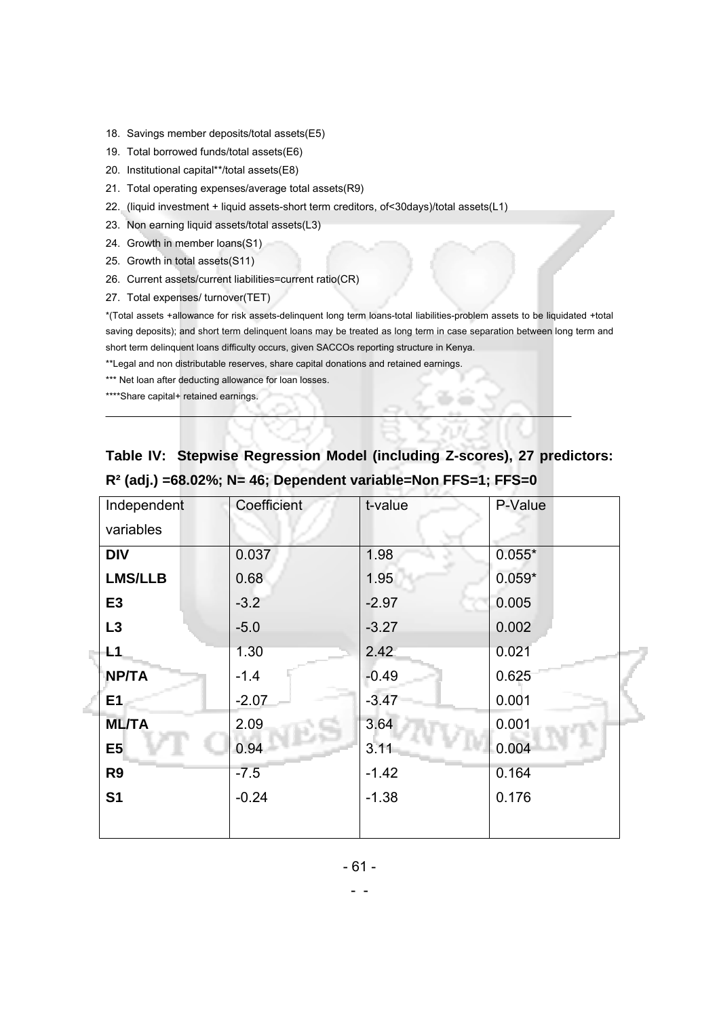- 18. Savings member deposits/total assets(E5)
- 19. Total borrowed funds/total assets(E6)
- 20. Institutional capital\*\*/total assets(E8)
- 21. Total operating expenses/average total assets(R9)
- 22. (liquid investment + liquid assets-short term creditors, of<30days)/total assets(L1)
- 23. Non earning liquid assets/total assets(L3)
- 24. Growth in member loans(S1)
- 25. Growth in total assets(S11)
- 26. Current assets/current liabilities=current ratio(CR)
- 27. Total expenses/ turnover(TET)

\*(Total assets +allowance for risk assets-delinquent long term loans-total liabilities-problem assets to be liquidated +total saving deposits); and short term delinquent loans may be treated as long term in case separation between long term and short term delinquent loans difficulty occurs, given SACCOs reporting structure in Kenya.

\*\*Legal and non distributable reserves, share capital donations and retained earnings.

\*\*\* Net loan after deducting allowance for loan losses.

\*\*\*\*Share capital+ retained earnings.

# **Table IV: Stepwise Regression Model (including Z-scores), 27 predictors: R² (adj.) =68.02%; N= 46; Dependent variable=Non FFS=1; FFS=0**

| Independent    | Coefficient | t-value | P-Value  |
|----------------|-------------|---------|----------|
| variables      |             |         |          |
| <b>DIV</b>     | 0.037       | 1.98    | $0.055*$ |
| <b>LMS/LLB</b> | 0.68        | 1.95    | $0.059*$ |
| E <sub>3</sub> | $-3.2$      | $-2.97$ | 0.005    |
| L3             | $-5.0$      | $-3.27$ | 0.002    |
| L1             | 1.30        | 2.42    | 0.021    |
| <b>NP/TA</b>   | $-1.4$      | $-0.49$ | 0.625    |
| E <sub>1</sub> | $-2.07$     | $-3.47$ | 0.001    |
| <b>ML/TA</b>   | 2.09        | 3.64    | 0.001    |
| E <sub>5</sub> | 0.94        | 3.11    | 0.004    |
| R <sub>9</sub> | $-7.5$      | $-1.42$ | 0.164    |
| S <sub>1</sub> | $-0.24$     | $-1.38$ | 0.176    |
|                |             |         |          |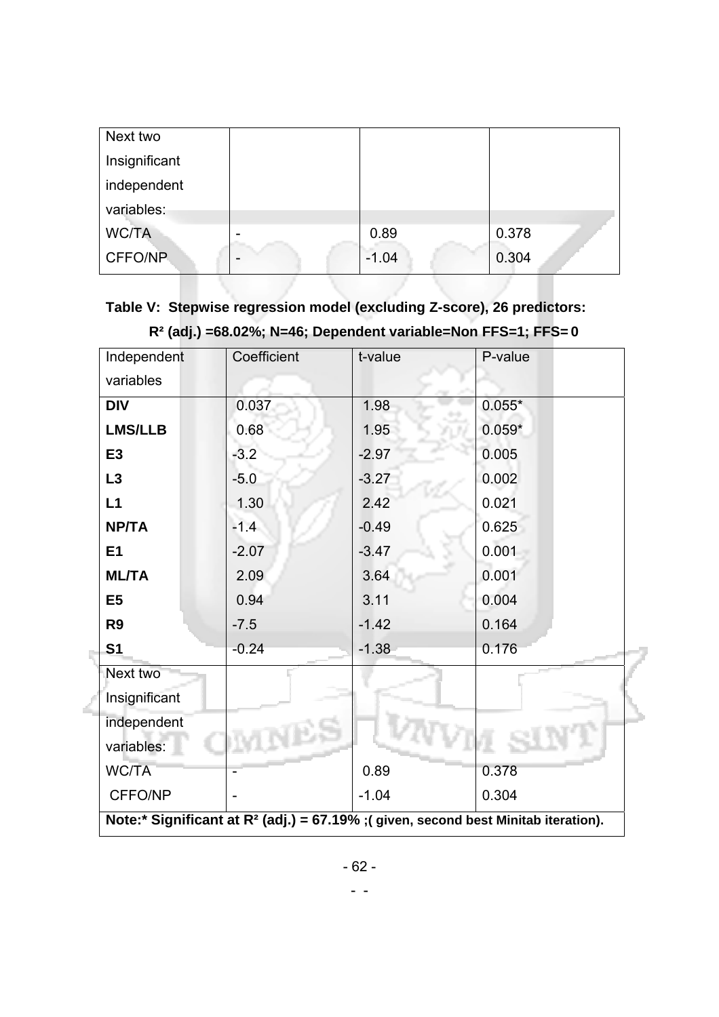| Next two      |                          |         |       |
|---------------|--------------------------|---------|-------|
| Insignificant |                          |         |       |
| independent   |                          |         |       |
| variables:    |                          |         |       |
| <b>WC/TA</b>  | $\,$                     | 0.89    | 0.378 |
| CFFO/NP       | $\overline{\phantom{0}}$ | $-1.04$ | 0.304 |

# **Table V: Stepwise regression model (excluding Z-score), 26 predictors: R² (adj.) =68.02%; N=46; Dependent variable=Non FFS=1; FFS= 0**

| Independent                                                                           | Coefficient | t-value | P-value  |
|---------------------------------------------------------------------------------------|-------------|---------|----------|
| variables                                                                             |             |         |          |
| <b>DIV</b>                                                                            | 0.037       | 1.98    | $0.055*$ |
| <b>LMS/LLB</b>                                                                        | 0.68        | 1.95    | $0.059*$ |
| E3                                                                                    | $-3.2$      | $-2.97$ | 0.005    |
| L3                                                                                    | $-5.0$      | $-3.27$ | 0.002    |
| L1                                                                                    | 1.30        | 2.42    | 0.021    |
| <b>NP/TA</b>                                                                          | $-1.4$      | $-0.49$ | 0.625    |
| E1                                                                                    | $-2.07$     | $-3.47$ | 0.001    |
| <b>ML/TA</b>                                                                          | 2.09        | 3.64    | 0.001    |
| E <sub>5</sub>                                                                        | 0.94        | 3.11    | 0.004    |
| R <sub>9</sub>                                                                        | $-7.5$      | $-1.42$ | 0.164    |
| S <sub>1</sub>                                                                        | $-0.24$     | $-1.38$ | 0.176    |
| Next two                                                                              |             |         |          |
| Insignificant                                                                         |             |         |          |
| independent                                                                           |             |         |          |
| variables:                                                                            |             |         |          |
| <b>WC/TA</b>                                                                          |             | 0.89    | 0.378    |
| CFFO/NP                                                                               |             | $-1.04$ | 0.304    |
| Note:* Significant at $R^2$ (adj.) = 67.19% ; (given, second best Minitab iteration). |             |         |          |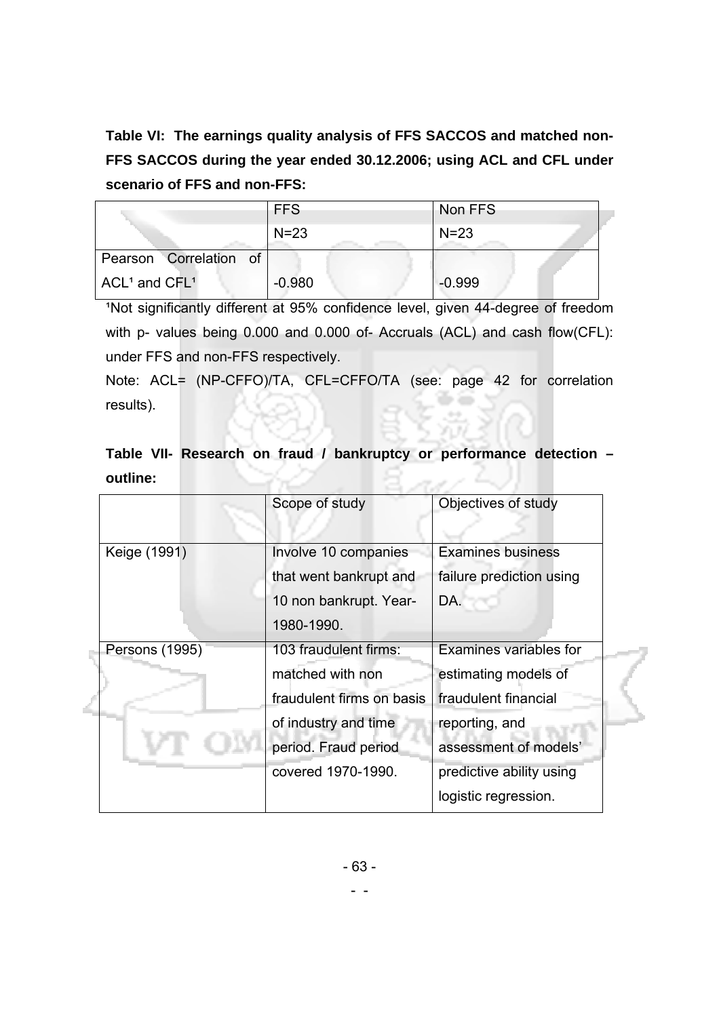**Table VI: The earnings quality analysis of FFS SACCOS and matched non-FFS SACCOS during the year ended 30.12.2006; using ACL and CFL under scenario of FFS and non-FFS:** 

|                        | <b>FFS</b> | Non FFS  |
|------------------------|------------|----------|
|                        | $N = 23$   | $N = 23$ |
| Pearson Correlation of |            |          |
| $ACL1$ and $CFL1$      | $-0.980$   | $-0.999$ |

<sup>1</sup>Not significantly different at 95% confidence level, given 44-degree of freedom with p- values being 0.000 and 0.000 of- Accruals (ACL) and cash flow(CFL): under FFS and non-FFS respectively.

Note: ACL= (NP-CFFO)/TA, CFL=CFFO/TA (see: page 42 for correlation results).

# **Table VII- Research on fraud / bankruptcy or performance detection – outline:**

|                | Scope of study            | Objectives of study           |
|----------------|---------------------------|-------------------------------|
| Keige (1991)   | Involve 10 companies      | <b>Examines business</b>      |
|                | that went bankrupt and    | failure prediction using      |
|                | 10 non bankrupt. Year-    | DA.                           |
|                | 1980-1990.                |                               |
| Persons (1995) | 103 fraudulent firms:     | <b>Examines variables for</b> |
|                | matched with non          | estimating models of          |
|                | fraudulent firms on basis | fraudulent financial          |
|                | of industry and time      | reporting, and                |
|                | period. Fraud period      | assessment of models'         |
|                | covered 1970-1990.        | predictive ability using      |
|                |                           | logistic regression.          |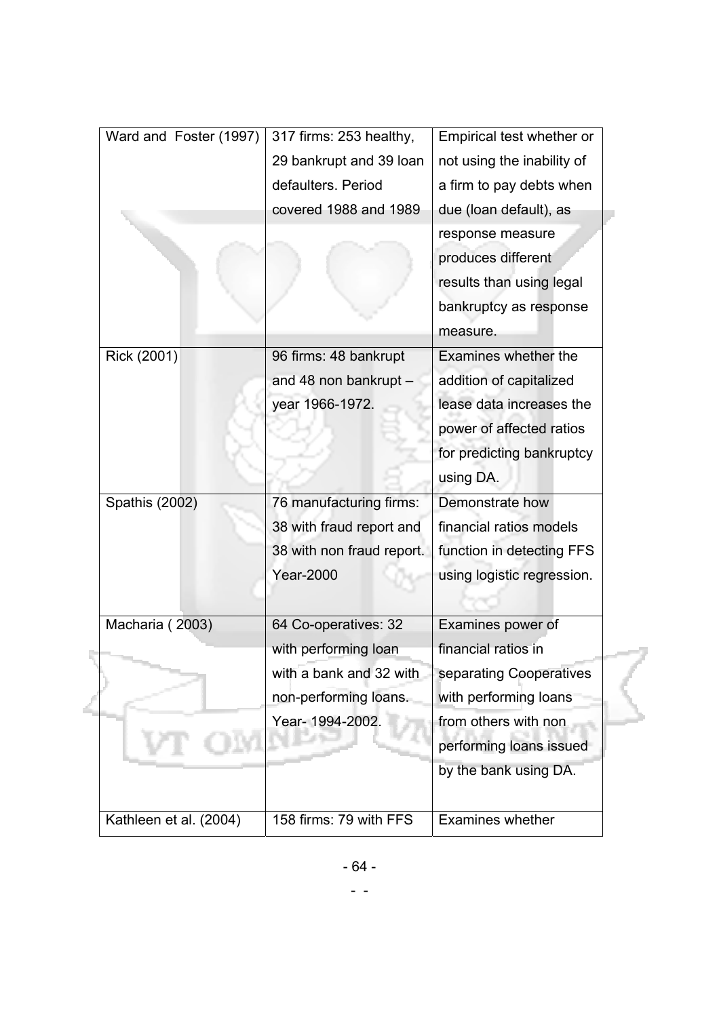| Ward and Foster (1997) | 317 firms: 253 healthy,   | Empirical test whether or  |
|------------------------|---------------------------|----------------------------|
|                        | 29 bankrupt and 39 loan   | not using the inability of |
|                        | defaulters. Period        | a firm to pay debts when   |
|                        | covered 1988 and 1989     | due (loan default), as     |
|                        |                           | response measure           |
|                        |                           | produces different         |
|                        |                           | results than using legal   |
|                        |                           | bankruptcy as response     |
|                        |                           | measure.                   |
| Rick (2001)            | 96 firms: 48 bankrupt     | Examines whether the       |
|                        | and 48 non bankrupt -     | addition of capitalized    |
|                        | year 1966-1972.           | lease data increases the   |
|                        |                           | power of affected ratios   |
|                        |                           | for predicting bankruptcy  |
|                        |                           | using DA.                  |
| Spathis (2002)         | 76 manufacturing firms:   | Demonstrate how            |
|                        | 38 with fraud report and  | financial ratios models    |
|                        | 38 with non fraud report. | function in detecting FFS  |
|                        | <b>Year-2000</b>          | using logistic regression. |
|                        |                           |                            |
| Macharia (2003)        | 64 Co-operatives: 32      | Examines power of          |
|                        | with performing loan      | financial ratios in        |
|                        | with a bank and 32 with   | separating Cooperatives    |
|                        | non-performing loans.     | with performing loans      |
|                        | Year- 1994-2002.          | from others with non       |
|                        |                           | performing loans issued    |
|                        |                           | by the bank using DA.      |
|                        |                           |                            |
| Kathleen et al. (2004) | 158 firms: 79 with FFS    | Examines whether           |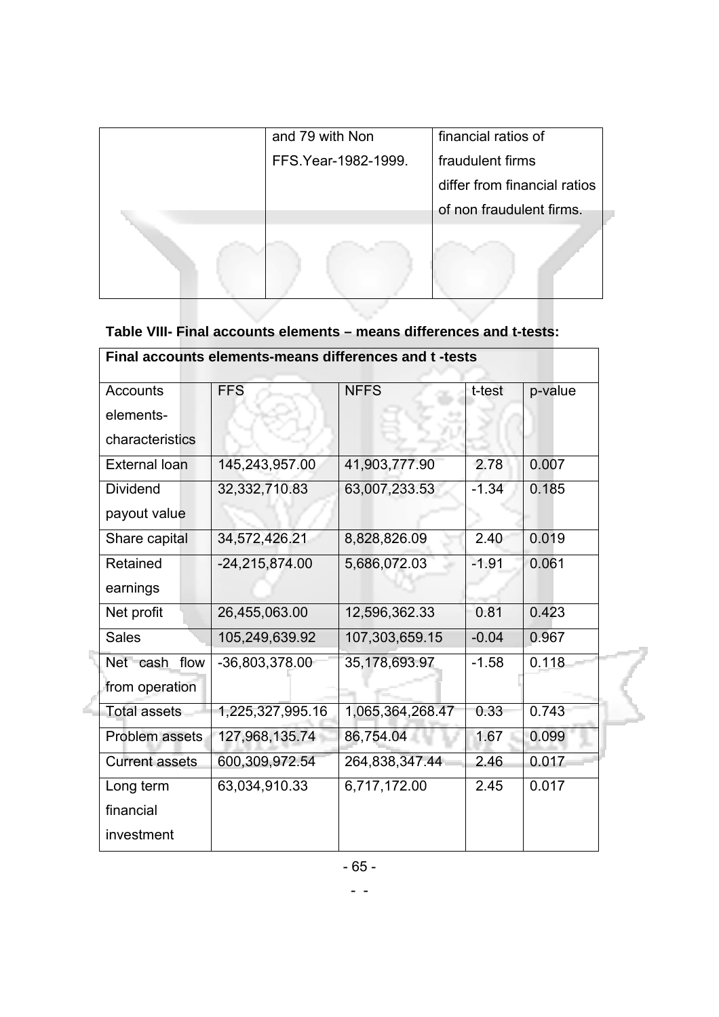| and 79 with Non      | financial ratios of          |
|----------------------|------------------------------|
| FFS. Year-1982-1999. | fraudulent firms             |
|                      | differ from financial ratios |
|                      | of non fraudulent firms.     |
|                      |                              |
|                      |                              |
|                      |                              |

## **Table VIII- Final accounts elements – means differences and t-tests:**

| Final accounts elements-means differences and t-tests |                    |                  |         |         |
|-------------------------------------------------------|--------------------|------------------|---------|---------|
| <b>Accounts</b>                                       | <b>FFS</b>         | <b>NFFS</b>      | t-test  | p-value |
| elements-                                             |                    |                  |         |         |
| characteristics                                       |                    |                  |         |         |
| <b>External loan</b>                                  | 145,243,957.00     | 41,903,777.90    | 2.78    | 0.007   |
| <b>Dividend</b>                                       | 32,332,710.83      | 63,007,233.53    | $-1.34$ | 0.185   |
| payout value                                          |                    |                  |         |         |
| Share capital                                         | 34,572,426.21      | 8,828,826.09     | 2.40    | 0.019   |
| Retained                                              | $-24, 215, 874.00$ | 5,686,072.03     | $-1.91$ | 0.061   |
| earnings                                              |                    |                  |         |         |
| Net profit                                            | 26,455,063.00      | 12,596,362.33    | 0.81    | 0.423   |
| <b>Sales</b>                                          | 105,249,639.92     | 107,303,659.15   | $-0.04$ | 0.967   |
| Net cash flow                                         | -36,803,378.00     | 35,178,693.97    | $-1.58$ | 0.118   |
| from operation                                        |                    |                  |         |         |
| <b>Total assets</b>                                   | 1,225,327,995.16   | 1,065,364,268.47 | 0.33    | 0.743   |
| Problem assets                                        | 127,968,135.74     | 86,754.04        | 1.67    | 0.099   |
| <b>Current assets</b>                                 | 600,309,972.54     | 264,838,347.44   | 2.46    | 0.017   |
| Long term                                             | 63,034,910.33      | 6,717,172.00     | 2.45    | 0.017   |
| financial                                             |                    |                  |         |         |
| investment                                            |                    |                  |         |         |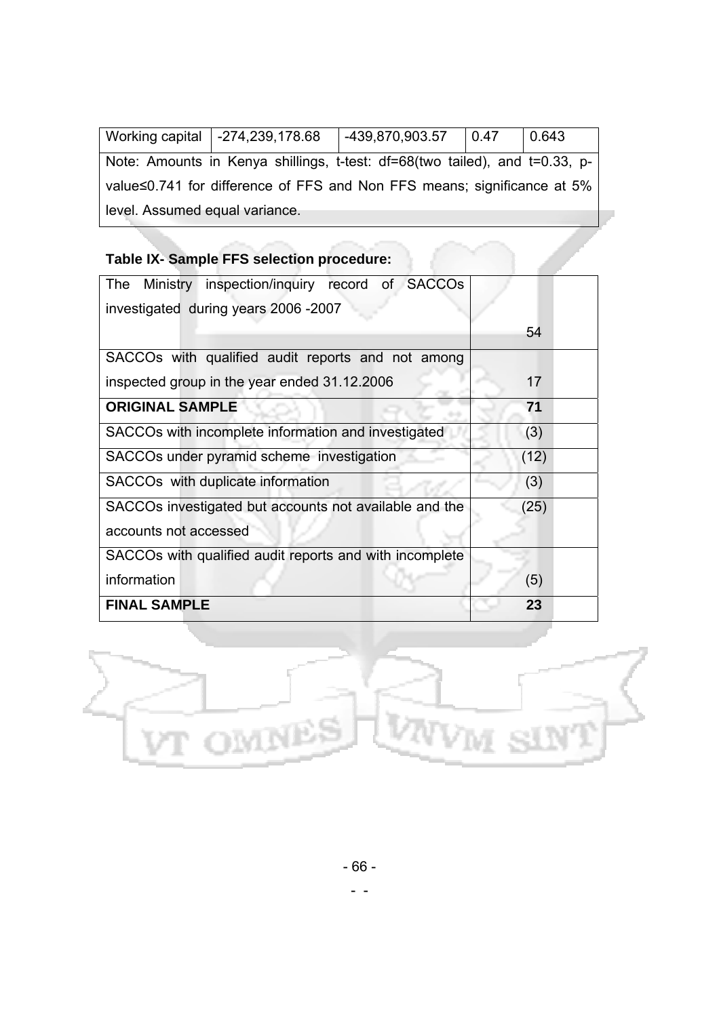|                                                                         | Working capital   -274,239,178.68                                           | $  -439,870,903.57   0.47$ |  | 0.643 |
|-------------------------------------------------------------------------|-----------------------------------------------------------------------------|----------------------------|--|-------|
|                                                                         |                                                                             |                            |  |       |
|                                                                         | Note: Amounts in Kenya shillings, t-test: df=68(two tailed), and t=0.33, p- |                            |  |       |
|                                                                         |                                                                             |                            |  |       |
| value≤0.741 for difference of FFS and Non FFS means; significance at 5% |                                                                             |                            |  |       |
|                                                                         |                                                                             |                            |  |       |
| level. Assumed equal variance.                                          |                                                                             |                            |  |       |
|                                                                         |                                                                             |                            |  |       |
|                                                                         |                                                                             |                            |  |       |

## **Table IX- Sample FFS selection procedure:**

| The Ministry inspection/inguiry record of SACCOs        |      |
|---------------------------------------------------------|------|
| investigated during years 2006 -2007                    |      |
|                                                         | 54   |
| SACCOs with qualified audit reports and not among       |      |
| inspected group in the year ended 31.12.2006            | 17   |
| <b>ORIGINAL SAMPLE</b>                                  | 71   |
| SACCOs with incomplete information and investigated     | (3)  |
| SACCOs under pyramid scheme investigation               | (12) |
| SACCO <sub>s</sub> with duplicate information           | (3)  |
| SACCOs investigated but accounts not available and the  | (25) |
| accounts not accessed                                   |      |
| SACCOs with qualified audit reports and with incomplete |      |
| information                                             | (5)  |
| <b>FINAL SAMPLE</b>                                     | 23   |